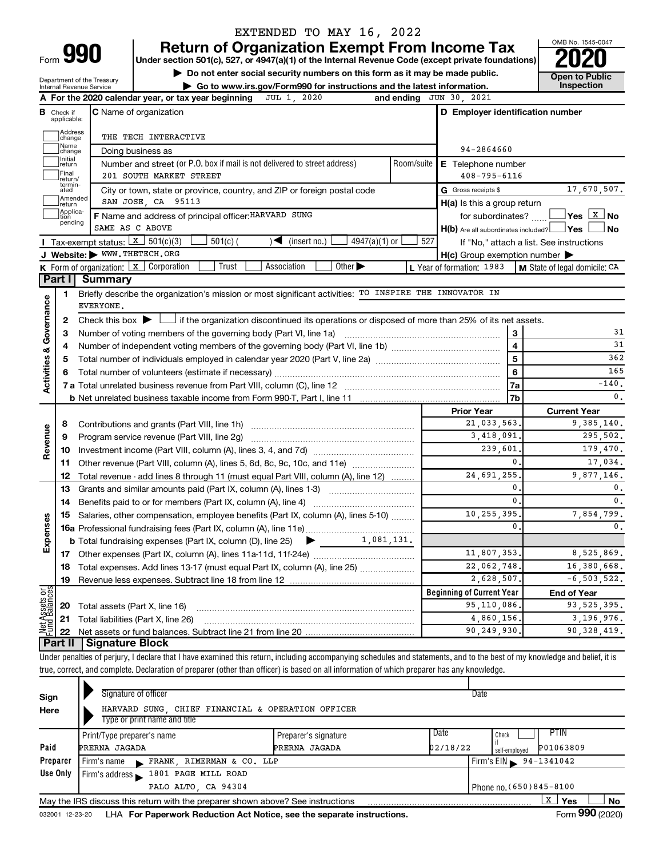### EXTENDED TO MAY 16, 2022

**990** Return of Organization Exempt From Income Tax <br>
Under section 501(c), 527, or 4947(a)(1) of the Internal Revenue Code (except private foundations)<br> **PO20** 

**▶ Do not enter social security numbers on this form as it may be made public. Open to Public**<br>
inspection instructions and the latest information. Inspection **| Go to www.irs.gov/Form990 for instructions and the latest information. Inspection**

OMB No. 1545-0047

|                                                                                |                                                                                                                                                                            | Department of the Treasury<br>Go to www.irs.gov/Form990 for instructions and the latest information.<br>Internal Revenue Service            |                                                     | טוועט ו שטווט<br>Inspection   |  |  |  |  |  |
|--------------------------------------------------------------------------------|----------------------------------------------------------------------------------------------------------------------------------------------------------------------------|---------------------------------------------------------------------------------------------------------------------------------------------|-----------------------------------------------------|-------------------------------|--|--|--|--|--|
|                                                                                |                                                                                                                                                                            | A For the 2020 calendar year, or tax year beginning JUL 1, 2020                                                                             | and ending JUN 30, 2021                             |                               |  |  |  |  |  |
|                                                                                | <b>B</b> Check if<br>applicable:                                                                                                                                           | <b>C</b> Name of organization                                                                                                               | D Employer identification number                    |                               |  |  |  |  |  |
|                                                                                | Address<br>change                                                                                                                                                          | THE TECH INTERACTIVE                                                                                                                        |                                                     |                               |  |  |  |  |  |
|                                                                                | Name<br> change                                                                                                                                                            | Doing business as                                                                                                                           | 94-2864660                                          |                               |  |  |  |  |  |
|                                                                                | Initial<br>Number and street (or P.O. box if mail is not delivered to street address)<br>Room/suite<br><b>E</b> Telephone number<br>return                                 |                                                                                                                                             |                                                     |                               |  |  |  |  |  |
| Final<br>$408 - 795 - 6116$<br>201 SOUTH MARKET STREET<br>return/              |                                                                                                                                                                            |                                                                                                                                             |                                                     |                               |  |  |  |  |  |
|                                                                                | termin-<br>ated                                                                                                                                                            | City or town, state or province, country, and ZIP or foreign postal code                                                                    | G Gross receipts \$                                 | 17,670,507.                   |  |  |  |  |  |
|                                                                                | Amended<br>return                                                                                                                                                          | SAN JOSE, CA 95113                                                                                                                          | $H(a)$ is this a group return                       |                               |  |  |  |  |  |
|                                                                                | Applica-<br>Ition<br>for subordinates? $\Box$ Yes $\Box$ No<br>F Name and address of principal officer: HARVARD SUNG                                                       |                                                                                                                                             |                                                     |                               |  |  |  |  |  |
| pending<br>SAME AS C ABOVE<br>$H(b)$ Are all subordinates included? $\Box$ Yes |                                                                                                                                                                            |                                                                                                                                             |                                                     |                               |  |  |  |  |  |
|                                                                                |                                                                                                                                                                            | <b>I</b> Tax-exempt status: $X \mid 501(c)(3)$<br>(insert no.)<br>$4947(a)(1)$ or<br>$501(c)$ (<br>) <∣                                     | 527<br>If "No," attach a list. See instructions     |                               |  |  |  |  |  |
|                                                                                |                                                                                                                                                                            | J Website: WWW.THETECH.ORG                                                                                                                  | $H(c)$ Group exemption number $\blacktriangleright$ |                               |  |  |  |  |  |
|                                                                                |                                                                                                                                                                            | <b>K</b> Form of organization: $\boxed{x}$ Corporation<br>Trust<br>Association<br>Other $\blacktriangleright$                               | L Year of formation: 1983                           | M State of legal domicile: CA |  |  |  |  |  |
|                                                                                | Part I                                                                                                                                                                     | Summary                                                                                                                                     |                                                     |                               |  |  |  |  |  |
|                                                                                | $\mathbf{1}$                                                                                                                                                               | Briefly describe the organization's mission or most significant activities: TO INSPIRE THE INNOVATOR IN                                     |                                                     |                               |  |  |  |  |  |
|                                                                                |                                                                                                                                                                            | EVERYONE.                                                                                                                                   |                                                     |                               |  |  |  |  |  |
| Governance                                                                     | 2                                                                                                                                                                          | Check this box $\blacktriangleright$ $\Box$ if the organization discontinued its operations or disposed of more than 25% of its net assets. |                                                     |                               |  |  |  |  |  |
|                                                                                | З                                                                                                                                                                          |                                                                                                                                             | 3                                                   | 31                            |  |  |  |  |  |
|                                                                                | 4                                                                                                                                                                          |                                                                                                                                             | $\overline{4}$                                      | 31                            |  |  |  |  |  |
| <b>Activities &amp;</b>                                                        | 5                                                                                                                                                                          |                                                                                                                                             | 362                                                 |                               |  |  |  |  |  |
|                                                                                | 6                                                                                                                                                                          |                                                                                                                                             | $6\phantom{a}$                                      | 165                           |  |  |  |  |  |
|                                                                                |                                                                                                                                                                            |                                                                                                                                             | 7a                                                  | $-140.$                       |  |  |  |  |  |
|                                                                                |                                                                                                                                                                            |                                                                                                                                             | 7b                                                  | 0.                            |  |  |  |  |  |
|                                                                                |                                                                                                                                                                            |                                                                                                                                             | <b>Prior Year</b>                                   | <b>Current Year</b>           |  |  |  |  |  |
|                                                                                | 8                                                                                                                                                                          |                                                                                                                                             | 21,033,563.                                         | 9,385,140.                    |  |  |  |  |  |
| Revenue                                                                        | 9                                                                                                                                                                          | Program service revenue (Part VIII, line 2g)                                                                                                | 3,418,091.                                          | 295,502.                      |  |  |  |  |  |
|                                                                                | 10                                                                                                                                                                         |                                                                                                                                             | 239,601                                             | 179,470.                      |  |  |  |  |  |
|                                                                                | 11                                                                                                                                                                         | Other revenue (Part VIII, column (A), lines 5, 6d, 8c, 9c, 10c, and 11e)                                                                    | $\mathbf{0}$                                        | 17,034.                       |  |  |  |  |  |
|                                                                                | 12                                                                                                                                                                         | Total revenue - add lines 8 through 11 (must equal Part VIII, column (A), line 12)                                                          | 24,691,255                                          | 9,877,146.                    |  |  |  |  |  |
|                                                                                | 13                                                                                                                                                                         | Grants and similar amounts paid (Part IX, column (A), lines 1-3)                                                                            | $\mathbf{0}$                                        | 0.                            |  |  |  |  |  |
|                                                                                | 14                                                                                                                                                                         |                                                                                                                                             | $\mathbf{0}$ .                                      | 0.                            |  |  |  |  |  |
|                                                                                | 15                                                                                                                                                                         | Salaries, other compensation, employee benefits (Part IX, column (A), lines 5-10)                                                           | 10,255,395                                          | 7,854,799.                    |  |  |  |  |  |
|                                                                                |                                                                                                                                                                            |                                                                                                                                             | 0                                                   | 0.                            |  |  |  |  |  |
| Expenses                                                                       |                                                                                                                                                                            | 1,081,131.<br><b>b</b> Total fundraising expenses (Part IX, column (D), line 25) $\blacktriangleright$                                      |                                                     |                               |  |  |  |  |  |
|                                                                                |                                                                                                                                                                            |                                                                                                                                             | 11,807,353.                                         | 8,525,869.                    |  |  |  |  |  |
|                                                                                |                                                                                                                                                                            | Total expenses. Add lines 13-17 (must equal Part IX, column (A), line 25)                                                                   | 22,062,748.                                         | 16,380,668.                   |  |  |  |  |  |
|                                                                                | 19                                                                                                                                                                         |                                                                                                                                             | 2,628,507.                                          | $-6, 503, 522.$               |  |  |  |  |  |
| Net Assets or                                                                  |                                                                                                                                                                            |                                                                                                                                             | <b>Beginning of Current Year</b>                    | <b>End of Year</b>            |  |  |  |  |  |
|                                                                                | 20                                                                                                                                                                         | Total assets (Part X, line 16)                                                                                                              | 95,110,086.                                         | 93, 525, 395.                 |  |  |  |  |  |
|                                                                                | 21                                                                                                                                                                         | Total liabilities (Part X, line 26)                                                                                                         | 4,860,156.                                          | 3,196,976.                    |  |  |  |  |  |
|                                                                                | 22                                                                                                                                                                         |                                                                                                                                             | 90,249,930.                                         | 90, 328, 419.                 |  |  |  |  |  |
|                                                                                | <b>Part II</b>                                                                                                                                                             | <b>Signature Block</b>                                                                                                                      |                                                     |                               |  |  |  |  |  |
|                                                                                | Under penalties of perjury, I declare that I have examined this return, including accompanying schedules and statements, and to the best of my knowledge and belief, it is |                                                                                                                                             |                                                     |                               |  |  |  |  |  |

true, correct, and complete. Declaration of preparer (other than officer) is based on all information of which preparer has any knowledge.

| Sign<br>Here | Signature of officer<br>HARVARD SUNG, CHIEF FINANCIAL & OPERATION OFFICER<br>Type or print name and title                          | Date                        |  |        |  |  |  |  |  |
|--------------|------------------------------------------------------------------------------------------------------------------------------------|-----------------------------|--|--------|--|--|--|--|--|
| Paid         | Date<br>Check<br>Print/Type preparer's name<br>Preparer's signature<br>02/18/22<br>PRERNA JAGADA<br>PRERNA JAGADA<br>self-emploved |                             |  |        |  |  |  |  |  |
| Preparer     | FRANK, RIMERMAN & CO. LLP<br>Firm's name<br>$\blacksquare$                                                                         | Firm's $EIN = 94 - 1341042$ |  |        |  |  |  |  |  |
| Use Only     | 1801 PAGE MILL ROAD<br>Firm's address                                                                                              |                             |  |        |  |  |  |  |  |
|              | PALO ALTO, CA 94304<br>Phone no. (650) 845-8100                                                                                    |                             |  |        |  |  |  |  |  |
|              | x<br>Yes<br>No<br>May the IRS discuss this return with the preparer shown above? See instructions                                  |                             |  |        |  |  |  |  |  |
|              |                                                                                                                                    |                             |  | $\sim$ |  |  |  |  |  |

032001 12-23-20 LHA **For Paperwork Reduction Act Notice, see the separate instructions.** Form 990 (2020)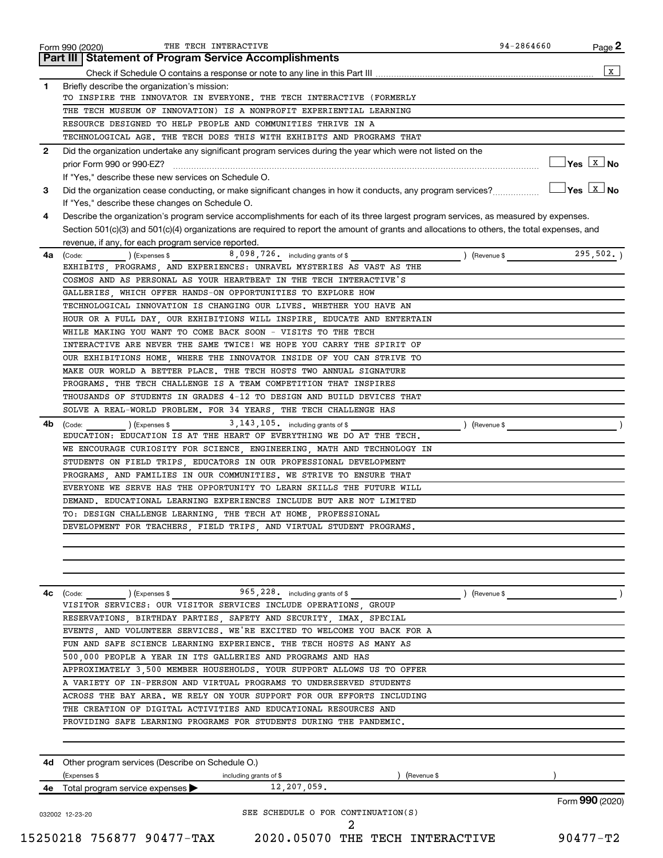|              | THE TECH INTERACTIVE<br>Form 990 (2020)                                                                                                      | 94-2864660    | Page 2                                 |
|--------------|----------------------------------------------------------------------------------------------------------------------------------------------|---------------|----------------------------------------|
|              | Part III   Statement of Program Service Accomplishments                                                                                      |               |                                        |
|              |                                                                                                                                              |               | $\mathbf{x}$                           |
| $\mathbf{1}$ | Briefly describe the organization's mission:                                                                                                 |               |                                        |
|              | TO INSPIRE THE INNOVATOR IN EVERYONE. THE TECH INTERACTIVE (FORMERLY                                                                         |               |                                        |
|              | THE TECH MUSEUM OF INNOVATION) IS A NONPROFIT EXPERIENTIAL LEARNING                                                                          |               |                                        |
|              | RESOURCE DESIGNED TO HELP PEOPLE AND COMMUNITIES THRIVE IN A                                                                                 |               |                                        |
|              | TECHNOLOGICAL AGE. THE TECH DOES THIS WITH EXHIBITS AND PROGRAMS THAT                                                                        |               |                                        |
| 2            | Did the organization undertake any significant program services during the year which were not listed on the                                 |               |                                        |
|              | prior Form 990 or 990-EZ?                                                                                                                    |               | $\sqrt{}$ Yes $\sqrt{}$ X $\sqrt{}$ No |
|              | If "Yes," describe these new services on Schedule O.                                                                                         |               |                                        |
| 3            | Did the organization cease conducting, or make significant changes in how it conducts, any program services?                                 |               | $\Box$ Yes $\boxed{\text{x}}$ No       |
|              | If "Yes," describe these changes on Schedule O.                                                                                              |               |                                        |
| 4            | Describe the organization's program service accomplishments for each of its three largest program services, as measured by expenses.         |               |                                        |
|              | Section 501(c)(3) and 501(c)(4) organizations are required to report the amount of grants and allocations to others, the total expenses, and |               |                                        |
|              | revenue, if any, for each program service reported.                                                                                          |               |                                        |
| 4a           | 8,098,726. including grants of \$<br>(Code: ) (Expenses \$                                                                                   | (Revenue \$   | $295, 502.$ )                          |
|              | EXHIBITS, PROGRAMS, AND EXPERIENCES: UNRAVEL MYSTERIES AS VAST AS THE                                                                        |               |                                        |
|              | COSMOS AND AS PERSONAL AS YOUR HEARTBEAT IN THE TECH INTERACTIVE'S                                                                           |               |                                        |
|              | GALLERIES, WHICH OFFER HANDS-ON OPPORTUNITIES TO EXPLORE HOW                                                                                 |               |                                        |
|              | TECHNOLOGICAL INNOVATION IS CHANGING OUR LIVES. WHETHER YOU HAVE AN                                                                          |               |                                        |
|              | HOUR OR A FULL DAY, OUR EXHIBITIONS WILL INSPIRE, EDUCATE AND ENTERTAIN                                                                      |               |                                        |
|              | WHILE MAKING YOU WANT TO COME BACK SOON - VISITS TO THE TECH                                                                                 |               |                                        |
|              | INTERACTIVE ARE NEVER THE SAME TWICE! WE HOPE YOU CARRY THE SPIRIT OF                                                                        |               |                                        |
|              | OUR EXHIBITIONS HOME, WHERE THE INNOVATOR INSIDE OF YOU CAN STRIVE TO                                                                        |               |                                        |
|              | MAKE OUR WORLD A BETTER PLACE. THE TECH HOSTS TWO ANNUAL SIGNATURE                                                                           |               |                                        |
|              | PROGRAMS. THE TECH CHALLENGE IS A TEAM COMPETITION THAT INSPIRES                                                                             |               |                                        |
|              | THOUSANDS OF STUDENTS IN GRADES 4-12 TO DESIGN AND BUILD DEVICES THAT                                                                        |               |                                        |
|              | SOLVE A REAL-WORLD PROBLEM. FOR 34 YEARS, THE TECH CHALLENGE HAS                                                                             |               |                                        |
|              |                                                                                                                                              |               |                                        |
| 4b           | $3, 143, 105$ including grants of \$<br>(Expenses \$<br>) (Revenue \$<br>(Code:                                                              |               |                                        |
|              | EDUCATION: EDUCATION IS AT THE HEART OF EVERYTHING WE DO AT THE TECH.                                                                        |               |                                        |
|              | WE ENCOURAGE CURIOSITY FOR SCIENCE, ENGINEERING, MATH AND TECHNOLOGY IN                                                                      |               |                                        |
|              | STUDENTS ON FIELD TRIPS, EDUCATORS IN OUR PROFESSIONAL DEVELOPMENT                                                                           |               |                                        |
|              | PROGRAMS, AND FAMILIES IN OUR COMMUNITIES. WE STRIVE TO ENSURE THAT                                                                          |               |                                        |
|              | EVERYONE WE SERVE HAS THE OPPORTUNITY TO LEARN SKILLS THE FUTURE WILL                                                                        |               |                                        |
|              | DEMAND. EDUCATIONAL LEARNING EXPERIENCES INCLUDE BUT ARE NOT LIMITED                                                                         |               |                                        |
|              | TO: DESIGN CHALLENGE LEARNING, THE TECH AT HOME, PROFESSIONAL                                                                                |               |                                        |
|              | DEVELOPMENT FOR TEACHERS, FIELD TRIPS, AND VIRTUAL STUDENT PROGRAMS.                                                                         |               |                                        |
|              |                                                                                                                                              |               |                                        |
|              |                                                                                                                                              |               |                                        |
| 4с           | VISITOR SERVICES: OUR VISITOR SERVICES INCLUDE OPERATIONS, GROUP                                                                             | ) (Revenue \$ |                                        |
|              |                                                                                                                                              |               |                                        |
|              | RESERVATIONS, BIRTHDAY PARTIES, SAFETY AND SECURITY, IMAX, SPECIAL                                                                           |               |                                        |
|              | EVENTS, AND VOLUNTEER SERVICES. WE'RE EXCITED TO WELCOME YOU BACK FOR A                                                                      |               |                                        |
|              | FUN AND SAFE SCIENCE LEARNING EXPERIENCE. THE TECH HOSTS AS MANY AS                                                                          |               |                                        |
|              | 500,000 PEOPLE A YEAR IN ITS GALLERIES AND PROGRAMS AND HAS                                                                                  |               |                                        |
|              | APPROXIMATELY 3,500 MEMBER HOUSEHOLDS. YOUR SUPPORT ALLOWS US TO OFFER                                                                       |               |                                        |
|              | A VARIETY OF IN-PERSON AND VIRTUAL PROGRAMS TO UNDERSERVED STUDENTS                                                                          |               |                                        |
|              | ACROSS THE BAY AREA. WE RELY ON YOUR SUPPORT FOR OUR EFFORTS INCLUDING                                                                       |               |                                        |
|              | THE CREATION OF DIGITAL ACTIVITIES AND EDUCATIONAL RESOURCES AND                                                                             |               |                                        |
|              | PROVIDING SAFE LEARNING PROGRAMS FOR STUDENTS DURING THE PANDEMIC.                                                                           |               |                                        |
|              |                                                                                                                                              |               |                                        |
|              |                                                                                                                                              |               |                                        |
|              | 4d Other program services (Describe on Schedule O.)                                                                                          |               |                                        |
|              | (Expenses \$<br>) (Revenue \$<br>including grants of \$                                                                                      |               |                                        |
|              | 12,207,059.<br>4e Total program service expenses                                                                                             |               |                                        |
|              |                                                                                                                                              |               |                                        |
|              |                                                                                                                                              |               | Form 990 (2020)                        |
|              | SEE SCHEDULE O FOR CONTINUATION(S)<br>032002 12-23-20                                                                                        |               |                                        |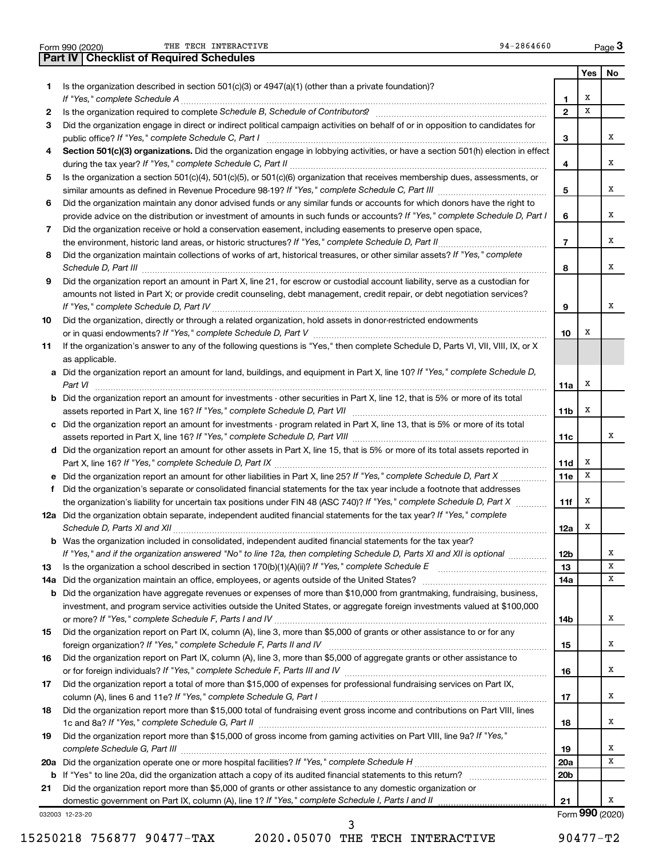|  | Form 990 (2020) |
|--|-----------------|
|  |                 |
|  |                 |

Form 990 (2020) Page THE TECH INTERACTIVE 94-2864660

|     | <b>Part IV   Checklist of Required Schedules</b>                                                                                                                |                 |     |                 |
|-----|-----------------------------------------------------------------------------------------------------------------------------------------------------------------|-----------------|-----|-----------------|
|     |                                                                                                                                                                 |                 | Yes | No              |
| 1.  | Is the organization described in section $501(c)(3)$ or $4947(a)(1)$ (other than a private foundation)?                                                         |                 |     |                 |
|     |                                                                                                                                                                 | 1               | х   |                 |
| 2   | Is the organization required to complete Schedule B, Schedule of Contributors? [11] The organization required to complete Schedule B, Schedule of Contributors? | $\mathbf{2}$    | x   |                 |
| 3   | Did the organization engage in direct or indirect political campaign activities on behalf of or in opposition to candidates for                                 |                 |     |                 |
|     |                                                                                                                                                                 | З               |     | х               |
| 4   | Section 501(c)(3) organizations. Did the organization engage in lobbying activities, or have a section 501(h) election in effect                                |                 |     |                 |
|     |                                                                                                                                                                 | 4               |     | х               |
| 5   | Is the organization a section 501(c)(4), 501(c)(5), or 501(c)(6) organization that receives membership dues, assessments, or                                    |                 |     |                 |
|     |                                                                                                                                                                 | 5               |     | х               |
| 6   | Did the organization maintain any donor advised funds or any similar funds or accounts for which donors have the right to                                       |                 |     |                 |
|     | provide advice on the distribution or investment of amounts in such funds or accounts? If "Yes," complete Schedule D, Part I                                    | 6               |     | х               |
| 7   | Did the organization receive or hold a conservation easement, including easements to preserve open space,                                                       |                 |     |                 |
|     |                                                                                                                                                                 | $\overline{7}$  |     | x               |
| 8   | Did the organization maintain collections of works of art, historical treasures, or other similar assets? If "Yes," complete                                    |                 |     |                 |
|     | Schedule D, Part III <b>Process Construction Construction Construction</b> Construction Construction Construction Const                                         | 8               |     | x               |
| 9   | Did the organization report an amount in Part X, line 21, for escrow or custodial account liability, serve as a custodian for                                   |                 |     |                 |
|     | amounts not listed in Part X; or provide credit counseling, debt management, credit repair, or debt negotiation services?                                       |                 |     |                 |
|     |                                                                                                                                                                 | 9               |     | x               |
| 10  | Did the organization, directly or through a related organization, hold assets in donor-restricted endowments                                                    |                 |     |                 |
|     |                                                                                                                                                                 | 10              | x   |                 |
| 11  | If the organization's answer to any of the following questions is "Yes," then complete Schedule D, Parts VI, VII, VIII, IX, or X                                |                 |     |                 |
|     | as applicable.                                                                                                                                                  |                 |     |                 |
|     | a Did the organization report an amount for land, buildings, and equipment in Part X, line 10? If "Yes," complete Schedule D,                                   |                 |     |                 |
|     | Part VI                                                                                                                                                         |                 | х   |                 |
|     | <b>b</b> Did the organization report an amount for investments - other securities in Part X, line 12, that is 5% or more of its total                           |                 |     |                 |
|     |                                                                                                                                                                 | 11 <sub>b</sub> | x   |                 |
|     | c Did the organization report an amount for investments - program related in Part X, line 13, that is 5% or more of its total                                   |                 |     |                 |
|     |                                                                                                                                                                 | 11c             |     | x               |
|     | d Did the organization report an amount for other assets in Part X, line 15, that is 5% or more of its total assets reported in                                 |                 |     |                 |
|     |                                                                                                                                                                 | 11d             | x   |                 |
|     |                                                                                                                                                                 | 11e             | X   |                 |
| f   | Did the organization's separate or consolidated financial statements for the tax year include a footnote that addresses                                         |                 |     |                 |
|     | the organization's liability for uncertain tax positions under FIN 48 (ASC 740)? If "Yes," complete Schedule D, Part X                                          | 11f             | x   |                 |
|     | 12a Did the organization obtain separate, independent audited financial statements for the tax year? If "Yes," complete                                         |                 | х   |                 |
|     | <b>b</b> Was the organization included in consolidated, independent audited financial statements for the tax year?                                              | 12a             |     |                 |
|     | If "Yes," and if the organization answered "No" to line 12a, then completing Schedule D, Parts XI and XII is optional                                           | 12 <sub>b</sub> |     | х               |
| 13  | Is the organization a school described in section 170(b)(1)(A)(ii)? If "Yes," complete Schedule E [ [ [ [ [ [ [ [ ] ]]]                                         | 13              |     | x               |
| 14a |                                                                                                                                                                 | 14a             |     | x               |
| b   | Did the organization have aggregate revenues or expenses of more than \$10,000 from grantmaking, fundraising, business,                                         |                 |     |                 |
|     | investment, and program service activities outside the United States, or aggregate foreign investments valued at \$100,000                                      |                 |     |                 |
|     |                                                                                                                                                                 | 14b             |     | х               |
| 15  | Did the organization report on Part IX, column (A), line 3, more than \$5,000 of grants or other assistance to or for any                                       |                 |     |                 |
|     |                                                                                                                                                                 | 15              |     | x               |
| 16  | Did the organization report on Part IX, column (A), line 3, more than \$5,000 of aggregate grants or other assistance to                                        |                 |     |                 |
|     |                                                                                                                                                                 | 16              |     | x               |
| 17  | Did the organization report a total of more than \$15,000 of expenses for professional fundraising services on Part IX,                                         |                 |     |                 |
|     |                                                                                                                                                                 | 17              |     | x               |
| 18  | Did the organization report more than \$15,000 total of fundraising event gross income and contributions on Part VIII, lines                                    |                 |     |                 |
|     |                                                                                                                                                                 | 18              |     | x               |
| 19  | Did the organization report more than \$15,000 of gross income from gaming activities on Part VIII, line 9a? If "Yes,"                                          |                 |     |                 |
|     |                                                                                                                                                                 | 19              |     | х               |
| 20a |                                                                                                                                                                 | 20a             |     | x               |
| b   |                                                                                                                                                                 | 20 <sub>b</sub> |     |                 |
| 21  | Did the organization report more than \$5,000 of grants or other assistance to any domestic organization or                                                     |                 |     |                 |
|     |                                                                                                                                                                 | 21              |     | x               |
|     | 032003 12-23-20                                                                                                                                                 |                 |     | Form 990 (2020) |

Form (2020) **990**

15250218 756877 90477-TAX 2020.05070 THE TECH INTERACTIVE 90477-T2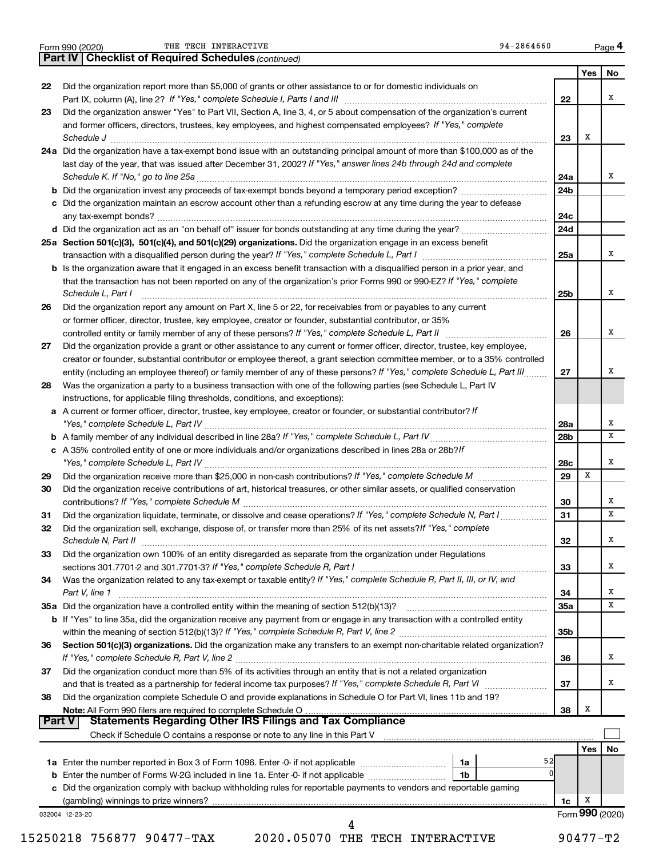| 22            | Did the organization report more than \$5,000 of grants or other assistance to or for domestic individuals on                      |     | Yes   | No     |
|---------------|------------------------------------------------------------------------------------------------------------------------------------|-----|-------|--------|
|               |                                                                                                                                    | 22  |       | х      |
| 23            | Did the organization answer "Yes" to Part VII, Section A, line 3, 4, or 5 about compensation of the organization's current         |     |       |        |
|               | and former officers, directors, trustees, key employees, and highest compensated employees? If "Yes," complete                     |     |       |        |
|               | Schedule J <b>Execute Schedule Schedule Schedule Schedule</b> J <b>Execute Schedule J</b>                                          | 23  | х     |        |
|               | 24a Did the organization have a tax-exempt bond issue with an outstanding principal amount of more than \$100,000 as of the        |     |       |        |
|               | last day of the year, that was issued after December 31, 2002? If "Yes," answer lines 24b through 24d and complete                 |     |       |        |
|               |                                                                                                                                    | 24a |       | х      |
|               |                                                                                                                                    | 24b |       |        |
|               | c Did the organization maintain an escrow account other than a refunding escrow at any time during the year to defease             |     |       |        |
|               |                                                                                                                                    | 24с |       |        |
|               |                                                                                                                                    | 24d |       |        |
|               | 25a Section 501(c)(3), 501(c)(4), and 501(c)(29) organizations. Did the organization engage in an excess benefit                   |     |       |        |
|               |                                                                                                                                    | 25a |       | x      |
|               | b Is the organization aware that it engaged in an excess benefit transaction with a disqualified person in a prior year, and       |     |       |        |
|               | that the transaction has not been reported on any of the organization's prior Forms 990 or 990-EZ? If "Yes," complete              |     |       |        |
|               | Schedule L, Part I                                                                                                                 | 25b |       | х      |
| 26            | Did the organization report any amount on Part X, line 5 or 22, for receivables from or payables to any current                    |     |       |        |
|               | or former officer, director, trustee, key employee, creator or founder, substantial contributor, or 35%                            |     |       |        |
|               | controlled entity or family member of any of these persons? If "Yes," complete Schedule L, Part II                                 | 26  |       | х      |
| 27            | Did the organization provide a grant or other assistance to any current or former officer, director, trustee, key employee,        |     |       |        |
|               | creator or founder, substantial contributor or employee thereof, a grant selection committee member, or to a 35% controlled        |     |       |        |
|               | entity (including an employee thereof) or family member of any of these persons? If "Yes," complete Schedule L, Part III           | 27  |       | Х      |
| 28            | Was the organization a party to a business transaction with one of the following parties (see Schedule L, Part IV                  |     |       |        |
|               | instructions, for applicable filing thresholds, conditions, and exceptions):                                                       |     |       |        |
| a             | A current or former officer, director, trustee, key employee, creator or founder, or substantial contributor? If                   |     |       |        |
|               |                                                                                                                                    | 28a |       | х      |
| b             |                                                                                                                                    | 28b |       | х      |
|               | c A 35% controlled entity of one or more individuals and/or organizations described in lines 28a or 28b?/f                         |     |       |        |
|               |                                                                                                                                    | 28c |       | х      |
| 29            |                                                                                                                                    | 29  | x     |        |
| 30            | Did the organization receive contributions of art, historical treasures, or other similar assets, or qualified conservation        |     |       |        |
|               |                                                                                                                                    | 30  |       | х      |
| 31            |                                                                                                                                    | 31  |       | х      |
| 32            | Did the organization sell, exchange, dispose of, or transfer more than 25% of its net assets? If "Yes," complete                   |     |       |        |
|               | Schedule N, Part II                                                                                                                | 32  |       | х      |
| 33            | Did the organization own 100% of an entity disregarded as separate from the organization under Regulations                         |     |       |        |
|               | sections 301.7701-2 and 301.7701-3? If "Yes," complete Schedule R, Part I                                                          | 33  |       | Χ      |
| 34            | Was the organization related to any tax-exempt or taxable entity? If "Yes," complete Schedule R, Part II, III, or IV, and          |     |       |        |
|               | Part V, line 1                                                                                                                     | 34  |       | х<br>x |
|               | 35a Did the organization have a controlled entity within the meaning of section 512(b)(13)?                                        | 35a |       |        |
|               | <b>b</b> If "Yes" to line 35a, did the organization receive any payment from or engage in any transaction with a controlled entity |     |       |        |
|               |                                                                                                                                    | 35b |       |        |
| 36            | Section 501(c)(3) organizations. Did the organization make any transfers to an exempt non-charitable related organization?         |     |       | х      |
|               | Did the organization conduct more than 5% of its activities through an entity that is not a related organization                   | 36  |       |        |
| 37            |                                                                                                                                    |     |       | х      |
|               |                                                                                                                                    | 37  |       |        |
| 38            | Did the organization complete Schedule O and provide explanations in Schedule O for Part VI, lines 11b and 19?                     | 38  | Х     |        |
|               | <b>Statements Regarding Other IRS Filings and Tax Compliance</b>                                                                   |     |       |        |
|               |                                                                                                                                    |     |       |        |
| <b>Part V</b> |                                                                                                                                    |     |       |        |
|               |                                                                                                                                    |     |       |        |
|               |                                                                                                                                    |     | Yes l | No     |
|               | 52<br>1a                                                                                                                           |     |       |        |
|               | $\Omega$<br>1 <sub>b</sub>                                                                                                         |     |       |        |
|               | c Did the organization comply with backup withholding rules for reportable payments to vendors and reportable gaming               | 1c  | Х     |        |

Form 990 (2020) Page THE TECH INTERACTIVE 94-2864660

|  |  |  | 15250218 756877 90477-TAX |
|--|--|--|---------------------------|
|--|--|--|---------------------------|

*(continued)* **Part IV Checklist of Required Schedules**

15250218 756877 90477-TAX 2020.05070 THE TECH INTERACTIVE 90477-T2

**4**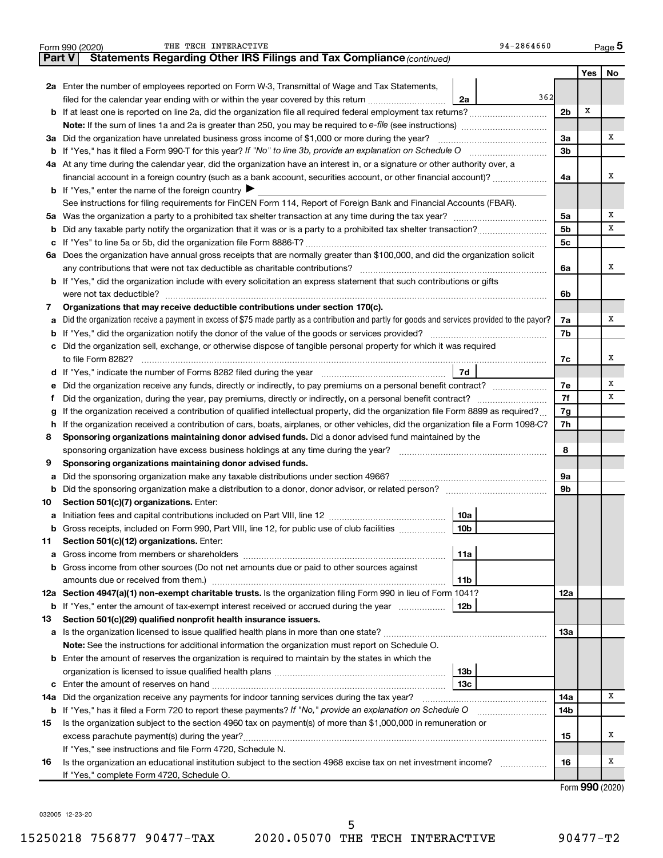|               | THE TECH INTERACTIVE<br>94-2864660<br>Form 990 (2020)                                                                                                                                                                                                                       |                 |     | Page 5 |  |  |  |
|---------------|-----------------------------------------------------------------------------------------------------------------------------------------------------------------------------------------------------------------------------------------------------------------------------|-----------------|-----|--------|--|--|--|
| <b>Part V</b> | Statements Regarding Other IRS Filings and Tax Compliance (continued)                                                                                                                                                                                                       |                 |     |        |  |  |  |
|               |                                                                                                                                                                                                                                                                             |                 | Yes | No     |  |  |  |
|               | 2a Enter the number of employees reported on Form W-3, Transmittal of Wage and Tax Statements,                                                                                                                                                                              |                 |     |        |  |  |  |
|               | 362<br>filed for the calendar year ending with or within the year covered by this return<br>2a                                                                                                                                                                              |                 |     |        |  |  |  |
|               |                                                                                                                                                                                                                                                                             | 2 <sub>b</sub>  | X   |        |  |  |  |
|               |                                                                                                                                                                                                                                                                             |                 |     |        |  |  |  |
|               | 3a Did the organization have unrelated business gross income of \$1,000 or more during the year?                                                                                                                                                                            | 3a              |     | х      |  |  |  |
|               |                                                                                                                                                                                                                                                                             | 3 <sub>b</sub>  |     |        |  |  |  |
|               | 4a At any time during the calendar year, did the organization have an interest in, or a signature or other authority over, a                                                                                                                                                |                 |     |        |  |  |  |
|               | financial account in a foreign country (such as a bank account, securities account, or other financial account)?                                                                                                                                                            | 4a              |     | х      |  |  |  |
|               | <b>b</b> If "Yes," enter the name of the foreign country $\blacktriangleright$                                                                                                                                                                                              |                 |     |        |  |  |  |
|               | See instructions for filing requirements for FinCEN Form 114, Report of Foreign Bank and Financial Accounts (FBAR).                                                                                                                                                         |                 |     |        |  |  |  |
|               |                                                                                                                                                                                                                                                                             |                 |     |        |  |  |  |
|               |                                                                                                                                                                                                                                                                             | 5 <sub>b</sub>  |     | x      |  |  |  |
|               |                                                                                                                                                                                                                                                                             | 5c              |     |        |  |  |  |
|               | 6a Does the organization have annual gross receipts that are normally greater than \$100,000, and did the organization solicit                                                                                                                                              |                 |     |        |  |  |  |
|               |                                                                                                                                                                                                                                                                             | 6a              |     | x      |  |  |  |
|               | <b>b</b> If "Yes," did the organization include with every solicitation an express statement that such contributions or gifts                                                                                                                                               |                 |     |        |  |  |  |
|               | were not tax deductible?                                                                                                                                                                                                                                                    | 6b              |     |        |  |  |  |
| 7             | Organizations that may receive deductible contributions under section 170(c).                                                                                                                                                                                               |                 |     |        |  |  |  |
| a             | Did the organization receive a payment in excess of \$75 made partly as a contribution and partly for goods and services provided to the payor?                                                                                                                             | 7a              |     | х      |  |  |  |
|               |                                                                                                                                                                                                                                                                             | 7b              |     |        |  |  |  |
|               | c Did the organization sell, exchange, or otherwise dispose of tangible personal property for which it was required                                                                                                                                                         |                 |     |        |  |  |  |
|               |                                                                                                                                                                                                                                                                             | 7c              |     | х      |  |  |  |
|               | 7d                                                                                                                                                                                                                                                                          | 7e              |     | Х      |  |  |  |
| е             | Did the organization receive any funds, directly or indirectly, to pay premiums on a personal benefit contract?                                                                                                                                                             |                 |     |        |  |  |  |
|               | t                                                                                                                                                                                                                                                                           |                 |     |        |  |  |  |
|               | If the organization received a contribution of qualified intellectual property, did the organization file Form 8899 as required?<br>If the organization received a contribution of cars, boats, airplanes, or other vehicles, did the organization file a Form 1098-C?<br>h |                 |     |        |  |  |  |
| 8             | Sponsoring organizations maintaining donor advised funds. Did a donor advised fund maintained by the                                                                                                                                                                        | 7h              |     |        |  |  |  |
|               |                                                                                                                                                                                                                                                                             | 8               |     |        |  |  |  |
| 9             | Sponsoring organizations maintaining donor advised funds.                                                                                                                                                                                                                   |                 |     |        |  |  |  |
| а             | Did the sponsoring organization make any taxable distributions under section 4966?                                                                                                                                                                                          | 9а              |     |        |  |  |  |
| b             |                                                                                                                                                                                                                                                                             | 9 <sub>b</sub>  |     |        |  |  |  |
| 10            | Section 501(c)(7) organizations. Enter:                                                                                                                                                                                                                                     |                 |     |        |  |  |  |
|               | 10a                                                                                                                                                                                                                                                                         |                 |     |        |  |  |  |
|               | 10 <sub>b</sub><br>Gross receipts, included on Form 990, Part VIII, line 12, for public use of club facilities                                                                                                                                                              |                 |     |        |  |  |  |
| 11            | Section 501(c)(12) organizations. Enter:                                                                                                                                                                                                                                    |                 |     |        |  |  |  |
| а             | 11a                                                                                                                                                                                                                                                                         |                 |     |        |  |  |  |
|               | b Gross income from other sources (Do not net amounts due or paid to other sources against                                                                                                                                                                                  |                 |     |        |  |  |  |
|               | 11b                                                                                                                                                                                                                                                                         |                 |     |        |  |  |  |
|               | 12a Section 4947(a)(1) non-exempt charitable trusts. Is the organization filing Form 990 in lieu of Form 1041?                                                                                                                                                              | 12a             |     |        |  |  |  |
|               | 12b<br><b>b</b> If "Yes," enter the amount of tax-exempt interest received or accrued during the year                                                                                                                                                                       |                 |     |        |  |  |  |
| 13            | Section 501(c)(29) qualified nonprofit health insurance issuers.                                                                                                                                                                                                            |                 |     |        |  |  |  |
|               | <b>a</b> Is the organization licensed to issue qualified health plans in more than one state?                                                                                                                                                                               | 13a             |     |        |  |  |  |
|               | Note: See the instructions for additional information the organization must report on Schedule O.                                                                                                                                                                           |                 |     |        |  |  |  |
|               | <b>b</b> Enter the amount of reserves the organization is required to maintain by the states in which the                                                                                                                                                                   |                 |     |        |  |  |  |
|               | 13 <sub>b</sub>                                                                                                                                                                                                                                                             |                 |     |        |  |  |  |
|               | 13 <sub>c</sub>                                                                                                                                                                                                                                                             |                 |     |        |  |  |  |
|               | 14a Did the organization receive any payments for indoor tanning services during the tax year?                                                                                                                                                                              | 14a             |     | x      |  |  |  |
|               | <b>b</b> If "Yes," has it filed a Form 720 to report these payments? If "No," provide an explanation on Schedule O                                                                                                                                                          | 14 <sub>b</sub> |     |        |  |  |  |
| 15            | Is the organization subject to the section 4960 tax on payment(s) of more than \$1,000,000 in remuneration or                                                                                                                                                               |                 |     |        |  |  |  |
|               | excess parachute payment(s) during the year?                                                                                                                                                                                                                                | 15              |     | x      |  |  |  |
|               | If "Yes," see instructions and file Form 4720, Schedule N.                                                                                                                                                                                                                  | 16              |     | Х      |  |  |  |
| 16            | Is the organization an educational institution subject to the section 4968 excise tax on net investment income?<br>If "Yes," complete Form 4720, Schedule O.                                                                                                                |                 |     |        |  |  |  |
|               |                                                                                                                                                                                                                                                                             |                 |     |        |  |  |  |

Form (2020) **990**

032005 12-23-20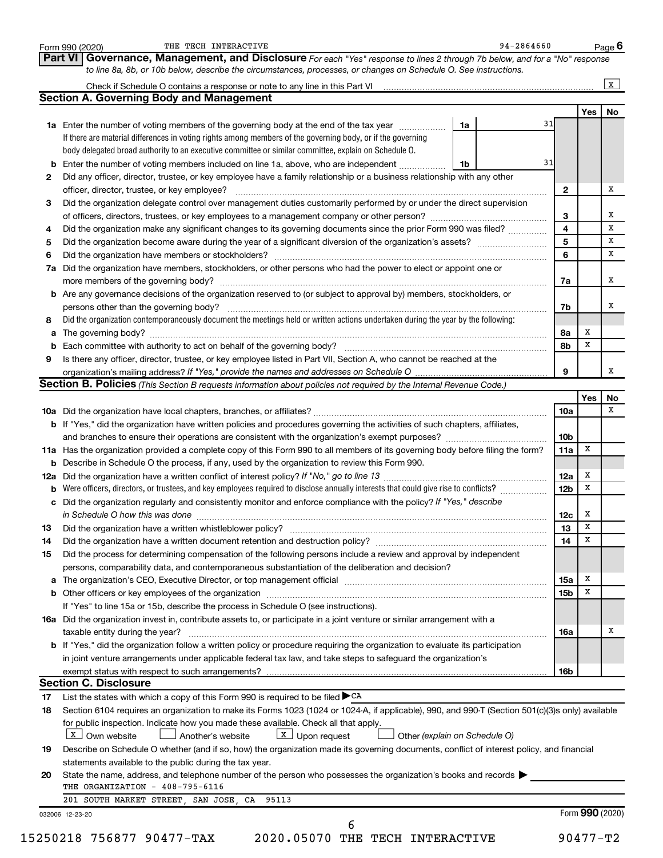|                                                                                                                                                                                                                                                                                                                                                                                                                                                                                                                                                                                                                                                                                                                                                                                                                                                                                                                                                                                                                                                                                                                                                                                                                                                                                                                                                                                                                                                                                                                                                                                                                                                                                                                                                                                                                                                                                                                                                                                                                                                                                                                                                                                                                                                                                                                                                                                                                                                                                                                                                                                                                                                                                                                                                                                                                                                                                                                                                                                                                                                                                                                                                                                                                                                                                                                                                                                                                                                                                                                                                                                                                                                                                                                                                                                                                                                                                                                                                                                                                                                                                                                                                                                                                                                                                              | THE TECH INTERACTIVE                                                                                                                      |  |  |                 |                 | Page 6       |
|----------------------------------------------------------------------------------------------------------------------------------------------------------------------------------------------------------------------------------------------------------------------------------------------------------------------------------------------------------------------------------------------------------------------------------------------------------------------------------------------------------------------------------------------------------------------------------------------------------------------------------------------------------------------------------------------------------------------------------------------------------------------------------------------------------------------------------------------------------------------------------------------------------------------------------------------------------------------------------------------------------------------------------------------------------------------------------------------------------------------------------------------------------------------------------------------------------------------------------------------------------------------------------------------------------------------------------------------------------------------------------------------------------------------------------------------------------------------------------------------------------------------------------------------------------------------------------------------------------------------------------------------------------------------------------------------------------------------------------------------------------------------------------------------------------------------------------------------------------------------------------------------------------------------------------------------------------------------------------------------------------------------------------------------------------------------------------------------------------------------------------------------------------------------------------------------------------------------------------------------------------------------------------------------------------------------------------------------------------------------------------------------------------------------------------------------------------------------------------------------------------------------------------------------------------------------------------------------------------------------------------------------------------------------------------------------------------------------------------------------------------------------------------------------------------------------------------------------------------------------------------------------------------------------------------------------------------------------------------------------------------------------------------------------------------------------------------------------------------------------------------------------------------------------------------------------------------------------------------------------------------------------------------------------------------------------------------------------------------------------------------------------------------------------------------------------------------------------------------------------------------------------------------------------------------------------------------------------------------------------------------------------------------------------------------------------------------------------------------------------------------------------------------------------------------------------------------------------------------------------------------------------------------------------------------------------------------------------------------------------------------------------------------------------------------------------------------------------------------------------------------------------------------------------------------------------------------------------------------------------------------------------------------------------|-------------------------------------------------------------------------------------------------------------------------------------------|--|--|-----------------|-----------------|--------------|
|                                                                                                                                                                                                                                                                                                                                                                                                                                                                                                                                                                                                                                                                                                                                                                                                                                                                                                                                                                                                                                                                                                                                                                                                                                                                                                                                                                                                                                                                                                                                                                                                                                                                                                                                                                                                                                                                                                                                                                                                                                                                                                                                                                                                                                                                                                                                                                                                                                                                                                                                                                                                                                                                                                                                                                                                                                                                                                                                                                                                                                                                                                                                                                                                                                                                                                                                                                                                                                                                                                                                                                                                                                                                                                                                                                                                                                                                                                                                                                                                                                                                                                                                                                                                                                                                                              |                                                                                                                                           |  |  |                 |                 |              |
|                                                                                                                                                                                                                                                                                                                                                                                                                                                                                                                                                                                                                                                                                                                                                                                                                                                                                                                                                                                                                                                                                                                                                                                                                                                                                                                                                                                                                                                                                                                                                                                                                                                                                                                                                                                                                                                                                                                                                                                                                                                                                                                                                                                                                                                                                                                                                                                                                                                                                                                                                                                                                                                                                                                                                                                                                                                                                                                                                                                                                                                                                                                                                                                                                                                                                                                                                                                                                                                                                                                                                                                                                                                                                                                                                                                                                                                                                                                                                                                                                                                                                                                                                                                                                                                                                              |                                                                                                                                           |  |  |                 |                 |              |
|                                                                                                                                                                                                                                                                                                                                                                                                                                                                                                                                                                                                                                                                                                                                                                                                                                                                                                                                                                                                                                                                                                                                                                                                                                                                                                                                                                                                                                                                                                                                                                                                                                                                                                                                                                                                                                                                                                                                                                                                                                                                                                                                                                                                                                                                                                                                                                                                                                                                                                                                                                                                                                                                                                                                                                                                                                                                                                                                                                                                                                                                                                                                                                                                                                                                                                                                                                                                                                                                                                                                                                                                                                                                                                                                                                                                                                                                                                                                                                                                                                                                                                                                                                                                                                                                                              |                                                                                                                                           |  |  |                 |                 | $\mathbf{x}$ |
| 94-2864660<br>Form 990 (2020)<br>Governance, Management, and Disclosure For each "Yes" response to lines 2 through 7b below, and for a "No" response<br>Part VI<br>to line 8a, 8b, or 10b below, describe the circumstances, processes, or changes on Schedule O. See instructions.<br><b>Section A. Governing Body and Management</b><br>31<br>1a Enter the number of voting members of the governing body at the end of the tax year <i>manumum</i><br>1a<br>If there are material differences in voting rights among members of the governing body, or if the governing<br>body delegated broad authority to an executive committee or similar committee, explain on Schedule O.<br>31<br><b>b</b> Enter the number of voting members included on line 1a, above, who are independent<br>1b<br>Did any officer, director, trustee, or key employee have a family relationship or a business relationship with any other<br>2<br>officer, director, trustee, or key employee?<br>$\mathbf{2}$<br>Did the organization delegate control over management duties customarily performed by or under the direct supervision<br>3<br>3<br>$\overline{\mathbf{4}}$<br>Did the organization make any significant changes to its governing documents since the prior Form 990 was filed?<br>4<br>5<br>5<br>6<br>6<br>Did the organization have members, stockholders, or other persons who had the power to elect or appoint one or<br>7a<br><b>b</b> Are any governance decisions of the organization reserved to (or subject to approval by) members, stockholders, or<br>persons other than the governing body?<br>Did the organization contemporaneously document the meetings held or written actions undertaken during the year by the following:<br>8<br>а<br>b<br>Is there any officer, director, trustee, or key employee listed in Part VII, Section A, who cannot be reached at the<br>9<br>9<br><b>Section B. Policies</b> (This Section B requests information about policies not required by the Internal Revenue Code.)<br>10a<br>b If "Yes," did the organization have written policies and procedures governing the activities of such chapters, affiliates,<br>10 <sub>b</sub><br>11a Has the organization provided a complete copy of this Form 990 to all members of its governing body before filing the form?<br>11a<br><b>b</b> Describe in Schedule O the process, if any, used by the organization to review this Form 990.<br>12a<br><b>b</b> Were officers, directors, or trustees, and key employees required to disclose annually interests that could give rise to conflicts?<br>12 <sub>b</sub><br>c Did the organization regularly and consistently monitor and enforce compliance with the policy? If "Yes," describe<br>in Schedule O how this was done <b>construction and construction</b> construction of the set of the set of the set of the set of the set of the set of the set of the set of the set of the set of the set of the set of the set of<br>13<br>14<br>Did the process for determining compensation of the following persons include a review and approval by independent<br>15<br>persons, comparability data, and contemporaneous substantiation of the deliberation and decision?<br>The organization's CEO, Executive Director, or top management official manufactured content of the organization's CEO, Executive Director, or top management official manufactured content of the organization's CEO, Executiv<br>a<br>If "Yes" to line 15a or 15b, describe the process in Schedule O (see instructions).<br>16a Did the organization invest in, contribute assets to, or participate in a joint venture or similar arrangement with a<br>taxable entity during the year?<br>b If "Yes," did the organization follow a written policy or procedure requiring the organization to evaluate its participation<br>in joint venture arrangements under applicable federal tax law, and take steps to safeguard the organization's<br><b>Section C. Disclosure</b><br>List the states with which a copy of this Form 990 is required to be filed $\blacktriangleright$ CA<br>17<br>Section 6104 requires an organization to make its Forms 1023 (1024 or 1024-A, if applicable), 990, and 990-T (Section 501(c)(3)s only) available<br>18 |                                                                                                                                           |  |  |                 |                 |              |
|                                                                                                                                                                                                                                                                                                                                                                                                                                                                                                                                                                                                                                                                                                                                                                                                                                                                                                                                                                                                                                                                                                                                                                                                                                                                                                                                                                                                                                                                                                                                                                                                                                                                                                                                                                                                                                                                                                                                                                                                                                                                                                                                                                                                                                                                                                                                                                                                                                                                                                                                                                                                                                                                                                                                                                                                                                                                                                                                                                                                                                                                                                                                                                                                                                                                                                                                                                                                                                                                                                                                                                                                                                                                                                                                                                                                                                                                                                                                                                                                                                                                                                                                                                                                                                                                                              |                                                                                                                                           |  |  |                 | Yes             | No           |
|                                                                                                                                                                                                                                                                                                                                                                                                                                                                                                                                                                                                                                                                                                                                                                                                                                                                                                                                                                                                                                                                                                                                                                                                                                                                                                                                                                                                                                                                                                                                                                                                                                                                                                                                                                                                                                                                                                                                                                                                                                                                                                                                                                                                                                                                                                                                                                                                                                                                                                                                                                                                                                                                                                                                                                                                                                                                                                                                                                                                                                                                                                                                                                                                                                                                                                                                                                                                                                                                                                                                                                                                                                                                                                                                                                                                                                                                                                                                                                                                                                                                                                                                                                                                                                                                                              |                                                                                                                                           |  |  |                 |                 |              |
|                                                                                                                                                                                                                                                                                                                                                                                                                                                                                                                                                                                                                                                                                                                                                                                                                                                                                                                                                                                                                                                                                                                                                                                                                                                                                                                                                                                                                                                                                                                                                                                                                                                                                                                                                                                                                                                                                                                                                                                                                                                                                                                                                                                                                                                                                                                                                                                                                                                                                                                                                                                                                                                                                                                                                                                                                                                                                                                                                                                                                                                                                                                                                                                                                                                                                                                                                                                                                                                                                                                                                                                                                                                                                                                                                                                                                                                                                                                                                                                                                                                                                                                                                                                                                                                                                              |                                                                                                                                           |  |  |                 |                 |              |
|                                                                                                                                                                                                                                                                                                                                                                                                                                                                                                                                                                                                                                                                                                                                                                                                                                                                                                                                                                                                                                                                                                                                                                                                                                                                                                                                                                                                                                                                                                                                                                                                                                                                                                                                                                                                                                                                                                                                                                                                                                                                                                                                                                                                                                                                                                                                                                                                                                                                                                                                                                                                                                                                                                                                                                                                                                                                                                                                                                                                                                                                                                                                                                                                                                                                                                                                                                                                                                                                                                                                                                                                                                                                                                                                                                                                                                                                                                                                                                                                                                                                                                                                                                                                                                                                                              |                                                                                                                                           |  |  |                 |                 |              |
|                                                                                                                                                                                                                                                                                                                                                                                                                                                                                                                                                                                                                                                                                                                                                                                                                                                                                                                                                                                                                                                                                                                                                                                                                                                                                                                                                                                                                                                                                                                                                                                                                                                                                                                                                                                                                                                                                                                                                                                                                                                                                                                                                                                                                                                                                                                                                                                                                                                                                                                                                                                                                                                                                                                                                                                                                                                                                                                                                                                                                                                                                                                                                                                                                                                                                                                                                                                                                                                                                                                                                                                                                                                                                                                                                                                                                                                                                                                                                                                                                                                                                                                                                                                                                                                                                              |                                                                                                                                           |  |  |                 |                 |              |
|                                                                                                                                                                                                                                                                                                                                                                                                                                                                                                                                                                                                                                                                                                                                                                                                                                                                                                                                                                                                                                                                                                                                                                                                                                                                                                                                                                                                                                                                                                                                                                                                                                                                                                                                                                                                                                                                                                                                                                                                                                                                                                                                                                                                                                                                                                                                                                                                                                                                                                                                                                                                                                                                                                                                                                                                                                                                                                                                                                                                                                                                                                                                                                                                                                                                                                                                                                                                                                                                                                                                                                                                                                                                                                                                                                                                                                                                                                                                                                                                                                                                                                                                                                                                                                                                                              |                                                                                                                                           |  |  |                 |                 | Х            |
|                                                                                                                                                                                                                                                                                                                                                                                                                                                                                                                                                                                                                                                                                                                                                                                                                                                                                                                                                                                                                                                                                                                                                                                                                                                                                                                                                                                                                                                                                                                                                                                                                                                                                                                                                                                                                                                                                                                                                                                                                                                                                                                                                                                                                                                                                                                                                                                                                                                                                                                                                                                                                                                                                                                                                                                                                                                                                                                                                                                                                                                                                                                                                                                                                                                                                                                                                                                                                                                                                                                                                                                                                                                                                                                                                                                                                                                                                                                                                                                                                                                                                                                                                                                                                                                                                              |                                                                                                                                           |  |  |                 |                 |              |
|                                                                                                                                                                                                                                                                                                                                                                                                                                                                                                                                                                                                                                                                                                                                                                                                                                                                                                                                                                                                                                                                                                                                                                                                                                                                                                                                                                                                                                                                                                                                                                                                                                                                                                                                                                                                                                                                                                                                                                                                                                                                                                                                                                                                                                                                                                                                                                                                                                                                                                                                                                                                                                                                                                                                                                                                                                                                                                                                                                                                                                                                                                                                                                                                                                                                                                                                                                                                                                                                                                                                                                                                                                                                                                                                                                                                                                                                                                                                                                                                                                                                                                                                                                                                                                                                                              |                                                                                                                                           |  |  |                 |                 | Х            |
|                                                                                                                                                                                                                                                                                                                                                                                                                                                                                                                                                                                                                                                                                                                                                                                                                                                                                                                                                                                                                                                                                                                                                                                                                                                                                                                                                                                                                                                                                                                                                                                                                                                                                                                                                                                                                                                                                                                                                                                                                                                                                                                                                                                                                                                                                                                                                                                                                                                                                                                                                                                                                                                                                                                                                                                                                                                                                                                                                                                                                                                                                                                                                                                                                                                                                                                                                                                                                                                                                                                                                                                                                                                                                                                                                                                                                                                                                                                                                                                                                                                                                                                                                                                                                                                                                              |                                                                                                                                           |  |  |                 |                 | х            |
|                                                                                                                                                                                                                                                                                                                                                                                                                                                                                                                                                                                                                                                                                                                                                                                                                                                                                                                                                                                                                                                                                                                                                                                                                                                                                                                                                                                                                                                                                                                                                                                                                                                                                                                                                                                                                                                                                                                                                                                                                                                                                                                                                                                                                                                                                                                                                                                                                                                                                                                                                                                                                                                                                                                                                                                                                                                                                                                                                                                                                                                                                                                                                                                                                                                                                                                                                                                                                                                                                                                                                                                                                                                                                                                                                                                                                                                                                                                                                                                                                                                                                                                                                                                                                                                                                              |                                                                                                                                           |  |  |                 |                 | X            |
|                                                                                                                                                                                                                                                                                                                                                                                                                                                                                                                                                                                                                                                                                                                                                                                                                                                                                                                                                                                                                                                                                                                                                                                                                                                                                                                                                                                                                                                                                                                                                                                                                                                                                                                                                                                                                                                                                                                                                                                                                                                                                                                                                                                                                                                                                                                                                                                                                                                                                                                                                                                                                                                                                                                                                                                                                                                                                                                                                                                                                                                                                                                                                                                                                                                                                                                                                                                                                                                                                                                                                                                                                                                                                                                                                                                                                                                                                                                                                                                                                                                                                                                                                                                                                                                                                              |                                                                                                                                           |  |  |                 |                 | x            |
|                                                                                                                                                                                                                                                                                                                                                                                                                                                                                                                                                                                                                                                                                                                                                                                                                                                                                                                                                                                                                                                                                                                                                                                                                                                                                                                                                                                                                                                                                                                                                                                                                                                                                                                                                                                                                                                                                                                                                                                                                                                                                                                                                                                                                                                                                                                                                                                                                                                                                                                                                                                                                                                                                                                                                                                                                                                                                                                                                                                                                                                                                                                                                                                                                                                                                                                                                                                                                                                                                                                                                                                                                                                                                                                                                                                                                                                                                                                                                                                                                                                                                                                                                                                                                                                                                              |                                                                                                                                           |  |  |                 |                 |              |
|                                                                                                                                                                                                                                                                                                                                                                                                                                                                                                                                                                                                                                                                                                                                                                                                                                                                                                                                                                                                                                                                                                                                                                                                                                                                                                                                                                                                                                                                                                                                                                                                                                                                                                                                                                                                                                                                                                                                                                                                                                                                                                                                                                                                                                                                                                                                                                                                                                                                                                                                                                                                                                                                                                                                                                                                                                                                                                                                                                                                                                                                                                                                                                                                                                                                                                                                                                                                                                                                                                                                                                                                                                                                                                                                                                                                                                                                                                                                                                                                                                                                                                                                                                                                                                                                                              |                                                                                                                                           |  |  | 7a              |                 | х            |
|                                                                                                                                                                                                                                                                                                                                                                                                                                                                                                                                                                                                                                                                                                                                                                                                                                                                                                                                                                                                                                                                                                                                                                                                                                                                                                                                                                                                                                                                                                                                                                                                                                                                                                                                                                                                                                                                                                                                                                                                                                                                                                                                                                                                                                                                                                                                                                                                                                                                                                                                                                                                                                                                                                                                                                                                                                                                                                                                                                                                                                                                                                                                                                                                                                                                                                                                                                                                                                                                                                                                                                                                                                                                                                                                                                                                                                                                                                                                                                                                                                                                                                                                                                                                                                                                                              |                                                                                                                                           |  |  |                 |                 |              |
|                                                                                                                                                                                                                                                                                                                                                                                                                                                                                                                                                                                                                                                                                                                                                                                                                                                                                                                                                                                                                                                                                                                                                                                                                                                                                                                                                                                                                                                                                                                                                                                                                                                                                                                                                                                                                                                                                                                                                                                                                                                                                                                                                                                                                                                                                                                                                                                                                                                                                                                                                                                                                                                                                                                                                                                                                                                                                                                                                                                                                                                                                                                                                                                                                                                                                                                                                                                                                                                                                                                                                                                                                                                                                                                                                                                                                                                                                                                                                                                                                                                                                                                                                                                                                                                                                              |                                                                                                                                           |  |  | 7b              |                 | х            |
|                                                                                                                                                                                                                                                                                                                                                                                                                                                                                                                                                                                                                                                                                                                                                                                                                                                                                                                                                                                                                                                                                                                                                                                                                                                                                                                                                                                                                                                                                                                                                                                                                                                                                                                                                                                                                                                                                                                                                                                                                                                                                                                                                                                                                                                                                                                                                                                                                                                                                                                                                                                                                                                                                                                                                                                                                                                                                                                                                                                                                                                                                                                                                                                                                                                                                                                                                                                                                                                                                                                                                                                                                                                                                                                                                                                                                                                                                                                                                                                                                                                                                                                                                                                                                                                                                              |                                                                                                                                           |  |  |                 |                 |              |
|                                                                                                                                                                                                                                                                                                                                                                                                                                                                                                                                                                                                                                                                                                                                                                                                                                                                                                                                                                                                                                                                                                                                                                                                                                                                                                                                                                                                                                                                                                                                                                                                                                                                                                                                                                                                                                                                                                                                                                                                                                                                                                                                                                                                                                                                                                                                                                                                                                                                                                                                                                                                                                                                                                                                                                                                                                                                                                                                                                                                                                                                                                                                                                                                                                                                                                                                                                                                                                                                                                                                                                                                                                                                                                                                                                                                                                                                                                                                                                                                                                                                                                                                                                                                                                                                                              |                                                                                                                                           |  |  | 8а              | х               |              |
|                                                                                                                                                                                                                                                                                                                                                                                                                                                                                                                                                                                                                                                                                                                                                                                                                                                                                                                                                                                                                                                                                                                                                                                                                                                                                                                                                                                                                                                                                                                                                                                                                                                                                                                                                                                                                                                                                                                                                                                                                                                                                                                                                                                                                                                                                                                                                                                                                                                                                                                                                                                                                                                                                                                                                                                                                                                                                                                                                                                                                                                                                                                                                                                                                                                                                                                                                                                                                                                                                                                                                                                                                                                                                                                                                                                                                                                                                                                                                                                                                                                                                                                                                                                                                                                                                              |                                                                                                                                           |  |  | 8b              | х               |              |
|                                                                                                                                                                                                                                                                                                                                                                                                                                                                                                                                                                                                                                                                                                                                                                                                                                                                                                                                                                                                                                                                                                                                                                                                                                                                                                                                                                                                                                                                                                                                                                                                                                                                                                                                                                                                                                                                                                                                                                                                                                                                                                                                                                                                                                                                                                                                                                                                                                                                                                                                                                                                                                                                                                                                                                                                                                                                                                                                                                                                                                                                                                                                                                                                                                                                                                                                                                                                                                                                                                                                                                                                                                                                                                                                                                                                                                                                                                                                                                                                                                                                                                                                                                                                                                                                                              |                                                                                                                                           |  |  |                 |                 |              |
|                                                                                                                                                                                                                                                                                                                                                                                                                                                                                                                                                                                                                                                                                                                                                                                                                                                                                                                                                                                                                                                                                                                                                                                                                                                                                                                                                                                                                                                                                                                                                                                                                                                                                                                                                                                                                                                                                                                                                                                                                                                                                                                                                                                                                                                                                                                                                                                                                                                                                                                                                                                                                                                                                                                                                                                                                                                                                                                                                                                                                                                                                                                                                                                                                                                                                                                                                                                                                                                                                                                                                                                                                                                                                                                                                                                                                                                                                                                                                                                                                                                                                                                                                                                                                                                                                              |                                                                                                                                           |  |  |                 |                 | х            |
|                                                                                                                                                                                                                                                                                                                                                                                                                                                                                                                                                                                                                                                                                                                                                                                                                                                                                                                                                                                                                                                                                                                                                                                                                                                                                                                                                                                                                                                                                                                                                                                                                                                                                                                                                                                                                                                                                                                                                                                                                                                                                                                                                                                                                                                                                                                                                                                                                                                                                                                                                                                                                                                                                                                                                                                                                                                                                                                                                                                                                                                                                                                                                                                                                                                                                                                                                                                                                                                                                                                                                                                                                                                                                                                                                                                                                                                                                                                                                                                                                                                                                                                                                                                                                                                                                              |                                                                                                                                           |  |  |                 |                 |              |
|                                                                                                                                                                                                                                                                                                                                                                                                                                                                                                                                                                                                                                                                                                                                                                                                                                                                                                                                                                                                                                                                                                                                                                                                                                                                                                                                                                                                                                                                                                                                                                                                                                                                                                                                                                                                                                                                                                                                                                                                                                                                                                                                                                                                                                                                                                                                                                                                                                                                                                                                                                                                                                                                                                                                                                                                                                                                                                                                                                                                                                                                                                                                                                                                                                                                                                                                                                                                                                                                                                                                                                                                                                                                                                                                                                                                                                                                                                                                                                                                                                                                                                                                                                                                                                                                                              |                                                                                                                                           |  |  |                 | Yes             | No<br>x      |
|                                                                                                                                                                                                                                                                                                                                                                                                                                                                                                                                                                                                                                                                                                                                                                                                                                                                                                                                                                                                                                                                                                                                                                                                                                                                                                                                                                                                                                                                                                                                                                                                                                                                                                                                                                                                                                                                                                                                                                                                                                                                                                                                                                                                                                                                                                                                                                                                                                                                                                                                                                                                                                                                                                                                                                                                                                                                                                                                                                                                                                                                                                                                                                                                                                                                                                                                                                                                                                                                                                                                                                                                                                                                                                                                                                                                                                                                                                                                                                                                                                                                                                                                                                                                                                                                                              |                                                                                                                                           |  |  |                 |                 |              |
|                                                                                                                                                                                                                                                                                                                                                                                                                                                                                                                                                                                                                                                                                                                                                                                                                                                                                                                                                                                                                                                                                                                                                                                                                                                                                                                                                                                                                                                                                                                                                                                                                                                                                                                                                                                                                                                                                                                                                                                                                                                                                                                                                                                                                                                                                                                                                                                                                                                                                                                                                                                                                                                                                                                                                                                                                                                                                                                                                                                                                                                                                                                                                                                                                                                                                                                                                                                                                                                                                                                                                                                                                                                                                                                                                                                                                                                                                                                                                                                                                                                                                                                                                                                                                                                                                              |                                                                                                                                           |  |  |                 |                 |              |
|                                                                                                                                                                                                                                                                                                                                                                                                                                                                                                                                                                                                                                                                                                                                                                                                                                                                                                                                                                                                                                                                                                                                                                                                                                                                                                                                                                                                                                                                                                                                                                                                                                                                                                                                                                                                                                                                                                                                                                                                                                                                                                                                                                                                                                                                                                                                                                                                                                                                                                                                                                                                                                                                                                                                                                                                                                                                                                                                                                                                                                                                                                                                                                                                                                                                                                                                                                                                                                                                                                                                                                                                                                                                                                                                                                                                                                                                                                                                                                                                                                                                                                                                                                                                                                                                                              |                                                                                                                                           |  |  |                 | x               |              |
|                                                                                                                                                                                                                                                                                                                                                                                                                                                                                                                                                                                                                                                                                                                                                                                                                                                                                                                                                                                                                                                                                                                                                                                                                                                                                                                                                                                                                                                                                                                                                                                                                                                                                                                                                                                                                                                                                                                                                                                                                                                                                                                                                                                                                                                                                                                                                                                                                                                                                                                                                                                                                                                                                                                                                                                                                                                                                                                                                                                                                                                                                                                                                                                                                                                                                                                                                                                                                                                                                                                                                                                                                                                                                                                                                                                                                                                                                                                                                                                                                                                                                                                                                                                                                                                                                              |                                                                                                                                           |  |  |                 |                 |              |
|                                                                                                                                                                                                                                                                                                                                                                                                                                                                                                                                                                                                                                                                                                                                                                                                                                                                                                                                                                                                                                                                                                                                                                                                                                                                                                                                                                                                                                                                                                                                                                                                                                                                                                                                                                                                                                                                                                                                                                                                                                                                                                                                                                                                                                                                                                                                                                                                                                                                                                                                                                                                                                                                                                                                                                                                                                                                                                                                                                                                                                                                                                                                                                                                                                                                                                                                                                                                                                                                                                                                                                                                                                                                                                                                                                                                                                                                                                                                                                                                                                                                                                                                                                                                                                                                                              |                                                                                                                                           |  |  |                 | x               |              |
|                                                                                                                                                                                                                                                                                                                                                                                                                                                                                                                                                                                                                                                                                                                                                                                                                                                                                                                                                                                                                                                                                                                                                                                                                                                                                                                                                                                                                                                                                                                                                                                                                                                                                                                                                                                                                                                                                                                                                                                                                                                                                                                                                                                                                                                                                                                                                                                                                                                                                                                                                                                                                                                                                                                                                                                                                                                                                                                                                                                                                                                                                                                                                                                                                                                                                                                                                                                                                                                                                                                                                                                                                                                                                                                                                                                                                                                                                                                                                                                                                                                                                                                                                                                                                                                                                              |                                                                                                                                           |  |  |                 | x               |              |
|                                                                                                                                                                                                                                                                                                                                                                                                                                                                                                                                                                                                                                                                                                                                                                                                                                                                                                                                                                                                                                                                                                                                                                                                                                                                                                                                                                                                                                                                                                                                                                                                                                                                                                                                                                                                                                                                                                                                                                                                                                                                                                                                                                                                                                                                                                                                                                                                                                                                                                                                                                                                                                                                                                                                                                                                                                                                                                                                                                                                                                                                                                                                                                                                                                                                                                                                                                                                                                                                                                                                                                                                                                                                                                                                                                                                                                                                                                                                                                                                                                                                                                                                                                                                                                                                                              |                                                                                                                                           |  |  |                 |                 |              |
|                                                                                                                                                                                                                                                                                                                                                                                                                                                                                                                                                                                                                                                                                                                                                                                                                                                                                                                                                                                                                                                                                                                                                                                                                                                                                                                                                                                                                                                                                                                                                                                                                                                                                                                                                                                                                                                                                                                                                                                                                                                                                                                                                                                                                                                                                                                                                                                                                                                                                                                                                                                                                                                                                                                                                                                                                                                                                                                                                                                                                                                                                                                                                                                                                                                                                                                                                                                                                                                                                                                                                                                                                                                                                                                                                                                                                                                                                                                                                                                                                                                                                                                                                                                                                                                                                              |                                                                                                                                           |  |  | 12c             | x               |              |
|                                                                                                                                                                                                                                                                                                                                                                                                                                                                                                                                                                                                                                                                                                                                                                                                                                                                                                                                                                                                                                                                                                                                                                                                                                                                                                                                                                                                                                                                                                                                                                                                                                                                                                                                                                                                                                                                                                                                                                                                                                                                                                                                                                                                                                                                                                                                                                                                                                                                                                                                                                                                                                                                                                                                                                                                                                                                                                                                                                                                                                                                                                                                                                                                                                                                                                                                                                                                                                                                                                                                                                                                                                                                                                                                                                                                                                                                                                                                                                                                                                                                                                                                                                                                                                                                                              |                                                                                                                                           |  |  | 13              | $\mathbf X$     |              |
|                                                                                                                                                                                                                                                                                                                                                                                                                                                                                                                                                                                                                                                                                                                                                                                                                                                                                                                                                                                                                                                                                                                                                                                                                                                                                                                                                                                                                                                                                                                                                                                                                                                                                                                                                                                                                                                                                                                                                                                                                                                                                                                                                                                                                                                                                                                                                                                                                                                                                                                                                                                                                                                                                                                                                                                                                                                                                                                                                                                                                                                                                                                                                                                                                                                                                                                                                                                                                                                                                                                                                                                                                                                                                                                                                                                                                                                                                                                                                                                                                                                                                                                                                                                                                                                                                              |                                                                                                                                           |  |  | 14              | Х               |              |
|                                                                                                                                                                                                                                                                                                                                                                                                                                                                                                                                                                                                                                                                                                                                                                                                                                                                                                                                                                                                                                                                                                                                                                                                                                                                                                                                                                                                                                                                                                                                                                                                                                                                                                                                                                                                                                                                                                                                                                                                                                                                                                                                                                                                                                                                                                                                                                                                                                                                                                                                                                                                                                                                                                                                                                                                                                                                                                                                                                                                                                                                                                                                                                                                                                                                                                                                                                                                                                                                                                                                                                                                                                                                                                                                                                                                                                                                                                                                                                                                                                                                                                                                                                                                                                                                                              |                                                                                                                                           |  |  |                 |                 |              |
|                                                                                                                                                                                                                                                                                                                                                                                                                                                                                                                                                                                                                                                                                                                                                                                                                                                                                                                                                                                                                                                                                                                                                                                                                                                                                                                                                                                                                                                                                                                                                                                                                                                                                                                                                                                                                                                                                                                                                                                                                                                                                                                                                                                                                                                                                                                                                                                                                                                                                                                                                                                                                                                                                                                                                                                                                                                                                                                                                                                                                                                                                                                                                                                                                                                                                                                                                                                                                                                                                                                                                                                                                                                                                                                                                                                                                                                                                                                                                                                                                                                                                                                                                                                                                                                                                              |                                                                                                                                           |  |  |                 |                 |              |
|                                                                                                                                                                                                                                                                                                                                                                                                                                                                                                                                                                                                                                                                                                                                                                                                                                                                                                                                                                                                                                                                                                                                                                                                                                                                                                                                                                                                                                                                                                                                                                                                                                                                                                                                                                                                                                                                                                                                                                                                                                                                                                                                                                                                                                                                                                                                                                                                                                                                                                                                                                                                                                                                                                                                                                                                                                                                                                                                                                                                                                                                                                                                                                                                                                                                                                                                                                                                                                                                                                                                                                                                                                                                                                                                                                                                                                                                                                                                                                                                                                                                                                                                                                                                                                                                                              |                                                                                                                                           |  |  | 15a             | x               |              |
|                                                                                                                                                                                                                                                                                                                                                                                                                                                                                                                                                                                                                                                                                                                                                                                                                                                                                                                                                                                                                                                                                                                                                                                                                                                                                                                                                                                                                                                                                                                                                                                                                                                                                                                                                                                                                                                                                                                                                                                                                                                                                                                                                                                                                                                                                                                                                                                                                                                                                                                                                                                                                                                                                                                                                                                                                                                                                                                                                                                                                                                                                                                                                                                                                                                                                                                                                                                                                                                                                                                                                                                                                                                                                                                                                                                                                                                                                                                                                                                                                                                                                                                                                                                                                                                                                              |                                                                                                                                           |  |  | 15 <sub>b</sub> | Х               |              |
|                                                                                                                                                                                                                                                                                                                                                                                                                                                                                                                                                                                                                                                                                                                                                                                                                                                                                                                                                                                                                                                                                                                                                                                                                                                                                                                                                                                                                                                                                                                                                                                                                                                                                                                                                                                                                                                                                                                                                                                                                                                                                                                                                                                                                                                                                                                                                                                                                                                                                                                                                                                                                                                                                                                                                                                                                                                                                                                                                                                                                                                                                                                                                                                                                                                                                                                                                                                                                                                                                                                                                                                                                                                                                                                                                                                                                                                                                                                                                                                                                                                                                                                                                                                                                                                                                              |                                                                                                                                           |  |  |                 |                 |              |
|                                                                                                                                                                                                                                                                                                                                                                                                                                                                                                                                                                                                                                                                                                                                                                                                                                                                                                                                                                                                                                                                                                                                                                                                                                                                                                                                                                                                                                                                                                                                                                                                                                                                                                                                                                                                                                                                                                                                                                                                                                                                                                                                                                                                                                                                                                                                                                                                                                                                                                                                                                                                                                                                                                                                                                                                                                                                                                                                                                                                                                                                                                                                                                                                                                                                                                                                                                                                                                                                                                                                                                                                                                                                                                                                                                                                                                                                                                                                                                                                                                                                                                                                                                                                                                                                                              |                                                                                                                                           |  |  |                 |                 |              |
|                                                                                                                                                                                                                                                                                                                                                                                                                                                                                                                                                                                                                                                                                                                                                                                                                                                                                                                                                                                                                                                                                                                                                                                                                                                                                                                                                                                                                                                                                                                                                                                                                                                                                                                                                                                                                                                                                                                                                                                                                                                                                                                                                                                                                                                                                                                                                                                                                                                                                                                                                                                                                                                                                                                                                                                                                                                                                                                                                                                                                                                                                                                                                                                                                                                                                                                                                                                                                                                                                                                                                                                                                                                                                                                                                                                                                                                                                                                                                                                                                                                                                                                                                                                                                                                                                              |                                                                                                                                           |  |  | 16a             |                 | Х            |
|                                                                                                                                                                                                                                                                                                                                                                                                                                                                                                                                                                                                                                                                                                                                                                                                                                                                                                                                                                                                                                                                                                                                                                                                                                                                                                                                                                                                                                                                                                                                                                                                                                                                                                                                                                                                                                                                                                                                                                                                                                                                                                                                                                                                                                                                                                                                                                                                                                                                                                                                                                                                                                                                                                                                                                                                                                                                                                                                                                                                                                                                                                                                                                                                                                                                                                                                                                                                                                                                                                                                                                                                                                                                                                                                                                                                                                                                                                                                                                                                                                                                                                                                                                                                                                                                                              |                                                                                                                                           |  |  |                 |                 |              |
|                                                                                                                                                                                                                                                                                                                                                                                                                                                                                                                                                                                                                                                                                                                                                                                                                                                                                                                                                                                                                                                                                                                                                                                                                                                                                                                                                                                                                                                                                                                                                                                                                                                                                                                                                                                                                                                                                                                                                                                                                                                                                                                                                                                                                                                                                                                                                                                                                                                                                                                                                                                                                                                                                                                                                                                                                                                                                                                                                                                                                                                                                                                                                                                                                                                                                                                                                                                                                                                                                                                                                                                                                                                                                                                                                                                                                                                                                                                                                                                                                                                                                                                                                                                                                                                                                              |                                                                                                                                           |  |  |                 |                 |              |
|                                                                                                                                                                                                                                                                                                                                                                                                                                                                                                                                                                                                                                                                                                                                                                                                                                                                                                                                                                                                                                                                                                                                                                                                                                                                                                                                                                                                                                                                                                                                                                                                                                                                                                                                                                                                                                                                                                                                                                                                                                                                                                                                                                                                                                                                                                                                                                                                                                                                                                                                                                                                                                                                                                                                                                                                                                                                                                                                                                                                                                                                                                                                                                                                                                                                                                                                                                                                                                                                                                                                                                                                                                                                                                                                                                                                                                                                                                                                                                                                                                                                                                                                                                                                                                                                                              |                                                                                                                                           |  |  | 16b             |                 |              |
|                                                                                                                                                                                                                                                                                                                                                                                                                                                                                                                                                                                                                                                                                                                                                                                                                                                                                                                                                                                                                                                                                                                                                                                                                                                                                                                                                                                                                                                                                                                                                                                                                                                                                                                                                                                                                                                                                                                                                                                                                                                                                                                                                                                                                                                                                                                                                                                                                                                                                                                                                                                                                                                                                                                                                                                                                                                                                                                                                                                                                                                                                                                                                                                                                                                                                                                                                                                                                                                                                                                                                                                                                                                                                                                                                                                                                                                                                                                                                                                                                                                                                                                                                                                                                                                                                              |                                                                                                                                           |  |  |                 |                 |              |
|                                                                                                                                                                                                                                                                                                                                                                                                                                                                                                                                                                                                                                                                                                                                                                                                                                                                                                                                                                                                                                                                                                                                                                                                                                                                                                                                                                                                                                                                                                                                                                                                                                                                                                                                                                                                                                                                                                                                                                                                                                                                                                                                                                                                                                                                                                                                                                                                                                                                                                                                                                                                                                                                                                                                                                                                                                                                                                                                                                                                                                                                                                                                                                                                                                                                                                                                                                                                                                                                                                                                                                                                                                                                                                                                                                                                                                                                                                                                                                                                                                                                                                                                                                                                                                                                                              |                                                                                                                                           |  |  |                 |                 |              |
|                                                                                                                                                                                                                                                                                                                                                                                                                                                                                                                                                                                                                                                                                                                                                                                                                                                                                                                                                                                                                                                                                                                                                                                                                                                                                                                                                                                                                                                                                                                                                                                                                                                                                                                                                                                                                                                                                                                                                                                                                                                                                                                                                                                                                                                                                                                                                                                                                                                                                                                                                                                                                                                                                                                                                                                                                                                                                                                                                                                                                                                                                                                                                                                                                                                                                                                                                                                                                                                                                                                                                                                                                                                                                                                                                                                                                                                                                                                                                                                                                                                                                                                                                                                                                                                                                              |                                                                                                                                           |  |  |                 |                 |              |
|                                                                                                                                                                                                                                                                                                                                                                                                                                                                                                                                                                                                                                                                                                                                                                                                                                                                                                                                                                                                                                                                                                                                                                                                                                                                                                                                                                                                                                                                                                                                                                                                                                                                                                                                                                                                                                                                                                                                                                                                                                                                                                                                                                                                                                                                                                                                                                                                                                                                                                                                                                                                                                                                                                                                                                                                                                                                                                                                                                                                                                                                                                                                                                                                                                                                                                                                                                                                                                                                                                                                                                                                                                                                                                                                                                                                                                                                                                                                                                                                                                                                                                                                                                                                                                                                                              | for public inspection. Indicate how you made these available. Check all that apply.                                                       |  |  |                 |                 |              |
|                                                                                                                                                                                                                                                                                                                                                                                                                                                                                                                                                                                                                                                                                                                                                                                                                                                                                                                                                                                                                                                                                                                                                                                                                                                                                                                                                                                                                                                                                                                                                                                                                                                                                                                                                                                                                                                                                                                                                                                                                                                                                                                                                                                                                                                                                                                                                                                                                                                                                                                                                                                                                                                                                                                                                                                                                                                                                                                                                                                                                                                                                                                                                                                                                                                                                                                                                                                                                                                                                                                                                                                                                                                                                                                                                                                                                                                                                                                                                                                                                                                                                                                                                                                                                                                                                              | $\boxed{\mathbf{x}}$ Upon request<br>$X$ Own website<br>Another's website<br>Other (explain on Schedule O)                                |  |  |                 |                 |              |
| 19                                                                                                                                                                                                                                                                                                                                                                                                                                                                                                                                                                                                                                                                                                                                                                                                                                                                                                                                                                                                                                                                                                                                                                                                                                                                                                                                                                                                                                                                                                                                                                                                                                                                                                                                                                                                                                                                                                                                                                                                                                                                                                                                                                                                                                                                                                                                                                                                                                                                                                                                                                                                                                                                                                                                                                                                                                                                                                                                                                                                                                                                                                                                                                                                                                                                                                                                                                                                                                                                                                                                                                                                                                                                                                                                                                                                                                                                                                                                                                                                                                                                                                                                                                                                                                                                                           | Describe on Schedule O whether (and if so, how) the organization made its governing documents, conflict of interest policy, and financial |  |  |                 |                 |              |
|                                                                                                                                                                                                                                                                                                                                                                                                                                                                                                                                                                                                                                                                                                                                                                                                                                                                                                                                                                                                                                                                                                                                                                                                                                                                                                                                                                                                                                                                                                                                                                                                                                                                                                                                                                                                                                                                                                                                                                                                                                                                                                                                                                                                                                                                                                                                                                                                                                                                                                                                                                                                                                                                                                                                                                                                                                                                                                                                                                                                                                                                                                                                                                                                                                                                                                                                                                                                                                                                                                                                                                                                                                                                                                                                                                                                                                                                                                                                                                                                                                                                                                                                                                                                                                                                                              | statements available to the public during the tax year.                                                                                   |  |  |                 |                 |              |
| 20                                                                                                                                                                                                                                                                                                                                                                                                                                                                                                                                                                                                                                                                                                                                                                                                                                                                                                                                                                                                                                                                                                                                                                                                                                                                                                                                                                                                                                                                                                                                                                                                                                                                                                                                                                                                                                                                                                                                                                                                                                                                                                                                                                                                                                                                                                                                                                                                                                                                                                                                                                                                                                                                                                                                                                                                                                                                                                                                                                                                                                                                                                                                                                                                                                                                                                                                                                                                                                                                                                                                                                                                                                                                                                                                                                                                                                                                                                                                                                                                                                                                                                                                                                                                                                                                                           | State the name, address, and telephone number of the person who possesses the organization's books and records                            |  |  |                 |                 |              |
|                                                                                                                                                                                                                                                                                                                                                                                                                                                                                                                                                                                                                                                                                                                                                                                                                                                                                                                                                                                                                                                                                                                                                                                                                                                                                                                                                                                                                                                                                                                                                                                                                                                                                                                                                                                                                                                                                                                                                                                                                                                                                                                                                                                                                                                                                                                                                                                                                                                                                                                                                                                                                                                                                                                                                                                                                                                                                                                                                                                                                                                                                                                                                                                                                                                                                                                                                                                                                                                                                                                                                                                                                                                                                                                                                                                                                                                                                                                                                                                                                                                                                                                                                                                                                                                                                              | THE ORGANIZATION - 408-795-6116                                                                                                           |  |  |                 |                 |              |
|                                                                                                                                                                                                                                                                                                                                                                                                                                                                                                                                                                                                                                                                                                                                                                                                                                                                                                                                                                                                                                                                                                                                                                                                                                                                                                                                                                                                                                                                                                                                                                                                                                                                                                                                                                                                                                                                                                                                                                                                                                                                                                                                                                                                                                                                                                                                                                                                                                                                                                                                                                                                                                                                                                                                                                                                                                                                                                                                                                                                                                                                                                                                                                                                                                                                                                                                                                                                                                                                                                                                                                                                                                                                                                                                                                                                                                                                                                                                                                                                                                                                                                                                                                                                                                                                                              | 201 SOUTH MARKET STREET, SAN JOSE, CA 95113                                                                                               |  |  |                 |                 |              |
|                                                                                                                                                                                                                                                                                                                                                                                                                                                                                                                                                                                                                                                                                                                                                                                                                                                                                                                                                                                                                                                                                                                                                                                                                                                                                                                                                                                                                                                                                                                                                                                                                                                                                                                                                                                                                                                                                                                                                                                                                                                                                                                                                                                                                                                                                                                                                                                                                                                                                                                                                                                                                                                                                                                                                                                                                                                                                                                                                                                                                                                                                                                                                                                                                                                                                                                                                                                                                                                                                                                                                                                                                                                                                                                                                                                                                                                                                                                                                                                                                                                                                                                                                                                                                                                                                              | 032006 12-23-20                                                                                                                           |  |  |                 | Form 990 (2020) |              |
|                                                                                                                                                                                                                                                                                                                                                                                                                                                                                                                                                                                                                                                                                                                                                                                                                                                                                                                                                                                                                                                                                                                                                                                                                                                                                                                                                                                                                                                                                                                                                                                                                                                                                                                                                                                                                                                                                                                                                                                                                                                                                                                                                                                                                                                                                                                                                                                                                                                                                                                                                                                                                                                                                                                                                                                                                                                                                                                                                                                                                                                                                                                                                                                                                                                                                                                                                                                                                                                                                                                                                                                                                                                                                                                                                                                                                                                                                                                                                                                                                                                                                                                                                                                                                                                                                              | 6<br>15250218 756877 90477-TAX<br>2020.05070 THE TECH INTERACTIVE                                                                         |  |  |                 | $90477 - T2$    |              |
|                                                                                                                                                                                                                                                                                                                                                                                                                                                                                                                                                                                                                                                                                                                                                                                                                                                                                                                                                                                                                                                                                                                                                                                                                                                                                                                                                                                                                                                                                                                                                                                                                                                                                                                                                                                                                                                                                                                                                                                                                                                                                                                                                                                                                                                                                                                                                                                                                                                                                                                                                                                                                                                                                                                                                                                                                                                                                                                                                                                                                                                                                                                                                                                                                                                                                                                                                                                                                                                                                                                                                                                                                                                                                                                                                                                                                                                                                                                                                                                                                                                                                                                                                                                                                                                                                              |                                                                                                                                           |  |  |                 |                 |              |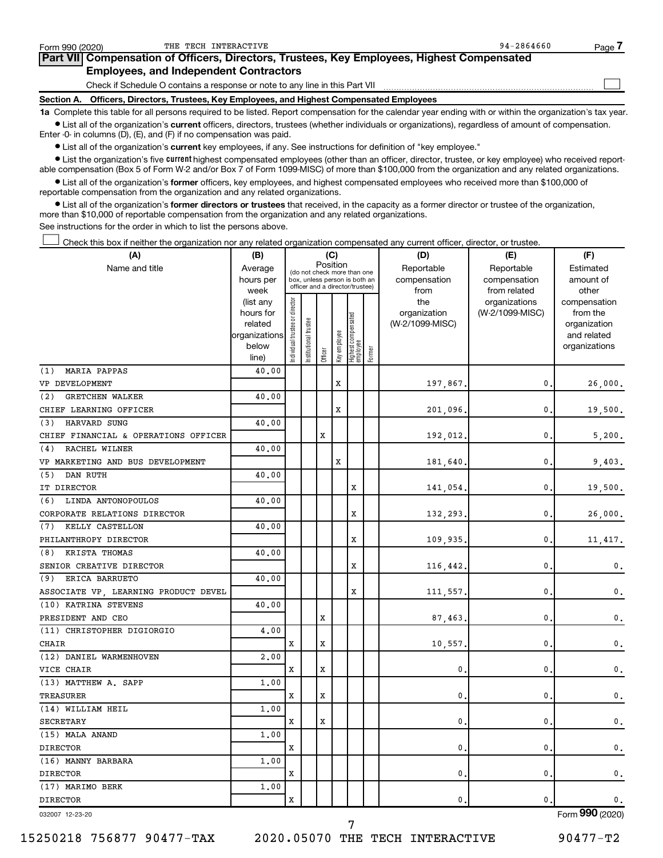| Form 990 (2020) | THE TECH INTERACTIVE                                                         | $94 - 2864660$                                                                             | Page |
|-----------------|------------------------------------------------------------------------------|--------------------------------------------------------------------------------------------|------|
|                 |                                                                              | Part VII Compensation of Officers, Directors, Trustees, Key Employees, Highest Compensated |      |
|                 | <b>Employees, and Independent Contractors</b>                                |                                                                                            |      |
|                 | Check if Schedule O contains a response or note to any line in this Part VII |                                                                                            |      |
|                 |                                                                              | Section A. Officers, Directors, Trustees, Key Employees, and Highest Compensated Employees |      |

**1a**  Complete this table for all persons required to be listed. Report compensation for the calendar year ending with or within the organization's tax year.  $\bullet$  List all of the organization's current officers, directors, trustees (whether individuals or organizations), regardless of amount of compensation.

Enter -0- in columns (D), (E), and (F) if no compensation was paid.

**•** List all of the organization's current key employees, if any. See instructions for definition of "key employee."

• List the organization's five *current* highest compensated employees (other than an officer, director, trustee, or key employee) who received reportable compensation (Box 5 of Form W-2 and/or Box 7 of Form 1099-MISC) of more than \$100,000 from the organization and any related organizations.

 $\bullet$  List all of the organization's former officers, key employees, and highest compensated employees who received more than \$100,000 of reportable compensation from the organization and any related organizations.

**•** List all of the organization's former directors or trustees that received, in the capacity as a former director or trustee of the organization, more than \$10,000 of reportable compensation from the organization and any related organizations.

See instructions for the order in which to list the persons above.

Check this box if neither the organization nor any related organization compensated any current officer, director, or trustee.  $\Box$ 

| (A)                                  | (B)                    |                                         |                                                                  |         | (C)          |                                 |        | (D)                 | (E)                              | (F)                      |
|--------------------------------------|------------------------|-----------------------------------------|------------------------------------------------------------------|---------|--------------|---------------------------------|--------|---------------------|----------------------------------|--------------------------|
| Name and title                       | Average                | Position<br>(do not check more than one |                                                                  |         |              |                                 |        | Reportable          | Reportable                       | Estimated                |
|                                      | hours per              |                                         | box, unless person is both an<br>officer and a director/trustee) |         |              |                                 |        | compensation        | compensation                     | amount of                |
|                                      | week                   |                                         |                                                                  |         |              |                                 |        | from                | from related                     | other                    |
|                                      | (list any<br>hours for |                                         |                                                                  |         |              |                                 |        | the<br>organization | organizations<br>(W-2/1099-MISC) | compensation<br>from the |
|                                      | related                |                                         | trustee                                                          |         |              |                                 |        | (W-2/1099-MISC)     |                                  | organization             |
|                                      | organizations          |                                         |                                                                  |         |              |                                 |        |                     |                                  | and related              |
|                                      | below                  | Individual trustee or director          | Institutional t                                                  |         | Key employee | Highest compensated<br>employee |        |                     |                                  | organizations            |
|                                      | line)                  |                                         |                                                                  | Officer |              |                                 | Former |                     |                                  |                          |
| (1) MARIA PAPPAS                     | 40.00                  |                                         |                                                                  |         |              |                                 |        |                     |                                  |                          |
| VP DEVELOPMENT                       |                        |                                         |                                                                  |         | X            |                                 |        | 197,867.            | 0                                | 26,000.                  |
| <b>GRETCHEN WALKER</b><br>(2)        | 40.00                  |                                         |                                                                  |         |              |                                 |        |                     |                                  |                          |
| CHIEF LEARNING OFFICER               |                        |                                         |                                                                  |         | X            |                                 |        | 201,096.            | 0                                | 19,500.                  |
| HARVARD SUNG<br>(3)                  | 40.00                  |                                         |                                                                  |         |              |                                 |        |                     |                                  |                          |
| CHIEF FINANCIAL & OPERATIONS OFFICER |                        |                                         |                                                                  | X       |              |                                 |        | 192,012             | 0                                | 5,200.                   |
| RACHEL WILNER<br>(4)                 | 40.00                  |                                         |                                                                  |         |              |                                 |        |                     |                                  |                          |
| VP MARKETING AND BUS DEVELOPMENT     |                        |                                         |                                                                  |         | х            |                                 |        | 181,640.            | 0                                | 9,403.                   |
| (5) DAN RUTH                         | 40.00                  |                                         |                                                                  |         |              |                                 |        |                     |                                  |                          |
| IT DIRECTOR                          |                        |                                         |                                                                  |         |              | x                               |        | 141,054.            | 0                                | 19,500.                  |
| LINDA ANTONOPOULOS<br>(6)            | 40.00                  |                                         |                                                                  |         |              |                                 |        |                     |                                  |                          |
| CORPORATE RELATIONS DIRECTOR         |                        |                                         |                                                                  |         |              | X                               |        | 132,293.            | 0                                | 26,000.                  |
| (7)<br>KELLY CASTELLON               | 40.00                  |                                         |                                                                  |         |              |                                 |        |                     |                                  |                          |
| PHILANTHROPY DIRECTOR                |                        |                                         |                                                                  |         |              | х                               |        | 109,935.            | 0                                | 11,417.                  |
| KRISTA THOMAS<br>(8)                 | 40.00                  |                                         |                                                                  |         |              |                                 |        |                     |                                  |                          |
| SENIOR CREATIVE DIRECTOR             |                        |                                         |                                                                  |         |              | x                               |        | 116,442.            | 0                                | 0.                       |
| ERICA BARRUETO<br>(9)                | 40.00                  |                                         |                                                                  |         |              |                                 |        |                     |                                  |                          |
| ASSOCIATE VP, LEARNING PRODUCT DEVEL |                        |                                         |                                                                  |         |              | x                               |        | 111,557.            | 0                                | 0.                       |
| (10) KATRINA STEVENS                 | 40.00                  |                                         |                                                                  |         |              |                                 |        |                     |                                  |                          |
| PRESIDENT AND CEO                    |                        |                                         |                                                                  | х       |              |                                 |        | 87,463.             | 0                                | $\mathbf 0$ .            |
| (11) CHRISTOPHER DIGIORGIO           | 4,00                   |                                         |                                                                  |         |              |                                 |        |                     |                                  |                          |
| CHAIR                                |                        | X                                       |                                                                  | x       |              |                                 |        | 10,557              | 0                                | 0.                       |
| (12) DANIEL WARMENHOVEN              | 2,00                   |                                         |                                                                  |         |              |                                 |        |                     |                                  |                          |
| VICE CHAIR                           |                        | X                                       |                                                                  | x       |              |                                 |        | 0                   | 0                                | $\mathbf 0$ .            |
| (13) MATTHEW A. SAPP                 | 1.00                   |                                         |                                                                  |         |              |                                 |        |                     |                                  |                          |
| TREASURER                            |                        | X                                       |                                                                  | X       |              |                                 |        | 0                   | 0                                | $\mathbf{0}$ .           |
| (14) WILLIAM HEIL                    | 1,00                   |                                         |                                                                  |         |              |                                 |        |                     |                                  |                          |
| <b>SECRETARY</b>                     |                        | X                                       |                                                                  | X       |              |                                 |        | 0.                  | 0                                | $\mathbf{0}$ .           |
| (15) MALA ANAND                      | 1.00                   |                                         |                                                                  |         |              |                                 |        |                     |                                  |                          |
| <b>DIRECTOR</b>                      |                        | X                                       |                                                                  |         |              |                                 |        | $\mathbf 0$         | 0                                | $\mathbf{0}$ .           |
| (16) MANNY BARBARA                   | 1.00                   |                                         |                                                                  |         |              |                                 |        |                     |                                  |                          |
| <b>DIRECTOR</b>                      |                        | X                                       |                                                                  |         |              |                                 |        | 0.                  | 0                                | $\mathsf{0}\,.$          |
| (17) MARIMO BERK                     | 1,00                   |                                         |                                                                  |         |              |                                 |        |                     |                                  |                          |
| <b>DIRECTOR</b>                      |                        | X                                       |                                                                  |         |              |                                 |        | 0.                  | 0                                | 0.                       |
|                                      |                        |                                         |                                                                  |         |              |                                 |        |                     |                                  |                          |

032007 12-23-20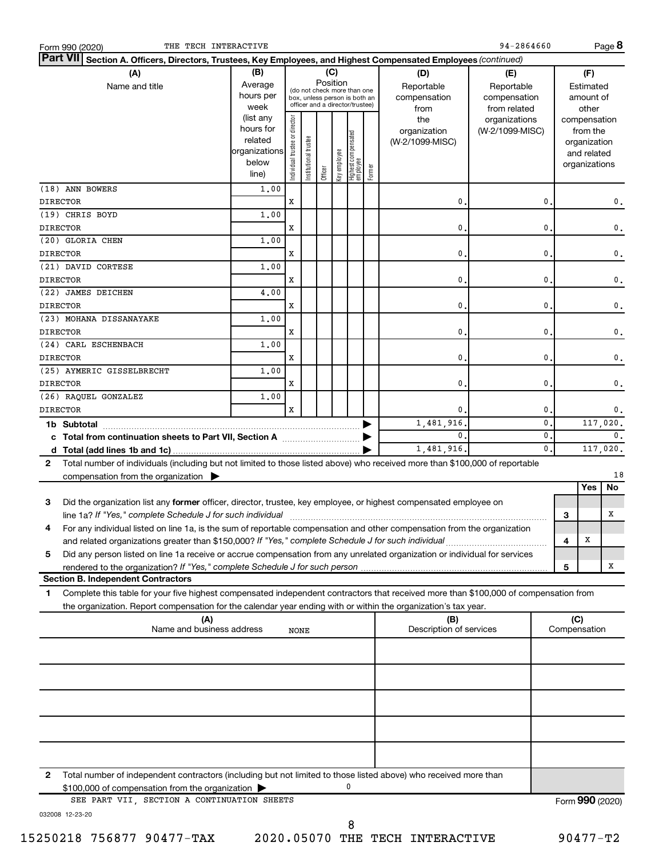|                 | THE TECH INTERACTIVE<br>Form 990 (2020)                                                                                                                                                                                                                |                                                                              |                                                                                                                    |                       |         |              |                                   |        |                                                | 94-2864660                                       |   |              |                                                                   | Page 8          |
|-----------------|--------------------------------------------------------------------------------------------------------------------------------------------------------------------------------------------------------------------------------------------------------|------------------------------------------------------------------------------|--------------------------------------------------------------------------------------------------------------------|-----------------------|---------|--------------|-----------------------------------|--------|------------------------------------------------|--------------------------------------------------|---|--------------|-------------------------------------------------------------------|-----------------|
| <b>Part VII</b> | Section A. Officers, Directors, Trustees, Key Employees, and Highest Compensated Employees (continued)                                                                                                                                                 |                                                                              |                                                                                                                    |                       |         |              |                                   |        |                                                |                                                  |   |              |                                                                   |                 |
|                 | (A)<br>Name and title                                                                                                                                                                                                                                  | (B)<br>Average<br>hours per                                                  | (C)<br>Position<br>(do not check more than one<br>box, unless person is both an<br>officer and a director/trustee) |                       |         |              |                                   |        | (D)<br>Reportable<br>compensation              | (E)<br>Reportable<br>compensation                |   |              | (F)<br>Estimated<br>amount of                                     |                 |
|                 |                                                                                                                                                                                                                                                        | week<br>(list any<br>hours for<br>related<br>organizations<br>below<br>line) | Individual trustee or director                                                                                     | Institutional trustee | Officer | Key employee | Highest compensated<br>  employee | Former | from<br>the<br>organization<br>(W-2/1099-MISC) | from related<br>organizations<br>(W-2/1099-MISC) |   |              | other<br>from the<br>organization<br>and related<br>organizations | compensation    |
|                 | (18) ANN BOWERS<br><b>DIRECTOR</b>                                                                                                                                                                                                                     | 1,00                                                                         | X                                                                                                                  |                       |         |              |                                   |        | 0                                              |                                                  | 0 |              |                                                                   | $\mathbf{0}$ .  |
|                 | (19) CHRIS BOYD                                                                                                                                                                                                                                        | 1,00                                                                         |                                                                                                                    |                       |         |              |                                   |        |                                                |                                                  |   |              |                                                                   |                 |
|                 | <b>DIRECTOR</b>                                                                                                                                                                                                                                        |                                                                              | x                                                                                                                  |                       |         |              |                                   |        | 0                                              |                                                  | 0 |              |                                                                   | 0.              |
|                 | (20) GLORIA CHEN                                                                                                                                                                                                                                       | 1,00                                                                         |                                                                                                                    |                       |         |              |                                   |        |                                                |                                                  |   |              |                                                                   |                 |
|                 | <b>DIRECTOR</b>                                                                                                                                                                                                                                        |                                                                              | x                                                                                                                  |                       |         |              |                                   |        | 0                                              |                                                  | 0 |              |                                                                   | 0.              |
|                 | (21) DAVID CORTESE                                                                                                                                                                                                                                     | 1,00                                                                         |                                                                                                                    |                       |         |              |                                   |        |                                                |                                                  |   |              |                                                                   |                 |
|                 | <b>DIRECTOR</b>                                                                                                                                                                                                                                        |                                                                              | x                                                                                                                  |                       |         |              |                                   |        | 0                                              |                                                  | 0 |              |                                                                   | 0.              |
|                 | (22) JAMES DEICHEN                                                                                                                                                                                                                                     | 4.00                                                                         |                                                                                                                    |                       |         |              |                                   |        |                                                |                                                  |   |              |                                                                   |                 |
|                 | <b>DIRECTOR</b>                                                                                                                                                                                                                                        |                                                                              | x                                                                                                                  |                       |         |              |                                   |        | 0                                              |                                                  | 0 |              |                                                                   | 0.              |
|                 | (23) MOHANA DISSANAYAKE                                                                                                                                                                                                                                | 1,00                                                                         |                                                                                                                    |                       |         |              |                                   |        |                                                |                                                  |   |              |                                                                   |                 |
|                 | <b>DIRECTOR</b>                                                                                                                                                                                                                                        |                                                                              | x                                                                                                                  |                       |         |              |                                   |        | 0                                              |                                                  | 0 |              |                                                                   | 0.              |
|                 | (24) CARL ESCHENBACH                                                                                                                                                                                                                                   | 1,00                                                                         |                                                                                                                    |                       |         |              |                                   |        |                                                |                                                  |   |              |                                                                   |                 |
|                 | <b>DIRECTOR</b>                                                                                                                                                                                                                                        |                                                                              | x                                                                                                                  |                       |         |              |                                   |        | 0                                              |                                                  | 0 |              |                                                                   | 0.              |
|                 | (25) AYMERIC GISSELBRECHT                                                                                                                                                                                                                              | 1,00                                                                         |                                                                                                                    |                       |         |              |                                   |        |                                                |                                                  |   |              |                                                                   |                 |
|                 | <b>DIRECTOR</b>                                                                                                                                                                                                                                        |                                                                              | x                                                                                                                  |                       |         |              |                                   |        | 0                                              |                                                  | 0 |              |                                                                   | 0.              |
|                 | (26) RAQUEL GONZALEZ                                                                                                                                                                                                                                   | 1,00                                                                         |                                                                                                                    |                       |         |              |                                   |        |                                                |                                                  |   |              |                                                                   |                 |
|                 | <b>DIRECTOR</b>                                                                                                                                                                                                                                        |                                                                              | X                                                                                                                  |                       |         |              |                                   |        | 0.                                             |                                                  | 0 |              |                                                                   | 0.              |
|                 |                                                                                                                                                                                                                                                        |                                                                              |                                                                                                                    |                       |         |              |                                   |        | 1,481,916                                      |                                                  | 0 |              |                                                                   | 117,020.        |
|                 |                                                                                                                                                                                                                                                        |                                                                              |                                                                                                                    |                       |         |              |                                   |        | $\mathbf{0}$ .                                 |                                                  | 0 |              |                                                                   | 0.              |
|                 |                                                                                                                                                                                                                                                        |                                                                              |                                                                                                                    |                       |         |              |                                   |        | 1,481,916.                                     |                                                  | 0 |              |                                                                   | 117,020.        |
| 2               | Total number of individuals (including but not limited to those listed above) who received more than \$100,000 of reportable                                                                                                                           |                                                                              |                                                                                                                    |                       |         |              |                                   |        |                                                |                                                  |   |              |                                                                   |                 |
|                 | compensation from the organization $\blacktriangleright$                                                                                                                                                                                               |                                                                              |                                                                                                                    |                       |         |              |                                   |        |                                                |                                                  |   |              |                                                                   | 18              |
|                 |                                                                                                                                                                                                                                                        |                                                                              |                                                                                                                    |                       |         |              |                                   |        |                                                |                                                  |   |              | Yes                                                               | No              |
| 3               | Did the organization list any former officer, director, trustee, key employee, or highest compensated employee on                                                                                                                                      |                                                                              |                                                                                                                    |                       |         |              |                                   |        |                                                |                                                  |   |              |                                                                   |                 |
|                 | line 1a? If "Yes," complete Schedule J for such individual material content content to the set of the schedule                                                                                                                                         |                                                                              |                                                                                                                    |                       |         |              |                                   |        |                                                |                                                  |   | 3            |                                                                   | x               |
|                 | For any individual listed on line 1a, is the sum of reportable compensation and other compensation from the organization                                                                                                                               |                                                                              |                                                                                                                    |                       |         |              |                                   |        |                                                |                                                  |   |              |                                                                   |                 |
|                 | and related organizations greater than \$150,000? If "Yes," complete Schedule J for such individual                                                                                                                                                    |                                                                              |                                                                                                                    |                       |         |              |                                   |        |                                                |                                                  |   | 4            | X                                                                 |                 |
| 5               | Did any person listed on line 1a receive or accrue compensation from any unrelated organization or individual for services                                                                                                                             |                                                                              |                                                                                                                    |                       |         |              |                                   |        |                                                |                                                  |   |              |                                                                   |                 |
|                 | rendered to the organization? If "Yes," complete Schedule J for such person                                                                                                                                                                            |                                                                              |                                                                                                                    |                       |         |              |                                   |        |                                                |                                                  |   | 5            |                                                                   | х               |
|                 | <b>Section B. Independent Contractors</b>                                                                                                                                                                                                              |                                                                              |                                                                                                                    |                       |         |              |                                   |        |                                                |                                                  |   |              |                                                                   |                 |
| 1               | Complete this table for your five highest compensated independent contractors that received more than \$100,000 of compensation from<br>the organization. Report compensation for the calendar year ending with or within the organization's tax year. |                                                                              |                                                                                                                    |                       |         |              |                                   |        |                                                |                                                  |   |              |                                                                   |                 |
|                 | (A)                                                                                                                                                                                                                                                    |                                                                              |                                                                                                                    |                       |         |              |                                   |        | (B)                                            |                                                  |   | (C)          |                                                                   |                 |
|                 | Name and business address                                                                                                                                                                                                                              |                                                                              | <b>NONE</b>                                                                                                        |                       |         |              |                                   |        | Description of services                        |                                                  |   | Compensation |                                                                   |                 |
|                 |                                                                                                                                                                                                                                                        |                                                                              |                                                                                                                    |                       |         |              |                                   |        |                                                |                                                  |   |              |                                                                   |                 |
|                 |                                                                                                                                                                                                                                                        |                                                                              |                                                                                                                    |                       |         |              |                                   |        |                                                |                                                  |   |              |                                                                   |                 |
|                 |                                                                                                                                                                                                                                                        |                                                                              |                                                                                                                    |                       |         |              |                                   |        |                                                |                                                  |   |              |                                                                   |                 |
|                 |                                                                                                                                                                                                                                                        |                                                                              |                                                                                                                    |                       |         |              |                                   |        |                                                |                                                  |   |              |                                                                   |                 |
|                 |                                                                                                                                                                                                                                                        |                                                                              |                                                                                                                    |                       |         |              |                                   |        |                                                |                                                  |   |              |                                                                   |                 |
|                 |                                                                                                                                                                                                                                                        |                                                                              |                                                                                                                    |                       |         |              |                                   |        |                                                |                                                  |   |              |                                                                   |                 |
| 2               | Total number of independent contractors (including but not limited to those listed above) who received more than                                                                                                                                       |                                                                              |                                                                                                                    |                       |         |              |                                   |        |                                                |                                                  |   |              |                                                                   |                 |
|                 | \$100,000 of compensation from the organization<br>SEE PART VII, SECTION A CONTINUATION SHEETS                                                                                                                                                         |                                                                              |                                                                                                                    |                       |         |              | 0                                 |        |                                                |                                                  |   |              |                                                                   | Form 990 (2020) |
|                 | 032008 12-23-20                                                                                                                                                                                                                                        |                                                                              |                                                                                                                    |                       |         |              |                                   |        |                                                |                                                  |   |              |                                                                   |                 |
|                 |                                                                                                                                                                                                                                                        |                                                                              |                                                                                                                    |                       |         |              | 8                                 |        |                                                |                                                  |   |              |                                                                   |                 |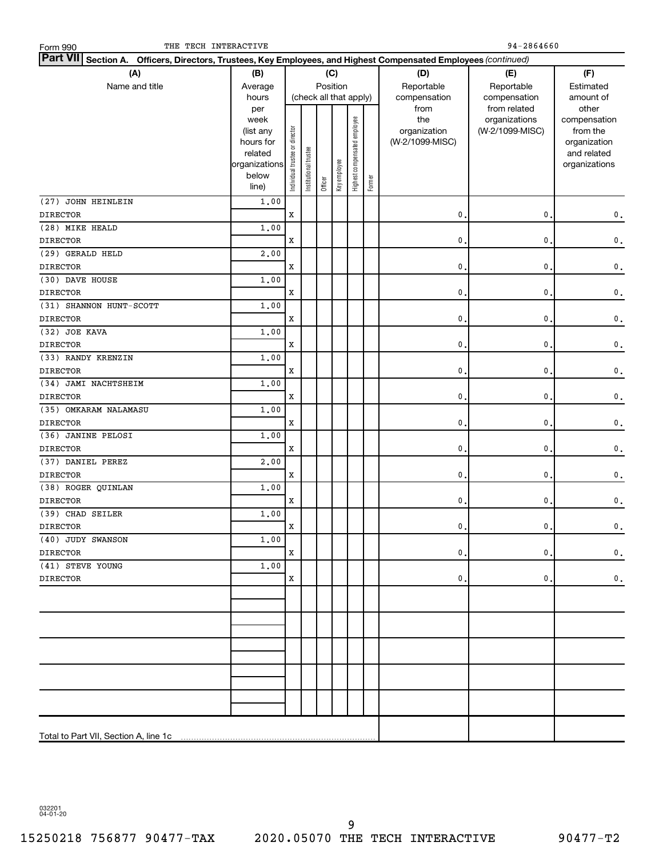| THE TECH INTERACTIVE<br>Form 990                                                                                          | 94-2864660     |                                |                       |         |                        |                              |        |                 |                               |                       |  |
|---------------------------------------------------------------------------------------------------------------------------|----------------|--------------------------------|-----------------------|---------|------------------------|------------------------------|--------|-----------------|-------------------------------|-----------------------|--|
| <b>Part VII</b><br>Section A. Officers, Directors, Trustees, Key Employees, and Highest Compensated Employees (continued) |                |                                |                       |         |                        |                              |        |                 |                               |                       |  |
| (A)                                                                                                                       | (B)<br>(C)     |                                |                       |         |                        |                              |        | (D)             | (E)                           | (F)                   |  |
| Name and title                                                                                                            | Average        |                                | Position              |         |                        |                              |        | Reportable      | Reportable                    | Estimated             |  |
|                                                                                                                           | hours          |                                |                       |         | (check all that apply) |                              |        | compensation    | compensation                  | amount of             |  |
|                                                                                                                           | per<br>week    |                                |                       |         |                        |                              |        | from<br>the     | from related<br>organizations | other<br>compensation |  |
|                                                                                                                           | (list any      |                                |                       |         |                        | Highest compensated employee |        | organization    | (W-2/1099-MISC)               | from the              |  |
|                                                                                                                           | hours for      |                                |                       |         |                        |                              |        | (W-2/1099-MISC) |                               | organization          |  |
|                                                                                                                           | related        |                                |                       |         |                        |                              |        |                 |                               | and related           |  |
|                                                                                                                           | organizations  |                                |                       |         |                        |                              |        |                 |                               | organizations         |  |
|                                                                                                                           | below<br>line) | Individual trustee or director | Institutional trustee | Officer | Key employee           |                              | Former |                 |                               |                       |  |
| (27) JOHN HEINLEIN                                                                                                        | 1,00           |                                |                       |         |                        |                              |        |                 |                               |                       |  |
| <b>DIRECTOR</b>                                                                                                           |                | X                              |                       |         |                        |                              |        | 0.              | $\mathbf{0}$                  | $\mathsf{0}\,.$       |  |
| (28) MIKE HEALD                                                                                                           | 1,00           |                                |                       |         |                        |                              |        |                 |                               |                       |  |
| <b>DIRECTOR</b>                                                                                                           |                | X                              |                       |         |                        |                              |        | 0.              | $\mathbf{0}$                  | $\mathsf{0}\,.$       |  |
| (29) GERALD HELD                                                                                                          | 2,00           |                                |                       |         |                        |                              |        |                 |                               |                       |  |
| <b>DIRECTOR</b>                                                                                                           |                | X                              |                       |         |                        |                              |        | 0.              | $\mathbf{0}$                  | $\mathsf{0}\,.$       |  |
| (30) DAVE HOUSE                                                                                                           | 1.00           |                                |                       |         |                        |                              |        |                 |                               |                       |  |
| <b>DIRECTOR</b>                                                                                                           |                | X                              |                       |         |                        |                              |        | 0.              | $\mathbf{0}$                  | $\mathsf{0}\,.$       |  |
| (31) SHANNON HUNT-SCOTT                                                                                                   | 1,00           |                                |                       |         |                        |                              |        |                 |                               |                       |  |
| <b>DIRECTOR</b>                                                                                                           |                | X                              |                       |         |                        |                              |        | 0.              | $\mathbf{0}$                  | $\mathsf{0}\,.$       |  |
| (32) JOE KAVA                                                                                                             | 1,00           |                                |                       |         |                        |                              |        |                 |                               |                       |  |
| <b>DIRECTOR</b>                                                                                                           |                | X                              |                       |         |                        |                              |        | 0.              | $\mathbf{0}$                  | $\mathsf{0}\,.$       |  |
| (33) RANDY KRENZIN                                                                                                        | 1,00           |                                |                       |         |                        |                              |        |                 |                               |                       |  |
| <b>DIRECTOR</b>                                                                                                           |                | X                              |                       |         |                        |                              |        | 0.              | $\mathbf{0}$                  | $\mathsf{0}\,.$       |  |
| (34) JAMI NACHTSHEIM                                                                                                      | 1,00           |                                |                       |         |                        |                              |        |                 |                               |                       |  |
| <b>DIRECTOR</b>                                                                                                           |                | X                              |                       |         |                        |                              |        | 0.              | $\mathbf{0}$                  | $\mathsf{0}\,.$       |  |
| (35) OMKARAM NALAMASU                                                                                                     | 1,00           |                                |                       |         |                        |                              |        |                 |                               |                       |  |
| <b>DIRECTOR</b>                                                                                                           |                | X                              |                       |         |                        |                              |        | 0.              | $\mathbf{0}$                  | $\mathsf{0}\,.$       |  |
| (36) JANINE PELOSI                                                                                                        | 1,00           |                                |                       |         |                        |                              |        |                 |                               |                       |  |
| <b>DIRECTOR</b>                                                                                                           |                | X                              |                       |         |                        |                              |        | 0.              | $\mathbf{0}$                  | $\mathsf{0}\,.$       |  |
| (37) DANIEL PEREZ                                                                                                         | 2,00           |                                |                       |         |                        |                              |        |                 |                               |                       |  |
| <b>DIRECTOR</b>                                                                                                           |                | X                              |                       |         |                        |                              |        | 0.              | $\mathbf{0}$                  | $\mathsf{0}\,.$       |  |
| (38) ROGER QUINLAN                                                                                                        | 1,00           |                                |                       |         |                        |                              |        |                 |                               |                       |  |
| <b>DIRECTOR</b>                                                                                                           |                | $\mathbf x$                    |                       |         |                        |                              |        | $\mathbf 0$     | 0.                            | $\mathbf 0$ .         |  |
| (39) CHAD SEILER                                                                                                          | 1,00           |                                |                       |         |                        |                              |        |                 |                               |                       |  |
| <b>DIRECTOR</b>                                                                                                           |                | X                              |                       |         |                        |                              |        | 0.              | 0.                            | 0.                    |  |
| (40) JUDY SWANSON                                                                                                         | 1,00           |                                |                       |         |                        |                              |        |                 |                               |                       |  |
| <b>DIRECTOR</b>                                                                                                           |                | $\mathbf X$                    |                       |         |                        |                              |        | 0.              | 0.                            | 0.                    |  |
| (41) STEVE YOUNG                                                                                                          | 1,00           |                                |                       |         |                        |                              |        |                 |                               |                       |  |
| <b>DIRECTOR</b>                                                                                                           |                | $\mathbf x$                    |                       |         |                        |                              |        | 0.              | 0.                            | 0.                    |  |
|                                                                                                                           |                |                                |                       |         |                        |                              |        |                 |                               |                       |  |
|                                                                                                                           |                |                                |                       |         |                        |                              |        |                 |                               |                       |  |
|                                                                                                                           |                |                                |                       |         |                        |                              |        |                 |                               |                       |  |
|                                                                                                                           |                |                                |                       |         |                        |                              |        |                 |                               |                       |  |
|                                                                                                                           |                |                                |                       |         |                        |                              |        |                 |                               |                       |  |
|                                                                                                                           |                |                                |                       |         |                        |                              |        |                 |                               |                       |  |
|                                                                                                                           |                |                                |                       |         |                        |                              |        |                 |                               |                       |  |
|                                                                                                                           |                |                                |                       |         |                        |                              |        |                 |                               |                       |  |
|                                                                                                                           |                |                                |                       |         |                        |                              |        |                 |                               |                       |  |
|                                                                                                                           |                |                                |                       |         |                        |                              |        |                 |                               |                       |  |
|                                                                                                                           |                |                                |                       |         |                        |                              |        |                 |                               |                       |  |

032201 04-01-20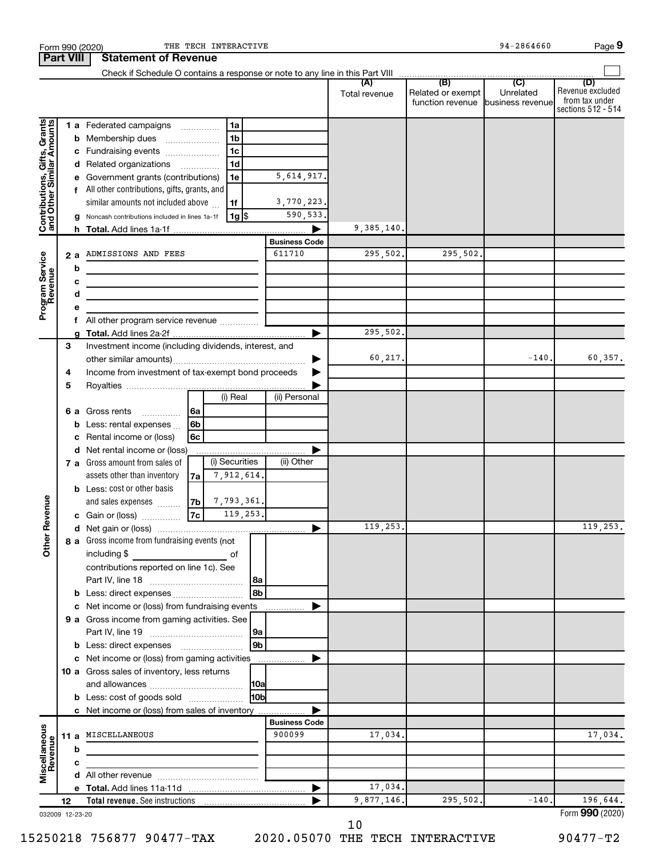|                                                           |        | Form 990 (2020)                                                                                                     | THE TECH INTERACTIVE |                           |                      |                                                               | $94 - 2864660$              | Page 9                                                          |
|-----------------------------------------------------------|--------|---------------------------------------------------------------------------------------------------------------------|----------------------|---------------------------|----------------------|---------------------------------------------------------------|-----------------------------|-----------------------------------------------------------------|
| <b>Part VIII</b>                                          |        | <b>Statement of Revenue</b>                                                                                         |                      |                           |                      |                                                               |                             |                                                                 |
|                                                           |        |                                                                                                                     |                      |                           |                      |                                                               |                             |                                                                 |
|                                                           |        |                                                                                                                     |                      |                           | (A)<br>Total revenue | (B)<br>Related or exempt<br>function revenue business revenue | $\overline{C}$<br>Unrelated | (D)<br>Revenue excluded<br>from tax under<br>sections 512 - 514 |
|                                                           |        | 1 a Federated campaigns                                                                                             | 1a                   |                           |                      |                                                               |                             |                                                                 |
|                                                           |        | <b>b</b> Membership dues                                                                                            | 1 <sub>b</sub>       |                           |                      |                                                               |                             |                                                                 |
|                                                           |        | c Fundraising events                                                                                                | 1 <sub>c</sub>       |                           |                      |                                                               |                             |                                                                 |
|                                                           |        | d Related organizations                                                                                             | 1 <sub>d</sub>       |                           |                      |                                                               |                             |                                                                 |
|                                                           |        | e Government grants (contributions)                                                                                 | 1e                   | 5,614,917.                |                      |                                                               |                             |                                                                 |
|                                                           |        | f All other contributions, gifts, grants, and                                                                       |                      |                           |                      |                                                               |                             |                                                                 |
|                                                           |        | similar amounts not included above                                                                                  | 1f                   | 3,770,223.                |                      |                                                               |                             |                                                                 |
| Contributions, Gifts, Grants<br>and Other Similar Amounts |        | Noncash contributions included in lines 1a-1f                                                                       | 1g   \$              | 590,533.                  |                      |                                                               |                             |                                                                 |
|                                                           |        |                                                                                                                     |                      | ▶                         | 9,385,140.           |                                                               |                             |                                                                 |
|                                                           |        |                                                                                                                     |                      | <b>Business Code</b>      |                      |                                                               |                             |                                                                 |
|                                                           | 2a     | ADMISSIONS AND FEES                                                                                                 |                      | 611710                    | 295,502.             | 295,502.                                                      |                             |                                                                 |
| Program Service<br>Revenue                                | b      | <u> 1989 - Johann Barn, mars eta bainar eta baina eta baina eta baina eta baina eta baina eta baina eta baina e</u> |                      |                           |                      |                                                               |                             |                                                                 |
|                                                           | с      | the control of the control of the control of the control of the control of                                          |                      |                           |                      |                                                               |                             |                                                                 |
|                                                           | d      | the control of the control of the control of the                                                                    |                      |                           |                      |                                                               |                             |                                                                 |
|                                                           | е      |                                                                                                                     |                      |                           |                      |                                                               |                             |                                                                 |
|                                                           | f      | All other program service revenue                                                                                   |                      |                           |                      |                                                               |                             |                                                                 |
|                                                           |        |                                                                                                                     |                      | ▶                         | 295,502.             |                                                               |                             |                                                                 |
|                                                           | 3      | Investment income (including dividends, interest, and                                                               |                      |                           |                      |                                                               |                             |                                                                 |
|                                                           |        |                                                                                                                     |                      | ▶                         | 60,217.              |                                                               | $-140.$                     | 60,357.                                                         |
|                                                           | 4      | Income from investment of tax-exempt bond proceeds                                                                  |                      |                           |                      |                                                               |                             |                                                                 |
|                                                           | 5      |                                                                                                                     | (i) Real             | (ii) Personal             |                      |                                                               |                             |                                                                 |
|                                                           |        |                                                                                                                     |                      |                           |                      |                                                               |                             |                                                                 |
|                                                           |        | <b>6 a</b> Gross rents<br>Less: rental expenses                                                                     | 6a<br>6b             |                           |                      |                                                               |                             |                                                                 |
|                                                           | b<br>c | Rental income or (loss)                                                                                             | 6c                   |                           |                      |                                                               |                             |                                                                 |
|                                                           |        | d Net rental income or (loss)                                                                                       |                      | ▶                         |                      |                                                               |                             |                                                                 |
|                                                           |        | 7 a Gross amount from sales of                                                                                      | (i) Securities       | (ii) Other                |                      |                                                               |                             |                                                                 |
|                                                           |        | assets other than inventory                                                                                         | 7,912,614.<br>7a     |                           |                      |                                                               |                             |                                                                 |
|                                                           |        | <b>b</b> Less: cost or other basis                                                                                  |                      |                           |                      |                                                               |                             |                                                                 |
|                                                           |        | and sales expenses                                                                                                  | 7,793,361.<br>7b     |                           |                      |                                                               |                             |                                                                 |
| evenue                                                    |        | c Gain or (loss)                                                                                                    | 7c<br>119, 253.      |                           |                      |                                                               |                             |                                                                 |
|                                                           |        |                                                                                                                     |                      |                           | 119,253.             |                                                               |                             | 119,253.                                                        |
| Other <sub>R</sub>                                        |        | 8 a Gross income from fundraising events (not                                                                       |                      |                           |                      |                                                               |                             |                                                                 |
|                                                           |        | including \$                                                                                                        |                      |                           |                      |                                                               |                             |                                                                 |
|                                                           |        | contributions reported on line 1c). See                                                                             |                      |                           |                      |                                                               |                             |                                                                 |
|                                                           |        |                                                                                                                     |                      | 8a                        |                      |                                                               |                             |                                                                 |
|                                                           |        | <b>b</b> Less: direct expenses <i></i>                                                                              |                      |                           |                      |                                                               |                             |                                                                 |
|                                                           |        | c Net income or (loss) from fundraising events                                                                      |                      | ▶                         |                      |                                                               |                             |                                                                 |
|                                                           |        | 9 a Gross income from gaming activities. See                                                                        |                      |                           |                      |                                                               |                             |                                                                 |
|                                                           |        |                                                                                                                     |                      | <u> 9a</u>                |                      |                                                               |                             |                                                                 |
|                                                           |        |                                                                                                                     |                      | l 9b                      |                      |                                                               |                             |                                                                 |
|                                                           |        | c Net income or (loss) from gaming activities                                                                       |                      | ▶                         |                      |                                                               |                             |                                                                 |
|                                                           |        | 10 a Gross sales of inventory, less returns                                                                         |                      |                           |                      |                                                               |                             |                                                                 |
|                                                           |        |                                                                                                                     |                      | 10a<br>10 <sub>b</sub>    |                      |                                                               |                             |                                                                 |
|                                                           |        | <b>b</b> Less: cost of goods sold                                                                                   |                      |                           |                      |                                                               |                             |                                                                 |
|                                                           |        | c Net income or (loss) from sales of inventory                                                                      |                      | ▶<br><b>Business Code</b> |                      |                                                               |                             |                                                                 |
|                                                           |        | 11 a MISCELLANEOUS                                                                                                  |                      | 900099                    | 17,034.              |                                                               |                             | 17,034.                                                         |
|                                                           | b      |                                                                                                                     |                      |                           |                      |                                                               |                             |                                                                 |
|                                                           | c      |                                                                                                                     |                      |                           |                      |                                                               |                             |                                                                 |
| Miscellaneous<br>Revenue                                  |        |                                                                                                                     |                      |                           |                      |                                                               |                             |                                                                 |
|                                                           |        |                                                                                                                     |                      |                           | 17,034.              |                                                               |                             |                                                                 |
|                                                           | 12     |                                                                                                                     |                      |                           | 9,877,146.           | 295,502.                                                      | $-140.$                     | 196,644.                                                        |
|                                                           |        | 032009 12-23-20                                                                                                     |                      |                           |                      |                                                               |                             | Form 990 (2020)                                                 |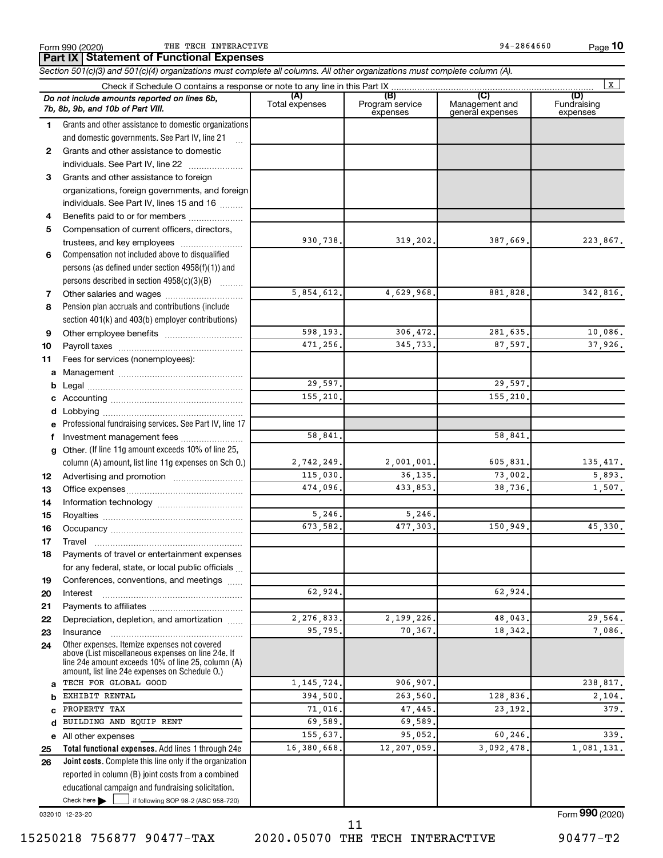Form 990 (2020) THE TECH INTERACTIVE PAGE 18 CHARGE 194-2864660 Page

**Part IX Statement of Functional Expenses**

*Section 501(c)(3) and 501(c)(4) organizations must complete all columns. All other organizations must complete column (A).*

|              |                                                                                                      |                       |                                    |                                           | X                              |
|--------------|------------------------------------------------------------------------------------------------------|-----------------------|------------------------------------|-------------------------------------------|--------------------------------|
|              | Do not include amounts reported on lines 6b,<br>7b, 8b, 9b, and 10b of Part VIII.                    | (A)<br>Total expenses | (B)<br>Program service<br>expenses | (C)<br>Management and<br>general expenses | (D)<br>Fundraising<br>expenses |
| 1.           | Grants and other assistance to domestic organizations                                                |                       |                                    |                                           |                                |
|              | and domestic governments. See Part IV, line 21                                                       |                       |                                    |                                           |                                |
| $\mathbf{2}$ | Grants and other assistance to domestic                                                              |                       |                                    |                                           |                                |
|              | individuals. See Part IV, line 22                                                                    |                       |                                    |                                           |                                |
| 3            | Grants and other assistance to foreign                                                               |                       |                                    |                                           |                                |
|              | organizations, foreign governments, and foreign                                                      |                       |                                    |                                           |                                |
|              | individuals. See Part IV, lines 15 and 16                                                            |                       |                                    |                                           |                                |
| 4            | Benefits paid to or for members                                                                      |                       |                                    |                                           |                                |
| 5            | Compensation of current officers, directors,                                                         |                       |                                    |                                           |                                |
|              | trustees, and key employees                                                                          | 930,738.              | 319,202.                           | 387,669.                                  | 223,867.                       |
| 6            | Compensation not included above to disqualified                                                      |                       |                                    |                                           |                                |
|              | persons (as defined under section 4958(f)(1)) and                                                    |                       |                                    |                                           |                                |
|              | persons described in section 4958(c)(3)(B)                                                           |                       |                                    |                                           |                                |
| 7            |                                                                                                      | 5,854,612.            | 4,629,968.                         | 881,828                                   | 342,816.                       |
| 8            | Pension plan accruals and contributions (include                                                     |                       |                                    |                                           |                                |
|              | section 401(k) and 403(b) employer contributions)                                                    |                       |                                    |                                           |                                |
| 9            |                                                                                                      | 598,193               | 306,472.                           | 281,635.                                  | 10,086.                        |
| 10           |                                                                                                      | 471,256               | 345,733                            | 87,597                                    | 37,926.                        |
| 11           | Fees for services (nonemployees):                                                                    |                       |                                    |                                           |                                |
| а            |                                                                                                      |                       |                                    |                                           |                                |
| b            |                                                                                                      | 29,597                |                                    | 29,597                                    |                                |
| с            |                                                                                                      | 155,210               |                                    | 155,210                                   |                                |
| d            |                                                                                                      |                       |                                    |                                           |                                |
| е            | Professional fundraising services. See Part IV, line 17                                              |                       |                                    |                                           |                                |
| f            | Investment management fees                                                                           | 58,841                |                                    | 58,841                                    |                                |
| g            | Other. (If line 11g amount exceeds 10% of line 25,                                                   |                       |                                    |                                           |                                |
|              | column (A) amount, list line 11g expenses on Sch O.)                                                 | 2,742,249.            | 2,001,001.                         | 605,831.                                  | 135, 417.                      |
| 12           |                                                                                                      | 115,030               | 36, 135,                           | 73,002.                                   | 5,893.                         |
| 13           |                                                                                                      | 474,096.              | 433,853.                           | 38,736.                                   | 1,507.                         |
| 14           |                                                                                                      |                       |                                    |                                           |                                |
| 15           |                                                                                                      | 5,246                 | 5,246                              |                                           |                                |
| 16           |                                                                                                      | 673,582.              | 477,303.                           | 150,949.                                  | 45,330.                        |
| 17           | Travel                                                                                               |                       |                                    |                                           |                                |
| 18           | Payments of travel or entertainment expenses                                                         |                       |                                    |                                           |                                |
|              | for any federal, state, or local public officials                                                    |                       |                                    |                                           |                                |
| 19           | Conferences, conventions, and meetings                                                               | 62,924                |                                    | 62,924.                                   |                                |
| 20           | Interest                                                                                             |                       |                                    |                                           |                                |
| 21<br>22     | Depreciation, depletion, and amortization                                                            | 2,276,833.            | 2,199,226.                         | 48,043.                                   | 29,564.                        |
| 23           | Insurance                                                                                            | 95,795.               | 70,367.                            | 18,342.                                   | 7,086.                         |
| 24           | Other expenses. Itemize expenses not covered                                                         |                       |                                    |                                           |                                |
|              | above (List miscellaneous expenses on line 24e. If                                                   |                       |                                    |                                           |                                |
|              | line 24e amount exceeds 10% of line 25, column (A)<br>amount, list line 24e expenses on Schedule O.) |                       |                                    |                                           |                                |
| a            | TECH FOR GLOBAL GOOD                                                                                 | 1.145.724.            | 906,907.                           |                                           | 238,817.                       |
| b            | EXHIBIT RENTAL                                                                                       | 394,500               | 263,560.                           | 128,836.                                  | 2,104.                         |
| C            | PROPERTY TAX                                                                                         | 71,016                | 47,445.                            | 23, 192.                                  | 379.                           |
| d            | BUILDING AND EQUIP RENT                                                                              | 69,589.               | 69,589.                            |                                           |                                |
| е            | All other expenses                                                                                   | 155,637.              | 95,052.                            | 60,246.                                   | 339.                           |
| 25           | Total functional expenses. Add lines 1 through 24e                                                   | 16,380,668.           | 12,207,059.                        | 3,092,478.                                | 1,081,131.                     |
| 26           | <b>Joint costs.</b> Complete this line only if the organization                                      |                       |                                    |                                           |                                |
|              | reported in column (B) joint costs from a combined                                                   |                       |                                    |                                           |                                |
|              | educational campaign and fundraising solicitation.                                                   |                       |                                    |                                           |                                |
|              | Check here $\blacktriangleright$<br>if following SOP 98-2 (ASC 958-720)                              |                       |                                    |                                           |                                |
|              | 032010 12-23-20                                                                                      |                       |                                    |                                           | Form 990 (2020)                |

15250218 756877 90477-TAX 2020.05070 THE TECH INTERACTIVE 90477-T2

11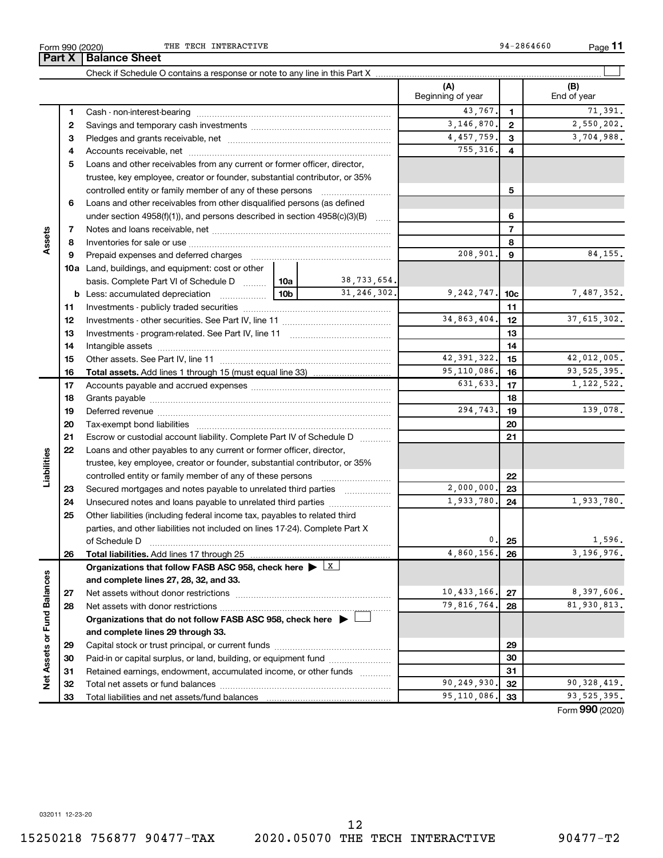Form 990 (2020) THE TECH INTERACTIVE PAGE 18 PAGE 1884-2864660 Page

**11**

|                             | Part X | <b>Balance Sheet</b>                                                                                                                                                                                                           |             |               |                          |                |                    |
|-----------------------------|--------|--------------------------------------------------------------------------------------------------------------------------------------------------------------------------------------------------------------------------------|-------------|---------------|--------------------------|----------------|--------------------|
|                             |        |                                                                                                                                                                                                                                |             |               |                          |                |                    |
|                             |        |                                                                                                                                                                                                                                |             |               | (A)<br>Beginning of year |                | (B)<br>End of year |
|                             | 1      |                                                                                                                                                                                                                                |             |               | 43,767.                  | 1              | 71,391.            |
|                             | 2      |                                                                                                                                                                                                                                |             |               | 3,146,870.               | 2              | 2,550,202.         |
|                             | 3      |                                                                                                                                                                                                                                | 4,457,759.  | 3             | 3,704,988.               |                |                    |
|                             | 4      |                                                                                                                                                                                                                                |             |               | 755, 316.                | 4              |                    |
|                             | 5      | Loans and other receivables from any current or former officer, director,                                                                                                                                                      |             |               |                          |                |                    |
|                             |        | trustee, key employee, creator or founder, substantial contributor, or 35%                                                                                                                                                     |             |               |                          |                |                    |
|                             |        | controlled entity or family member of any of these persons                                                                                                                                                                     |             |               |                          | 5              |                    |
|                             | 6      | Loans and other receivables from other disqualified persons (as defined                                                                                                                                                        |             |               |                          |                |                    |
|                             |        | under section 4958(f)(1)), and persons described in section 4958(c)(3)(B)                                                                                                                                                      |             |               |                          | 6              |                    |
|                             | 7      |                                                                                                                                                                                                                                |             |               |                          | $\overline{7}$ |                    |
| Assets                      | 8      |                                                                                                                                                                                                                                |             |               | 8                        |                |                    |
|                             | 9      | Prepaid expenses and deferred charges [11] matter continuum matter and referred charges [11] matter continuum matter continuum matter and continuum matter continuum matter continuum matter continuum matter continuum matter |             |               | 208,901.                 | 9              | 84, 155.           |
|                             |        | <b>10a</b> Land, buildings, and equipment: cost or other                                                                                                                                                                       |             |               |                          |                |                    |
|                             |        | basis. Complete Part VI of Schedule D    10a                                                                                                                                                                                   |             | 38,733,654.   |                          |                |                    |
|                             |        |                                                                                                                                                                                                                                |             | 31, 246, 302. | 9, 242, 747.             | 10c            | 7,487,352.         |
|                             | 11     |                                                                                                                                                                                                                                |             | 11            |                          |                |                    |
|                             | 12     |                                                                                                                                                                                                                                | 34,863,404. | 12            | 37,615,302.              |                |                    |
|                             | 13     |                                                                                                                                                                                                                                |             | 13            |                          |                |                    |
|                             | 14     |                                                                                                                                                                                                                                |             |               | 14                       |                |                    |
|                             | 15     |                                                                                                                                                                                                                                |             |               | 42, 391, 322.            | 15             | 42,012,005.        |
|                             | 16     |                                                                                                                                                                                                                                |             |               | 95,110,086.              | 16             | 93, 525, 395.      |
|                             | 17     |                                                                                                                                                                                                                                |             |               | 631,633.                 | 17             | 1,122,522.         |
|                             | 18     |                                                                                                                                                                                                                                |             | 18            |                          |                |                    |
|                             | 19     |                                                                                                                                                                                                                                |             |               | 294,743.                 | 19             | 139,078.           |
|                             | 20     |                                                                                                                                                                                                                                |             |               | 20                       |                |                    |
|                             | 21     | Escrow or custodial account liability. Complete Part IV of Schedule D                                                                                                                                                          |             |               |                          | 21             |                    |
|                             | 22     | Loans and other payables to any current or former officer, director,                                                                                                                                                           |             |               |                          |                |                    |
|                             |        | trustee, key employee, creator or founder, substantial contributor, or 35%                                                                                                                                                     |             |               |                          |                |                    |
| Liabilities                 |        | controlled entity or family member of any of these persons                                                                                                                                                                     |             |               |                          | 22             |                    |
|                             | 23     | Secured mortgages and notes payable to unrelated third parties                                                                                                                                                                 |             |               | 2,000,000.               | 23             |                    |
|                             | 24     |                                                                                                                                                                                                                                |             |               | 1,933,780.               | 24             | 1,933,780.         |
|                             | 25     | Other liabilities (including federal income tax, payables to related third                                                                                                                                                     |             |               |                          |                |                    |
|                             |        | parties, and other liabilities not included on lines 17-24). Complete Part X                                                                                                                                                   |             |               |                          |                |                    |
|                             |        | of Schedule D                                                                                                                                                                                                                  |             |               | υ.                       | 25             | 1,596.             |
|                             | 26     | Total liabilities. Add lines 17 through 25                                                                                                                                                                                     |             |               | 4,860,156.               | 26             | 3,196,976.         |
|                             |        | Organizations that follow FASB ASC 958, check here $\blacktriangleright \boxed{X}$                                                                                                                                             |             |               |                          |                |                    |
|                             |        | and complete lines 27, 28, 32, and 33.                                                                                                                                                                                         |             |               |                          |                |                    |
|                             | 27     |                                                                                                                                                                                                                                |             |               | 10,433,166.              | 27             | 8,397,606.         |
|                             | 28     |                                                                                                                                                                                                                                |             |               | 79,816,764.              | 28             | 81,930,813.        |
|                             |        | Organizations that do not follow FASB ASC 958, check here ▶ □                                                                                                                                                                  |             |               |                          |                |                    |
|                             |        | and complete lines 29 through 33.                                                                                                                                                                                              |             |               |                          |                |                    |
|                             | 29     |                                                                                                                                                                                                                                |             |               |                          | 29             |                    |
| Net Assets or Fund Balances | 30     | Paid-in or capital surplus, or land, building, or equipment fund                                                                                                                                                               |             |               |                          | 30             |                    |
|                             | 31     | Retained earnings, endowment, accumulated income, or other funds                                                                                                                                                               |             |               |                          | 31             |                    |
|                             | 32     |                                                                                                                                                                                                                                |             |               | 90,249,930.              | 32             | 90, 328, 419.      |
|                             | 33     |                                                                                                                                                                                                                                |             |               | 95,110,086.              | 33             | 93, 525, 395.      |

Form (2020) **990**

032011 12-23-20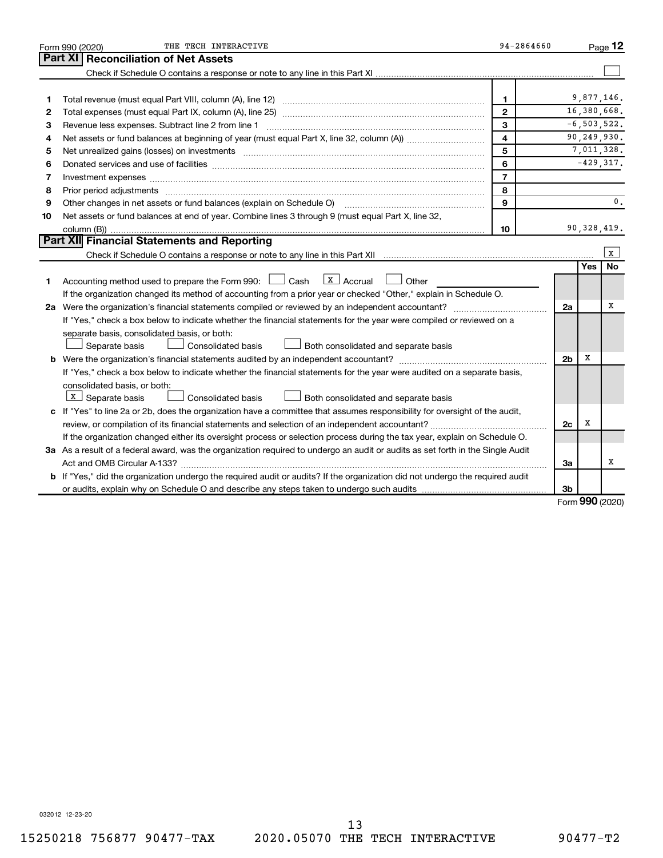| Form 990 (2020) | THE TECH INTERACTIVE                                                                                                                                                                                                           | $94 - 2864660$ |                |            | Page 12         |
|-----------------|--------------------------------------------------------------------------------------------------------------------------------------------------------------------------------------------------------------------------------|----------------|----------------|------------|-----------------|
| Part XI         | <b>Reconciliation of Net Assets</b>                                                                                                                                                                                            |                |                |            |                 |
|                 |                                                                                                                                                                                                                                |                |                |            |                 |
|                 |                                                                                                                                                                                                                                |                |                |            |                 |
| 1               |                                                                                                                                                                                                                                | 1              |                |            | 9,877,146.      |
| 2               |                                                                                                                                                                                                                                | $\mathbf{2}$   |                |            | 16,380,668.     |
| З               | Revenue less expenses. Subtract line 2 from line 1                                                                                                                                                                             | 3              |                |            | $-6, 503, 522.$ |
| 4               |                                                                                                                                                                                                                                | $\overline{4}$ |                |            | 90,249,930.     |
| 5               | Net unrealized gains (losses) on investments [11] matter in the contract of the state of the state of the state of the state of the state of the state of the state of the state of the state of the state of the state of the | 5              |                |            | 7,011,328.      |
| 6               |                                                                                                                                                                                                                                | 6              |                |            | $-429,317.$     |
| 7               | Investment expenses www.communication.com/www.communication.com/www.communication.com/www.com                                                                                                                                  | $\overline{7}$ |                |            |                 |
| 8               |                                                                                                                                                                                                                                | 8              |                |            |                 |
| 9               | Other changes in net assets or fund balances (explain on Schedule O) manufactured controller changes in net assets or fund balances (explain on Schedule O)                                                                    | 9              |                |            | $\mathbf{0}$ .  |
| 10              | Net assets or fund balances at end of year. Combine lines 3 through 9 (must equal Part X, line 32,                                                                                                                             |                |                |            |                 |
|                 |                                                                                                                                                                                                                                | 10             |                |            | 90,328,419.     |
|                 | Part XII Financial Statements and Reporting                                                                                                                                                                                    |                |                |            |                 |
|                 |                                                                                                                                                                                                                                |                |                |            | $\mathbf{x}$    |
|                 |                                                                                                                                                                                                                                |                |                | <b>Yes</b> | <b>No</b>       |
| 1               | $\lfloor x \rfloor$ Accrual<br>Accounting method used to prepare the Form 990: $\Box$ Cash<br>Other                                                                                                                            |                |                |            |                 |
|                 | If the organization changed its method of accounting from a prior year or checked "Other," explain in Schedule O.                                                                                                              |                |                |            |                 |
|                 | 2a Were the organization's financial statements compiled or reviewed by an independent accountant?                                                                                                                             |                | 2a             |            | х               |
|                 | If "Yes," check a box below to indicate whether the financial statements for the year were compiled or reviewed on a                                                                                                           |                |                |            |                 |
|                 | separate basis, consolidated basis, or both:                                                                                                                                                                                   |                |                |            |                 |
|                 | Separate basis<br>Consolidated basis<br>Both consolidated and separate basis                                                                                                                                                   |                |                |            |                 |
|                 |                                                                                                                                                                                                                                |                | 2 <sub>b</sub> | х          |                 |
|                 | If "Yes," check a box below to indicate whether the financial statements for the year were audited on a separate basis,                                                                                                        |                |                |            |                 |
|                 | consolidated basis, or both:                                                                                                                                                                                                   |                |                |            |                 |
|                 | $X$ Separate basis<br>Consolidated basis<br>Both consolidated and separate basis                                                                                                                                               |                |                |            |                 |
|                 | c If "Yes" to line 2a or 2b, does the organization have a committee that assumes responsibility for oversight of the audit,                                                                                                    |                |                |            |                 |
|                 |                                                                                                                                                                                                                                |                | 2c             | х          |                 |
|                 | If the organization changed either its oversight process or selection process during the tax year, explain on Schedule O.                                                                                                      |                |                |            |                 |
|                 | 3a As a result of a federal award, was the organization required to undergo an audit or audits as set forth in the Single Audit                                                                                                |                |                |            |                 |
|                 |                                                                                                                                                                                                                                |                | 3a             |            | х               |
|                 | b If "Yes," did the organization undergo the required audit or audits? If the organization did not undergo the required audit                                                                                                  |                |                |            |                 |
|                 |                                                                                                                                                                                                                                |                | Зb             |            |                 |

Form (2020) **990**

032012 12-23-20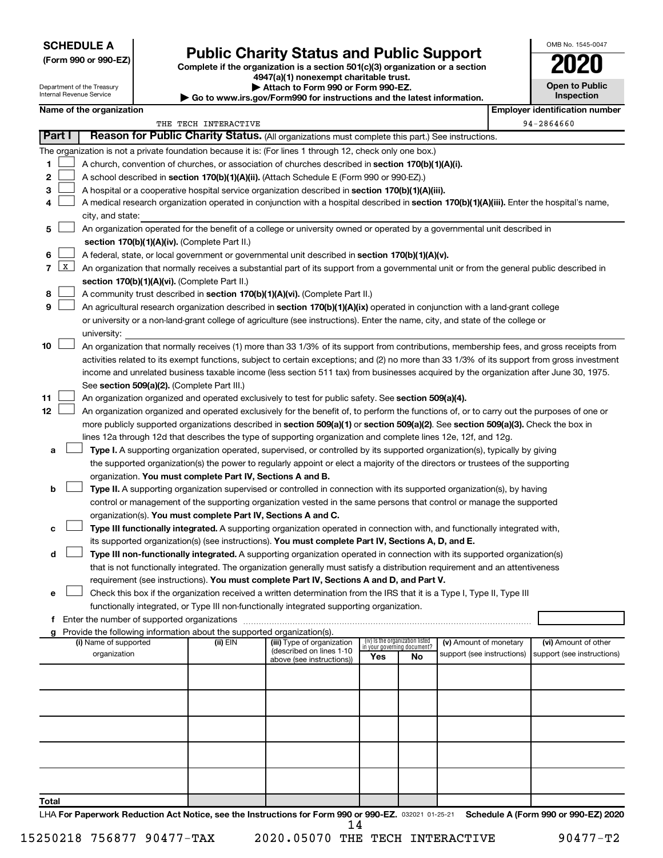| <b>SCHEDULE A</b> |  |
|-------------------|--|
|-------------------|--|

| (Form 990 or 990-EZ) |  |  |  |
|----------------------|--|--|--|
|----------------------|--|--|--|

Department of the Treasury Internal Revenue Service

# Form 990 or 990-EZ) **Public Charity Status and Public Support**<br>
Complete if the organization is a section 501(c)(3) organization or a section<br> **2020**

**4947(a)(1) nonexempt charitable trust. | Attach to Form 990 or Form 990-EZ.** 

| ▶ Go to www.irs.gov/Form990 for instructions and the latest information. |
|--------------------------------------------------------------------------|
|                                                                          |

| <b>d'</b>                           |
|-------------------------------------|
| <b>Open to Public</b><br>Inspection |
|                                     |

OMB No. 1545-0047

|        | Name of the organization<br><b>Employer identification number</b> |                                                                                                                                                                                                                                               |                      |                            |                                    |                                 |                            |  |                                      |  |
|--------|-------------------------------------------------------------------|-----------------------------------------------------------------------------------------------------------------------------------------------------------------------------------------------------------------------------------------------|----------------------|----------------------------|------------------------------------|---------------------------------|----------------------------|--|--------------------------------------|--|
|        |                                                                   |                                                                                                                                                                                                                                               | THE TECH INTERACTIVE |                            |                                    |                                 |                            |  | 94-2864660                           |  |
| Part I |                                                                   | Reason for Public Charity Status. (All organizations must complete this part.) See instructions.                                                                                                                                              |                      |                            |                                    |                                 |                            |  |                                      |  |
|        |                                                                   | The organization is not a private foundation because it is: (For lines 1 through 12, check only one box.)                                                                                                                                     |                      |                            |                                    |                                 |                            |  |                                      |  |
| 1      |                                                                   | A church, convention of churches, or association of churches described in section 170(b)(1)(A)(i).                                                                                                                                            |                      |                            |                                    |                                 |                            |  |                                      |  |
| 2      |                                                                   | A school described in section 170(b)(1)(A)(ii). (Attach Schedule E (Form 990 or 990-EZ).)                                                                                                                                                     |                      |                            |                                    |                                 |                            |  |                                      |  |
| 3      |                                                                   | A hospital or a cooperative hospital service organization described in section 170(b)(1)(A)(iii).                                                                                                                                             |                      |                            |                                    |                                 |                            |  |                                      |  |
| 4      |                                                                   | A medical research organization operated in conjunction with a hospital described in section 170(b)(1)(A)(iii). Enter the hospital's name,                                                                                                    |                      |                            |                                    |                                 |                            |  |                                      |  |
|        |                                                                   | city, and state:                                                                                                                                                                                                                              |                      |                            |                                    |                                 |                            |  |                                      |  |
| 5      |                                                                   | An organization operated for the benefit of a college or university owned or operated by a governmental unit described in                                                                                                                     |                      |                            |                                    |                                 |                            |  |                                      |  |
|        |                                                                   | section 170(b)(1)(A)(iv). (Complete Part II.)                                                                                                                                                                                                 |                      |                            |                                    |                                 |                            |  |                                      |  |
| 6      |                                                                   |                                                                                                                                                                                                                                               |                      |                            |                                    |                                 |                            |  |                                      |  |
| 7      | X                                                                 | A federal, state, or local government or governmental unit described in section 170(b)(1)(A)(v).<br>An organization that normally receives a substantial part of its support from a governmental unit or from the general public described in |                      |                            |                                    |                                 |                            |  |                                      |  |
|        |                                                                   | section 170(b)(1)(A)(vi). (Complete Part II.)                                                                                                                                                                                                 |                      |                            |                                    |                                 |                            |  |                                      |  |
| 8      |                                                                   | A community trust described in section 170(b)(1)(A)(vi). (Complete Part II.)                                                                                                                                                                  |                      |                            |                                    |                                 |                            |  |                                      |  |
| 9      |                                                                   | An agricultural research organization described in section 170(b)(1)(A)(ix) operated in conjunction with a land-grant college                                                                                                                 |                      |                            |                                    |                                 |                            |  |                                      |  |
|        |                                                                   | or university or a non-land-grant college of agriculture (see instructions). Enter the name, city, and state of the college or                                                                                                                |                      |                            |                                    |                                 |                            |  |                                      |  |
|        |                                                                   | university:                                                                                                                                                                                                                                   |                      |                            |                                    |                                 |                            |  |                                      |  |
| 10     |                                                                   | An organization that normally receives (1) more than 33 1/3% of its support from contributions, membership fees, and gross receipts from                                                                                                      |                      |                            |                                    |                                 |                            |  |                                      |  |
|        |                                                                   | activities related to its exempt functions, subject to certain exceptions; and (2) no more than 33 1/3% of its support from gross investment                                                                                                  |                      |                            |                                    |                                 |                            |  |                                      |  |
|        |                                                                   | income and unrelated business taxable income (less section 511 tax) from businesses acquired by the organization after June 30, 1975.                                                                                                         |                      |                            |                                    |                                 |                            |  |                                      |  |
|        |                                                                   | See section 509(a)(2). (Complete Part III.)                                                                                                                                                                                                   |                      |                            |                                    |                                 |                            |  |                                      |  |
| 11     |                                                                   | An organization organized and operated exclusively to test for public safety. See section 509(a)(4).                                                                                                                                          |                      |                            |                                    |                                 |                            |  |                                      |  |
| 12     |                                                                   | An organization organized and operated exclusively for the benefit of, to perform the functions of, or to carry out the purposes of one or                                                                                                    |                      |                            |                                    |                                 |                            |  |                                      |  |
|        |                                                                   | more publicly supported organizations described in section 509(a)(1) or section 509(a)(2). See section 509(a)(3). Check the box in                                                                                                            |                      |                            |                                    |                                 |                            |  |                                      |  |
|        |                                                                   | lines 12a through 12d that describes the type of supporting organization and complete lines 12e, 12f, and 12g.                                                                                                                                |                      |                            |                                    |                                 |                            |  |                                      |  |
|        |                                                                   |                                                                                                                                                                                                                                               |                      |                            |                                    |                                 |                            |  |                                      |  |
| а      |                                                                   | Type I. A supporting organization operated, supervised, or controlled by its supported organization(s), typically by giving                                                                                                                   |                      |                            |                                    |                                 |                            |  |                                      |  |
|        |                                                                   | the supported organization(s) the power to regularly appoint or elect a majority of the directors or trustees of the supporting                                                                                                               |                      |                            |                                    |                                 |                            |  |                                      |  |
|        |                                                                   | organization. You must complete Part IV, Sections A and B.                                                                                                                                                                                    |                      |                            |                                    |                                 |                            |  |                                      |  |
| b      |                                                                   | Type II. A supporting organization supervised or controlled in connection with its supported organization(s), by having                                                                                                                       |                      |                            |                                    |                                 |                            |  |                                      |  |
|        |                                                                   | control or management of the supporting organization vested in the same persons that control or manage the supported                                                                                                                          |                      |                            |                                    |                                 |                            |  |                                      |  |
|        |                                                                   | organization(s). You must complete Part IV, Sections A and C.                                                                                                                                                                                 |                      |                            |                                    |                                 |                            |  |                                      |  |
| с      |                                                                   | Type III functionally integrated. A supporting organization operated in connection with, and functionally integrated with,                                                                                                                    |                      |                            |                                    |                                 |                            |  |                                      |  |
|        |                                                                   | its supported organization(s) (see instructions). You must complete Part IV, Sections A, D, and E.                                                                                                                                            |                      |                            |                                    |                                 |                            |  |                                      |  |
| d      |                                                                   | Type III non-functionally integrated. A supporting organization operated in connection with its supported organization(s)                                                                                                                     |                      |                            |                                    |                                 |                            |  |                                      |  |
|        |                                                                   | that is not functionally integrated. The organization generally must satisfy a distribution requirement and an attentiveness                                                                                                                  |                      |                            |                                    |                                 |                            |  |                                      |  |
|        |                                                                   | requirement (see instructions). You must complete Part IV, Sections A and D, and Part V.                                                                                                                                                      |                      |                            |                                    |                                 |                            |  |                                      |  |
|        |                                                                   | Check this box if the organization received a written determination from the IRS that it is a Type I, Type II, Type III                                                                                                                       |                      |                            |                                    |                                 |                            |  |                                      |  |
|        |                                                                   | functionally integrated, or Type III non-functionally integrated supporting organization.                                                                                                                                                     |                      |                            |                                    |                                 |                            |  |                                      |  |
| f      |                                                                   | Enter the number of supported organizations                                                                                                                                                                                                   |                      |                            |                                    |                                 |                            |  |                                      |  |
|        |                                                                   | Provide the following information about the supported organization(s).<br>(i) Name of supported                                                                                                                                               | (ii) EIN             | (iii) Type of organization |                                    | (iv) Is the organization listed | (v) Amount of monetary     |  | (vi) Amount of other                 |  |
|        |                                                                   | organization                                                                                                                                                                                                                                  |                      | (described on lines 1-10   | in your governing document?<br>Yes | No                              | support (see instructions) |  | support (see instructions)           |  |
|        |                                                                   |                                                                                                                                                                                                                                               |                      | above (see instructions))  |                                    |                                 |                            |  |                                      |  |
|        |                                                                   |                                                                                                                                                                                                                                               |                      |                            |                                    |                                 |                            |  |                                      |  |
|        |                                                                   |                                                                                                                                                                                                                                               |                      |                            |                                    |                                 |                            |  |                                      |  |
|        |                                                                   |                                                                                                                                                                                                                                               |                      |                            |                                    |                                 |                            |  |                                      |  |
|        |                                                                   |                                                                                                                                                                                                                                               |                      |                            |                                    |                                 |                            |  |                                      |  |
|        |                                                                   |                                                                                                                                                                                                                                               |                      |                            |                                    |                                 |                            |  |                                      |  |
|        |                                                                   |                                                                                                                                                                                                                                               |                      |                            |                                    |                                 |                            |  |                                      |  |
|        |                                                                   |                                                                                                                                                                                                                                               |                      |                            |                                    |                                 |                            |  |                                      |  |
|        |                                                                   |                                                                                                                                                                                                                                               |                      |                            |                                    |                                 |                            |  |                                      |  |
|        |                                                                   |                                                                                                                                                                                                                                               |                      |                            |                                    |                                 |                            |  |                                      |  |
|        |                                                                   |                                                                                                                                                                                                                                               |                      |                            |                                    |                                 |                            |  |                                      |  |
| Total  |                                                                   |                                                                                                                                                                                                                                               |                      |                            |                                    |                                 |                            |  |                                      |  |
|        |                                                                   | LHA For Paperwork Reduction Act Notice, see the Instructions for Form 990 or 990-EZ. 032021 01-25-21                                                                                                                                          |                      |                            |                                    |                                 |                            |  | Schedule A (Form 990 or 990-EZ) 2020 |  |

14

 $\Box$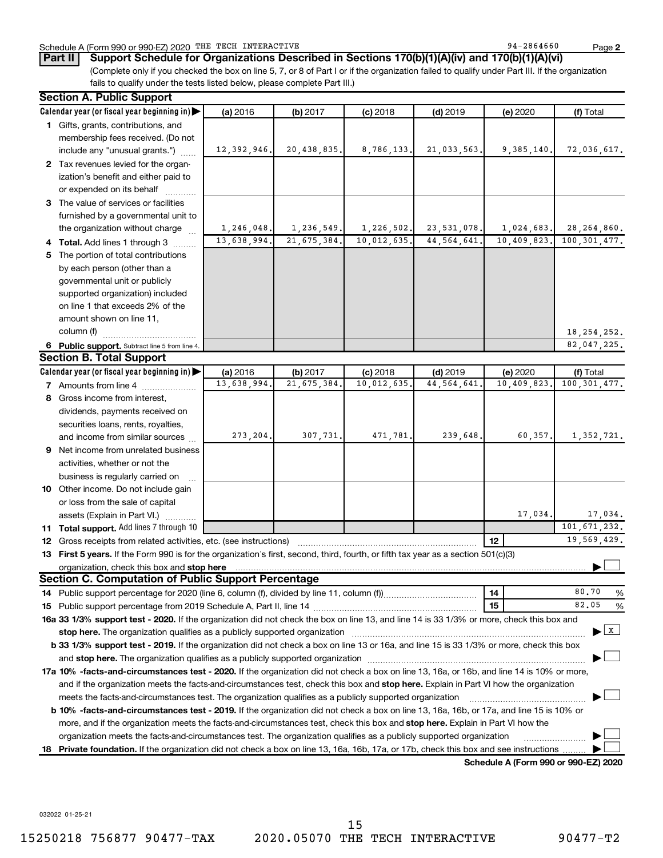#### Schedule A (Form 990 or 990-EZ) 2020 THE TECH INTERACTIVE **Superintensive Contract Contract Contract Contract** Page

**2**

#### **Part II Support Schedule for Organizations Described in Sections 170(b)(1)(A)(iv) and 170(b)(1)(A)(vi)**

(Complete only if you checked the box on line 5, 7, or 8 of Part I or if the organization failed to qualify under Part III. If the organization fails to qualify under the tests listed below, please complete Part III.)

| <b>Section A. Public Support</b>                                                                                                                                                                                                    |             |               |             |               |             |                                |
|-------------------------------------------------------------------------------------------------------------------------------------------------------------------------------------------------------------------------------------|-------------|---------------|-------------|---------------|-------------|--------------------------------|
| Calendar year (or fiscal year beginning in)                                                                                                                                                                                         | (a) 2016    | (b) 2017      | $(c)$ 2018  | $(d)$ 2019    | (e) 2020    | (f) Total                      |
| 1 Gifts, grants, contributions, and                                                                                                                                                                                                 |             |               |             |               |             |                                |
| membership fees received. (Do not                                                                                                                                                                                                   |             |               |             |               |             |                                |
| include any "unusual grants.")                                                                                                                                                                                                      | 12,392,946. | 20,438,835.   | 8,786,133.  | 21,033,563.   | 9,385,140.  | 72,036,617.                    |
| 2 Tax revenues levied for the organ-                                                                                                                                                                                                |             |               |             |               |             |                                |
| ization's benefit and either paid to                                                                                                                                                                                                |             |               |             |               |             |                                |
| or expended on its behalf                                                                                                                                                                                                           |             |               |             |               |             |                                |
| 3 The value of services or facilities                                                                                                                                                                                               |             |               |             |               |             |                                |
| furnished by a governmental unit to                                                                                                                                                                                                 |             |               |             |               |             |                                |
| the organization without charge                                                                                                                                                                                                     | 1,246,048.  | 1,236,549.    | 1,226,502.  | 23, 531, 078. | 1,024,683.  | 28, 264, 860.                  |
| 4 Total. Add lines 1 through 3                                                                                                                                                                                                      | 13,638,994. | 21, 675, 384. | 10,012,635. | 44, 564, 641. | 10,409,823. | 100,301,477.                   |
| 5 The portion of total contributions                                                                                                                                                                                                |             |               |             |               |             |                                |
| by each person (other than a                                                                                                                                                                                                        |             |               |             |               |             |                                |
| governmental unit or publicly                                                                                                                                                                                                       |             |               |             |               |             |                                |
| supported organization) included                                                                                                                                                                                                    |             |               |             |               |             |                                |
| on line 1 that exceeds 2% of the                                                                                                                                                                                                    |             |               |             |               |             |                                |
| amount shown on line 11,                                                                                                                                                                                                            |             |               |             |               |             |                                |
| column (f)                                                                                                                                                                                                                          |             |               |             |               |             | 18, 254, 252.                  |
| 6 Public support. Subtract line 5 from line 4.                                                                                                                                                                                      |             |               |             |               |             | 82,047,225.                    |
| <b>Section B. Total Support</b>                                                                                                                                                                                                     |             |               |             |               |             |                                |
| Calendar year (or fiscal year beginning in)                                                                                                                                                                                         | (a) 2016    | (b) 2017      | $(c)$ 2018  | $(d)$ 2019    | (e) 2020    | (f) Total                      |
| <b>7</b> Amounts from line 4                                                                                                                                                                                                        | 13,638,994. | 21, 675, 384  | 10,012,635  | 44, 564, 641  | 10,409,823  | 100, 301, 477.                 |
| 8 Gross income from interest,                                                                                                                                                                                                       |             |               |             |               |             |                                |
| dividends, payments received on                                                                                                                                                                                                     |             |               |             |               |             |                                |
| securities loans, rents, royalties,                                                                                                                                                                                                 |             |               |             |               |             |                                |
| and income from similar sources                                                                                                                                                                                                     | 273, 204.   | 307,731.      | 471,781.    | 239,648.      | 60,357.     | 1,352,721.                     |
| 9 Net income from unrelated business                                                                                                                                                                                                |             |               |             |               |             |                                |
| activities, whether or not the                                                                                                                                                                                                      |             |               |             |               |             |                                |
| business is regularly carried on                                                                                                                                                                                                    |             |               |             |               |             |                                |
| 10 Other income. Do not include gain                                                                                                                                                                                                |             |               |             |               |             |                                |
| or loss from the sale of capital                                                                                                                                                                                                    |             |               |             |               |             |                                |
| assets (Explain in Part VI.)                                                                                                                                                                                                        |             |               |             |               | 17,034.     | 17,034.                        |
| 11 Total support. Add lines 7 through 10                                                                                                                                                                                            |             |               |             |               |             | 101, 671, 232.                 |
| <b>12</b> Gross receipts from related activities, etc. (see instructions)                                                                                                                                                           |             |               |             |               | 12          | 19,569,429.                    |
| 13 First 5 years. If the Form 990 is for the organization's first, second, third, fourth, or fifth tax year as a section 501(c)(3)                                                                                                  |             |               |             |               |             |                                |
| organization, check this box and stop here <b>construction and construction</b> construction of the state of the state of the state of the state of the state of the state of the state of the state of the state of the state of t |             |               |             |               |             |                                |
| Section C. Computation of Public Support Percentage                                                                                                                                                                                 |             |               |             |               |             |                                |
|                                                                                                                                                                                                                                     |             |               |             |               | 14          | 80.70<br>%                     |
|                                                                                                                                                                                                                                     |             |               |             |               | 15          | 82.05<br>%                     |
| 16a 33 1/3% support test - 2020. If the organization did not check the box on line 13, and line 14 is 33 1/3% or more, check this box and                                                                                           |             |               |             |               |             |                                |
| stop here. The organization qualifies as a publicly supported organization                                                                                                                                                          |             |               |             |               |             | $\blacktriangleright$ $\mid$ X |
| b 33 1/3% support test - 2019. If the organization did not check a box on line 13 or 16a, and line 15 is 33 1/3% or more, check this box                                                                                            |             |               |             |               |             |                                |
|                                                                                                                                                                                                                                     |             |               |             |               |             |                                |
| 17a 10% -facts-and-circumstances test - 2020. If the organization did not check a box on line 13, 16a, or 16b, and line 14 is 10% or more,                                                                                          |             |               |             |               |             |                                |
| and if the organization meets the facts-and-circumstances test, check this box and stop here. Explain in Part VI how the organization                                                                                               |             |               |             |               |             |                                |
| meets the facts-and-circumstances test. The organization qualifies as a publicly supported organization                                                                                                                             |             |               |             |               |             |                                |
| <b>b 10%</b> -facts-and-circumstances test - 2019. If the organization did not check a box on line 13, 16a, 16b, or 17a, and line 15 is 10% or                                                                                      |             |               |             |               |             |                                |
| more, and if the organization meets the facts-and-circumstances test, check this box and stop here. Explain in Part VI how the                                                                                                      |             |               |             |               |             |                                |
| organization meets the facts-and-circumstances test. The organization qualifies as a publicly supported organization                                                                                                                |             |               |             |               |             |                                |
| 18 Private foundation. If the organization did not check a box on line 13, 16a, 16b, 17a, or 17b, check this box and see instructions                                                                                               |             |               |             |               |             |                                |
|                                                                                                                                                                                                                                     |             |               |             |               |             |                                |

**Schedule A (Form 990 or 990-EZ) 2020**

032022 01-25-21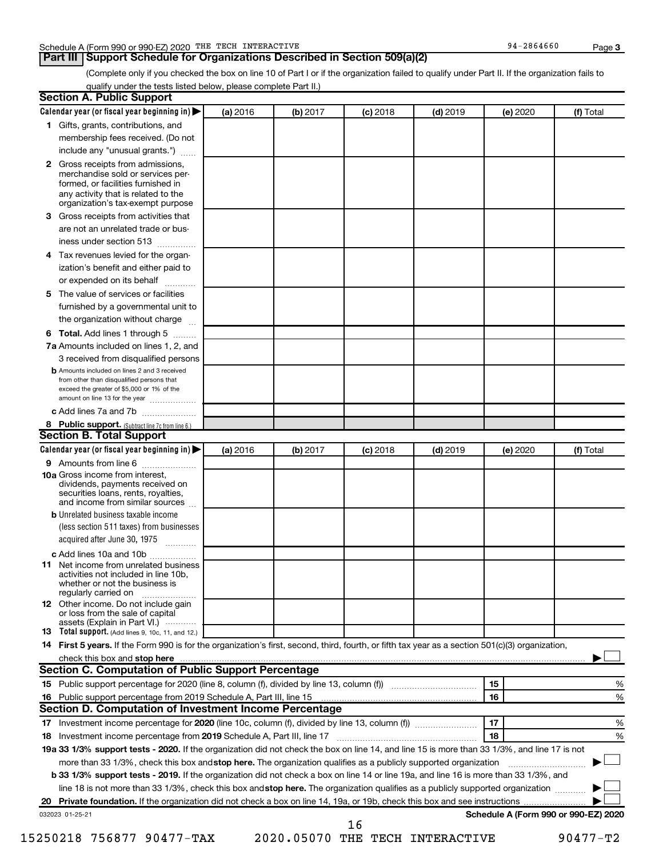### **Part III Support Schedule for Organizations Described in Section 509(a)(2)**

(Complete only if you checked the box on line 10 of Part I or if the organization failed to qualify under Part II. If the organization fails to qualify under the tests listed below, please complete Part II.)

| <b>Section A. Public Support</b>                                                                                                                                                 |          |          |            |            |          |                                      |
|----------------------------------------------------------------------------------------------------------------------------------------------------------------------------------|----------|----------|------------|------------|----------|--------------------------------------|
| Calendar year (or fiscal year beginning in)                                                                                                                                      | (a) 2016 | (b) 2017 | $(c)$ 2018 | $(d)$ 2019 | (e) 2020 | (f) Total                            |
| 1 Gifts, grants, contributions, and                                                                                                                                              |          |          |            |            |          |                                      |
| membership fees received. (Do not                                                                                                                                                |          |          |            |            |          |                                      |
| include any "unusual grants.")                                                                                                                                                   |          |          |            |            |          |                                      |
| 2 Gross receipts from admissions,<br>merchandise sold or services per-<br>formed, or facilities furnished in<br>any activity that is related to the                              |          |          |            |            |          |                                      |
| organization's tax-exempt purpose                                                                                                                                                |          |          |            |            |          |                                      |
| <b>3</b> Gross receipts from activities that                                                                                                                                     |          |          |            |            |          |                                      |
| are not an unrelated trade or bus-                                                                                                                                               |          |          |            |            |          |                                      |
| iness under section 513                                                                                                                                                          |          |          |            |            |          |                                      |
| 4 Tax revenues levied for the organ-<br>ization's benefit and either paid to                                                                                                     |          |          |            |            |          |                                      |
| or expended on its behalf                                                                                                                                                        |          |          |            |            |          |                                      |
| 5 The value of services or facilities                                                                                                                                            |          |          |            |            |          |                                      |
| furnished by a governmental unit to                                                                                                                                              |          |          |            |            |          |                                      |
| the organization without charge                                                                                                                                                  |          |          |            |            |          |                                      |
| <b>6 Total.</b> Add lines 1 through 5                                                                                                                                            |          |          |            |            |          |                                      |
| 7a Amounts included on lines 1, 2, and                                                                                                                                           |          |          |            |            |          |                                      |
| 3 received from disqualified persons                                                                                                                                             |          |          |            |            |          |                                      |
| <b>b</b> Amounts included on lines 2 and 3 received<br>from other than disqualified persons that<br>exceed the greater of \$5,000 or 1% of the<br>amount on line 13 for the year |          |          |            |            |          |                                      |
| c Add lines 7a and 7b                                                                                                                                                            |          |          |            |            |          |                                      |
| 8 Public support. (Subtract line 7c from line 6.)                                                                                                                                |          |          |            |            |          |                                      |
| <b>Section B. Total Support</b>                                                                                                                                                  |          |          |            |            |          |                                      |
| Calendar year (or fiscal year beginning in)                                                                                                                                      | (a) 2016 | (b) 2017 | $(c)$ 2018 | $(d)$ 2019 | (e) 2020 | (f) Total                            |
| <b>9</b> Amounts from line 6                                                                                                                                                     |          |          |            |            |          |                                      |
| <b>10a</b> Gross income from interest,<br>dividends, payments received on<br>securities loans, rents, royalties,<br>and income from similar sources                              |          |          |            |            |          |                                      |
| <b>b</b> Unrelated business taxable income                                                                                                                                       |          |          |            |            |          |                                      |
| (less section 511 taxes) from businesses<br>acquired after June 30, 1975                                                                                                         |          |          |            |            |          |                                      |
| c Add lines 10a and 10b                                                                                                                                                          |          |          |            |            |          |                                      |
| <b>11</b> Net income from unrelated business<br>activities not included in line 10b.<br>whether or not the business is<br>regularly carried on                                   |          |          |            |            |          |                                      |
| <b>12</b> Other income. Do not include gain<br>or loss from the sale of capital<br>assets (Explain in Part VI.)                                                                  |          |          |            |            |          |                                      |
| <b>13</b> Total support. (Add lines 9, 10c, 11, and 12.)                                                                                                                         |          |          |            |            |          |                                      |
| 14 First 5 years. If the Form 990 is for the organization's first, second, third, fourth, or fifth tax year as a section 501(c)(3) organization,                                 |          |          |            |            |          |                                      |
| check this box and stop here                                                                                                                                                     |          |          |            |            |          |                                      |
| <b>Section C. Computation of Public Support Percentage</b>                                                                                                                       |          |          |            |            |          |                                      |
| 15 Public support percentage for 2020 (line 8, column (f), divided by line 13, column (f) <i></i>                                                                                |          |          |            |            | 15       | ℅                                    |
| 16 Public support percentage from 2019 Schedule A, Part III, line 15                                                                                                             |          |          |            |            | 16       | %                                    |
| Section D. Computation of Investment Income Percentage                                                                                                                           |          |          |            |            |          |                                      |
|                                                                                                                                                                                  |          |          |            |            | 17       | %                                    |
| 18 Investment income percentage from 2019 Schedule A, Part III, line 17                                                                                                          |          |          |            |            | 18       | %                                    |
| 19a 33 1/3% support tests - 2020. If the organization did not check the box on line 14, and line 15 is more than 33 1/3%, and line 17 is not                                     |          |          |            |            |          |                                      |
| more than 33 1/3%, check this box and stop here. The organization qualifies as a publicly supported organization                                                                 |          |          |            |            |          |                                      |
| b 33 1/3% support tests - 2019. If the organization did not check a box on line 14 or line 19a, and line 16 is more than 33 1/3%, and                                            |          |          |            |            |          |                                      |
| line 18 is not more than 33 1/3%, check this box and stop here. The organization qualifies as a publicly supported organization                                                  |          |          |            |            |          |                                      |
|                                                                                                                                                                                  |          |          |            |            |          |                                      |
|                                                                                                                                                                                  |          |          |            |            |          | Schedule A (Form 990 or 990-EZ) 2020 |
| 032023 01-25-21                                                                                                                                                                  |          |          | 16         |            |          |                                      |

15250218 756877 90477-TAX 2020.05070 THE TECH INTERACTIVE 90477-T2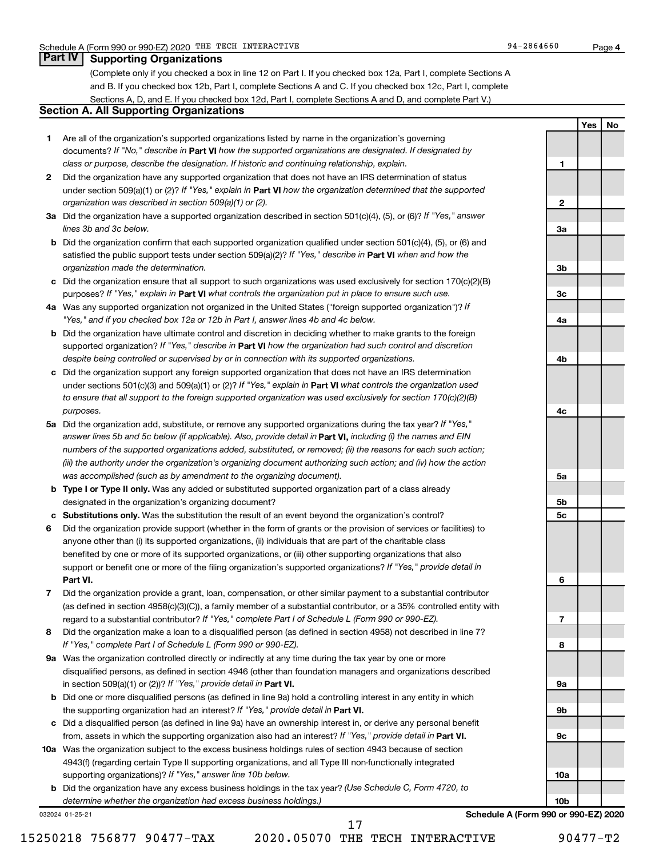#### **Part IV Supporting Organizations**

(Complete only if you checked a box in line 12 on Part I. If you checked box 12a, Part I, complete Sections A and B. If you checked box 12b, Part I, complete Sections A and C. If you checked box 12c, Part I, complete Sections A, D, and E. If you checked box 12d, Part I, complete Sections A and D, and complete Part V.)

#### **Section A. All Supporting Organizations**

- **1** Are all of the organization's supported organizations listed by name in the organization's governing documents? If "No," describe in Part VI how the supported organizations are designated. If designated by *class or purpose, describe the designation. If historic and continuing relationship, explain.*
- **2** Did the organization have any supported organization that does not have an IRS determination of status under section 509(a)(1) or (2)? If "Yes," explain in Part **VI** how the organization determined that the supported *organization was described in section 509(a)(1) or (2).*
- **3a** Did the organization have a supported organization described in section 501(c)(4), (5), or (6)? If "Yes," answer *lines 3b and 3c below.*
- **b** Did the organization confirm that each supported organization qualified under section 501(c)(4), (5), or (6) and satisfied the public support tests under section 509(a)(2)? If "Yes," describe in Part VI when and how the *organization made the determination.*
- **c** Did the organization ensure that all support to such organizations was used exclusively for section 170(c)(2)(B) purposes? If "Yes," explain in Part VI what controls the organization put in place to ensure such use.
- **4 a** *If* Was any supported organization not organized in the United States ("foreign supported organization")? *"Yes," and if you checked box 12a or 12b in Part I, answer lines 4b and 4c below.*
- **b** Did the organization have ultimate control and discretion in deciding whether to make grants to the foreign supported organization? If "Yes," describe in Part VI how the organization had such control and discretion *despite being controlled or supervised by or in connection with its supported organizations.*
- **c** Did the organization support any foreign supported organization that does not have an IRS determination under sections 501(c)(3) and 509(a)(1) or (2)? If "Yes," explain in Part VI what controls the organization used *to ensure that all support to the foreign supported organization was used exclusively for section 170(c)(2)(B) purposes.*
- **5a** Did the organization add, substitute, or remove any supported organizations during the tax year? If "Yes," answer lines 5b and 5c below (if applicable). Also, provide detail in **Part VI,** including (i) the names and EIN *numbers of the supported organizations added, substituted, or removed; (ii) the reasons for each such action; (iii) the authority under the organization's organizing document authorizing such action; and (iv) how the action was accomplished (such as by amendment to the organizing document).*
- **b Type I or Type II only.** Was any added or substituted supported organization part of a class already designated in the organization's organizing document?
- **c Substitutions only.**  Was the substitution the result of an event beyond the organization's control?
- **6** Did the organization provide support (whether in the form of grants or the provision of services or facilities) to **Part VI.** support or benefit one or more of the filing organization's supported organizations? If "Yes," provide detail in anyone other than (i) its supported organizations, (ii) individuals that are part of the charitable class benefited by one or more of its supported organizations, or (iii) other supporting organizations that also
- **7** Did the organization provide a grant, loan, compensation, or other similar payment to a substantial contributor regard to a substantial contributor? If "Yes," complete Part I of Schedule L (Form 990 or 990-EZ). (as defined in section 4958(c)(3)(C)), a family member of a substantial contributor, or a 35% controlled entity with
- **8** Did the organization make a loan to a disqualified person (as defined in section 4958) not described in line 7? *If "Yes," complete Part I of Schedule L (Form 990 or 990-EZ).*
- **9 a** Was the organization controlled directly or indirectly at any time during the tax year by one or more in section 509(a)(1) or (2))? If "Yes," provide detail in **Part VI.** disqualified persons, as defined in section 4946 (other than foundation managers and organizations described
- **b** Did one or more disqualified persons (as defined in line 9a) hold a controlling interest in any entity in which the supporting organization had an interest? If "Yes," provide detail in Part VI.
- **c** Did a disqualified person (as defined in line 9a) have an ownership interest in, or derive any personal benefit from, assets in which the supporting organization also had an interest? If "Yes," provide detail in Part VI.
- **10 a** Was the organization subject to the excess business holdings rules of section 4943 because of section supporting organizations)? If "Yes," answer line 10b below. 4943(f) (regarding certain Type II supporting organizations, and all Type III non-functionally integrated
	- **b** Did the organization have any excess business holdings in the tax year? (Use Schedule C, Form 4720, to *determine whether the organization had excess business holdings.)*

032024 01-25-21

**Schedule A (Form 990 or 990-EZ) 2020**

|  | o esta | o esta | . |  |  |
|--|--------|--------|---|--|--|
|  |        |        |   |  |  |
|  |        |        |   |  |  |

**1**

**2**

**3a**

**3b**

**3c**

**4a**

**4b**

**4c**

**5a**

**5b 5c**

**6**

**7**

**8**

**9a**

**9b**

**9c**

**10a**

**10b**

**Yes No**

#### 15250218 756877 90477-TAX 2020.05070 THE TECH INTERACTIVE 90477-T2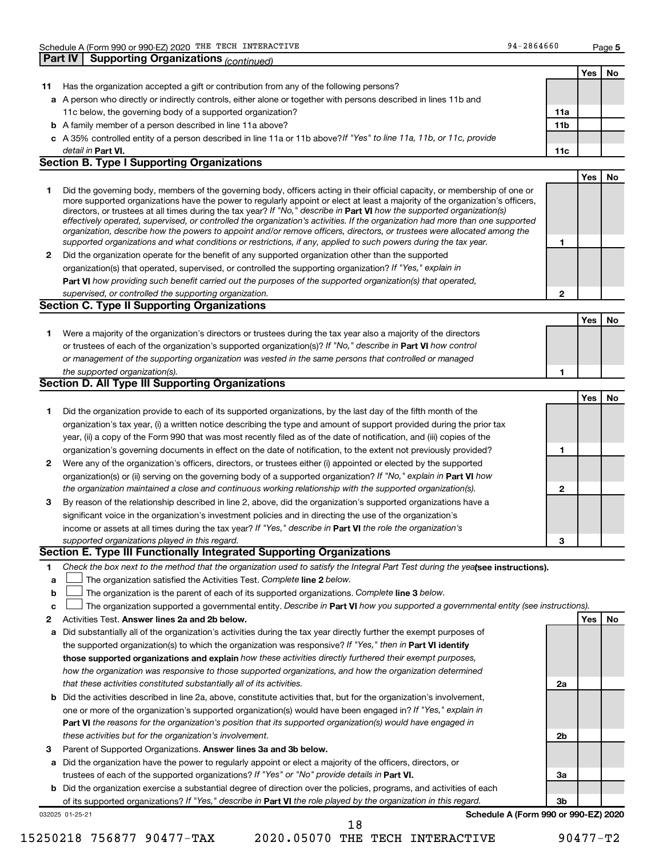|  | . .<br>$\sim$<br>___ |
|--|----------------------|
|  |                      |

|              | 94-2864660<br>Schedule A (Form 990 or 990-EZ) 2020 THE TECH INTERACTIVE                                                                                                                                                                                                                                                                                                                                                                                                                                                                                                                                                                              |                 |     | Page 5 |
|--------------|------------------------------------------------------------------------------------------------------------------------------------------------------------------------------------------------------------------------------------------------------------------------------------------------------------------------------------------------------------------------------------------------------------------------------------------------------------------------------------------------------------------------------------------------------------------------------------------------------------------------------------------------------|-----------------|-----|--------|
|              | <b>Part IV</b><br><b>Supporting Organizations (continued)</b>                                                                                                                                                                                                                                                                                                                                                                                                                                                                                                                                                                                        |                 |     |        |
|              |                                                                                                                                                                                                                                                                                                                                                                                                                                                                                                                                                                                                                                                      |                 | Yes | No     |
| 11           | Has the organization accepted a gift or contribution from any of the following persons?                                                                                                                                                                                                                                                                                                                                                                                                                                                                                                                                                              |                 |     |        |
|              | a A person who directly or indirectly controls, either alone or together with persons described in lines 11b and                                                                                                                                                                                                                                                                                                                                                                                                                                                                                                                                     |                 |     |        |
|              | 11c below, the governing body of a supported organization?                                                                                                                                                                                                                                                                                                                                                                                                                                                                                                                                                                                           | 11a             |     |        |
|              | <b>b</b> A family member of a person described in line 11a above?                                                                                                                                                                                                                                                                                                                                                                                                                                                                                                                                                                                    | 11 <sub>b</sub> |     |        |
|              | c A 35% controlled entity of a person described in line 11a or 11b above? If "Yes" to line 11a, 11b, or 11c, provide                                                                                                                                                                                                                                                                                                                                                                                                                                                                                                                                 |                 |     |        |
|              | detail in Part VI.                                                                                                                                                                                                                                                                                                                                                                                                                                                                                                                                                                                                                                   | 11c             |     |        |
|              | <b>Section B. Type I Supporting Organizations</b>                                                                                                                                                                                                                                                                                                                                                                                                                                                                                                                                                                                                    |                 |     |        |
|              |                                                                                                                                                                                                                                                                                                                                                                                                                                                                                                                                                                                                                                                      |                 | Yes | No     |
| 1.           | Did the governing body, members of the governing body, officers acting in their official capacity, or membership of one or<br>more supported organizations have the power to regularly appoint or elect at least a majority of the organization's officers,<br>directors, or trustees at all times during the tax year? If "No," describe in Part VI how the supported organization(s)<br>effectively operated, supervised, or controlled the organization's activities. If the organization had more than one supported<br>organization, describe how the powers to appoint and/or remove officers, directors, or trustees were allocated among the |                 |     |        |
|              | supported organizations and what conditions or restrictions, if any, applied to such powers during the tax year.                                                                                                                                                                                                                                                                                                                                                                                                                                                                                                                                     | 1               |     |        |
| $\mathbf{2}$ | Did the organization operate for the benefit of any supported organization other than the supported                                                                                                                                                                                                                                                                                                                                                                                                                                                                                                                                                  |                 |     |        |
|              | organization(s) that operated, supervised, or controlled the supporting organization? If "Yes," explain in                                                                                                                                                                                                                                                                                                                                                                                                                                                                                                                                           |                 |     |        |
|              | Part VI how providing such benefit carried out the purposes of the supported organization(s) that operated,                                                                                                                                                                                                                                                                                                                                                                                                                                                                                                                                          |                 |     |        |
|              | supervised, or controlled the supporting organization.                                                                                                                                                                                                                                                                                                                                                                                                                                                                                                                                                                                               | $\mathbf{2}$    |     |        |
|              | <b>Section C. Type II Supporting Organizations</b>                                                                                                                                                                                                                                                                                                                                                                                                                                                                                                                                                                                                   |                 |     |        |
|              |                                                                                                                                                                                                                                                                                                                                                                                                                                                                                                                                                                                                                                                      |                 | Yes | No     |
| 1.           | Were a majority of the organization's directors or trustees during the tax year also a majority of the directors                                                                                                                                                                                                                                                                                                                                                                                                                                                                                                                                     |                 |     |        |
|              | or trustees of each of the organization's supported organization(s)? If "No," describe in Part VI how control                                                                                                                                                                                                                                                                                                                                                                                                                                                                                                                                        |                 |     |        |
|              | or management of the supporting organization was vested in the same persons that controlled or managed                                                                                                                                                                                                                                                                                                                                                                                                                                                                                                                                               |                 |     |        |
|              | the supported organization(s).                                                                                                                                                                                                                                                                                                                                                                                                                                                                                                                                                                                                                       | 1               |     |        |
|              | <b>Section D. All Type III Supporting Organizations</b>                                                                                                                                                                                                                                                                                                                                                                                                                                                                                                                                                                                              |                 |     |        |
|              |                                                                                                                                                                                                                                                                                                                                                                                                                                                                                                                                                                                                                                                      |                 | Yes | No     |
| 1.           | Did the organization provide to each of its supported organizations, by the last day of the fifth month of the                                                                                                                                                                                                                                                                                                                                                                                                                                                                                                                                       |                 |     |        |
|              | organization's tax year, (i) a written notice describing the type and amount of support provided during the prior tax                                                                                                                                                                                                                                                                                                                                                                                                                                                                                                                                |                 |     |        |
|              | year, (ii) a copy of the Form 990 that was most recently filed as of the date of notification, and (iii) copies of the                                                                                                                                                                                                                                                                                                                                                                                                                                                                                                                               |                 |     |        |
|              | organization's governing documents in effect on the date of notification, to the extent not previously provided?                                                                                                                                                                                                                                                                                                                                                                                                                                                                                                                                     | 1               |     |        |
| $\mathbf{2}$ | Were any of the organization's officers, directors, or trustees either (i) appointed or elected by the supported                                                                                                                                                                                                                                                                                                                                                                                                                                                                                                                                     |                 |     |        |
|              | organization(s) or (ii) serving on the governing body of a supported organization? If "No," explain in Part VI how                                                                                                                                                                                                                                                                                                                                                                                                                                                                                                                                   |                 |     |        |
|              | the organization maintained a close and continuous working relationship with the supported organization(s).                                                                                                                                                                                                                                                                                                                                                                                                                                                                                                                                          | 2               |     |        |
| 3            | By reason of the relationship described in line 2, above, did the organization's supported organizations have a                                                                                                                                                                                                                                                                                                                                                                                                                                                                                                                                      |                 |     |        |
|              | significant voice in the organization's investment policies and in directing the use of the organization's                                                                                                                                                                                                                                                                                                                                                                                                                                                                                                                                           |                 |     |        |
|              | income or assets at all times during the tax year? If "Yes," describe in Part VI the role the organization's                                                                                                                                                                                                                                                                                                                                                                                                                                                                                                                                         |                 |     |        |
|              | supported organizations played in this regard.                                                                                                                                                                                                                                                                                                                                                                                                                                                                                                                                                                                                       | 3               |     |        |
|              | Section E. Type III Functionally Integrated Supporting Organizations                                                                                                                                                                                                                                                                                                                                                                                                                                                                                                                                                                                 |                 |     |        |
| 1.           | Check the box next to the method that the organization used to satisfy the Integral Part Test during the yealsee instructions).                                                                                                                                                                                                                                                                                                                                                                                                                                                                                                                      |                 |     |        |
| a            | The organization satisfied the Activities Test. Complete line 2 below.                                                                                                                                                                                                                                                                                                                                                                                                                                                                                                                                                                               |                 |     |        |
| b            | The organization is the parent of each of its supported organizations. Complete line 3 below.                                                                                                                                                                                                                                                                                                                                                                                                                                                                                                                                                        |                 |     |        |
| c            | The organization supported a governmental entity. Describe in Part VI how you supported a governmental entity (see instructions).                                                                                                                                                                                                                                                                                                                                                                                                                                                                                                                    |                 |     |        |
| 2            | Activities Test. Answer lines 2a and 2b below.                                                                                                                                                                                                                                                                                                                                                                                                                                                                                                                                                                                                       |                 | Yes | No     |
| a            | Did substantially all of the organization's activities during the tax year directly further the exempt purposes of                                                                                                                                                                                                                                                                                                                                                                                                                                                                                                                                   |                 |     |        |
|              | the supported organization(s) to which the organization was responsive? If "Yes," then in Part VI identify                                                                                                                                                                                                                                                                                                                                                                                                                                                                                                                                           |                 |     |        |
|              | those supported organizations and explain how these activities directly furthered their exempt purposes,                                                                                                                                                                                                                                                                                                                                                                                                                                                                                                                                             |                 |     |        |
|              | how the organization was responsive to those supported organizations, and how the organization determined                                                                                                                                                                                                                                                                                                                                                                                                                                                                                                                                            |                 |     |        |
|              | that these activities constituted substantially all of its activities.                                                                                                                                                                                                                                                                                                                                                                                                                                                                                                                                                                               | 2a              |     |        |
|              | <b>b</b> Did the activities described in line 2a, above, constitute activities that, but for the organization's involvement,                                                                                                                                                                                                                                                                                                                                                                                                                                                                                                                         |                 |     |        |
|              | one or more of the organization's supported organization(s) would have been engaged in? If "Yes," explain in                                                                                                                                                                                                                                                                                                                                                                                                                                                                                                                                         |                 |     |        |
|              | Part VI the reasons for the organization's position that its supported organization(s) would have engaged in                                                                                                                                                                                                                                                                                                                                                                                                                                                                                                                                         |                 |     |        |
|              | these activities but for the organization's involvement.                                                                                                                                                                                                                                                                                                                                                                                                                                                                                                                                                                                             | 2b              |     |        |
| з            | Parent of Supported Organizations. Answer lines 3a and 3b below.                                                                                                                                                                                                                                                                                                                                                                                                                                                                                                                                                                                     |                 |     |        |

**a** Did the organization have the power to regularly appoint or elect a majority of the officers, directors, or trustees of each of the supported organizations? If "Yes" or "No" provide details in Part VI.

**b** Did the organization exercise a substantial degree of direction over the policies, programs, and activities of each of its supported organizations? If "Yes," describe in Part VI the role played by the organization in this regard.

032025 01-25-21

**Schedule A (Form 990 or 990-EZ) 2020**

**3a**

**3b**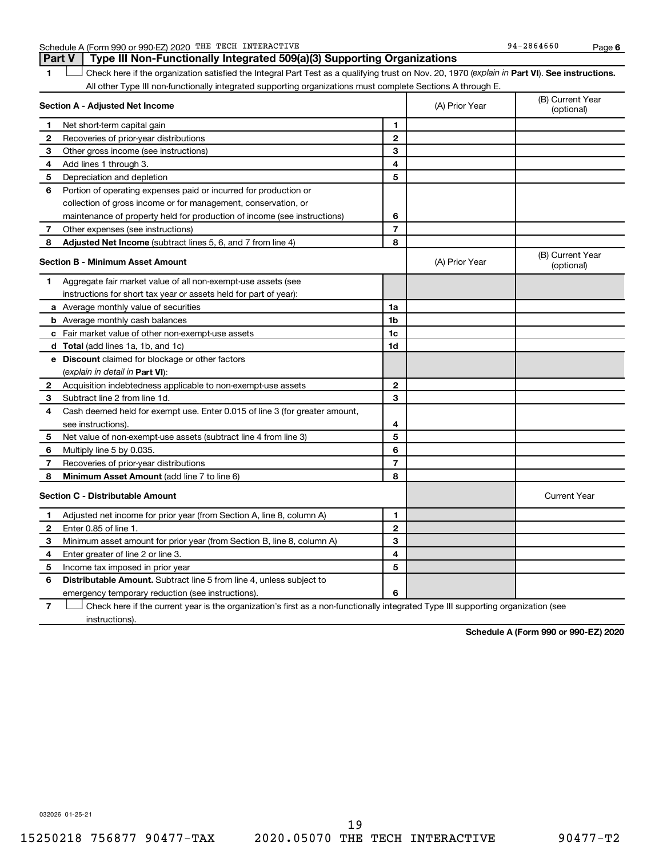Schedule A (Form 990 or 990-EZ) 2020 THE TECH INTERACTIVE **1998** and the set of the set of the set of the set of the set of the set of the set of the set of the set of the set of the set of the set of the set of the set of

**Part V Type III Non-Functionally Integrated 509(a)(3) Supporting Organizations** 

**6**

1 **Letter See instructions.** Check here if the organization satisfied the Integral Part Test as a qualifying trust on Nov. 20, 1970 (*explain in* Part **VI**). See instructions. All other Type III non-functionally integrated supporting organizations must complete Sections A through E.

|    | Section A - Adjusted Net Income                                             |                | (A) Prior Year | (B) Current Year<br>(optional) |
|----|-----------------------------------------------------------------------------|----------------|----------------|--------------------------------|
| 1  | Net short-term capital gain                                                 | 1              |                |                                |
| 2  | Recoveries of prior-year distributions                                      | $\mathbf{2}$   |                |                                |
| 3  | Other gross income (see instructions)                                       | 3              |                |                                |
| 4  | Add lines 1 through 3.                                                      | 4              |                |                                |
| 5  | Depreciation and depletion                                                  | 5              |                |                                |
| 6  | Portion of operating expenses paid or incurred for production or            |                |                |                                |
|    | collection of gross income or for management, conservation, or              |                |                |                                |
|    | maintenance of property held for production of income (see instructions)    | 6              |                |                                |
| 7  | Other expenses (see instructions)                                           | $\overline{7}$ |                |                                |
| 8  | Adjusted Net Income (subtract lines 5, 6, and 7 from line 4)                | 8              |                |                                |
|    | <b>Section B - Minimum Asset Amount</b>                                     |                | (A) Prior Year | (B) Current Year<br>(optional) |
| 1. | Aggregate fair market value of all non-exempt-use assets (see               |                |                |                                |
|    | instructions for short tax year or assets held for part of year):           |                |                |                                |
|    | a Average monthly value of securities                                       | 1a             |                |                                |
|    | <b>b</b> Average monthly cash balances                                      | 1b             |                |                                |
|    | c Fair market value of other non-exempt-use assets                          | 1c             |                |                                |
|    | <b>d</b> Total (add lines 1a, 1b, and 1c)                                   | 1 <sub>d</sub> |                |                                |
|    | e Discount claimed for blockage or other factors                            |                |                |                                |
|    | (explain in detail in Part VI):                                             |                |                |                                |
| 2  | Acquisition indebtedness applicable to non-exempt-use assets                | $\mathbf{2}$   |                |                                |
| 3  | Subtract line 2 from line 1d.                                               | 3              |                |                                |
| 4  | Cash deemed held for exempt use. Enter 0.015 of line 3 (for greater amount, |                |                |                                |
|    | see instructions).                                                          | 4              |                |                                |
| 5  | Net value of non-exempt-use assets (subtract line 4 from line 3)            | 5              |                |                                |
| 6  | Multiply line 5 by 0.035                                                    | 6              |                |                                |
| 7  | Recoveries of prior-year distributions                                      | $\overline{7}$ |                |                                |
| 8  | Minimum Asset Amount (add line 7 to line 6)                                 | 8              |                |                                |
|    | <b>Section C - Distributable Amount</b>                                     |                |                | <b>Current Year</b>            |
| 1  | Adjusted net income for prior year (from Section A, line 8, column A)       | 1              |                |                                |
| 2  | Enter 0.85 of line 1.                                                       | $\overline{2}$ |                |                                |
| З  | Minimum asset amount for prior year (from Section B, line 8, column A)      | 3              |                |                                |
| 4  | Enter greater of line 2 or line 3.                                          | 4              |                |                                |
| 5  | Income tax imposed in prior year                                            | 5              |                |                                |
| 6  | <b>Distributable Amount.</b> Subtract line 5 from line 4, unless subject to |                |                |                                |
|    | emergency temporary reduction (see instructions).                           | 6              |                |                                |
|    |                                                                             |                |                |                                |

**7** Check here if the current year is the organization's first as a non-functionally integrated Type III supporting organization (see † instructions).

**Schedule A (Form 990 or 990-EZ) 2020**

032026 01-25-21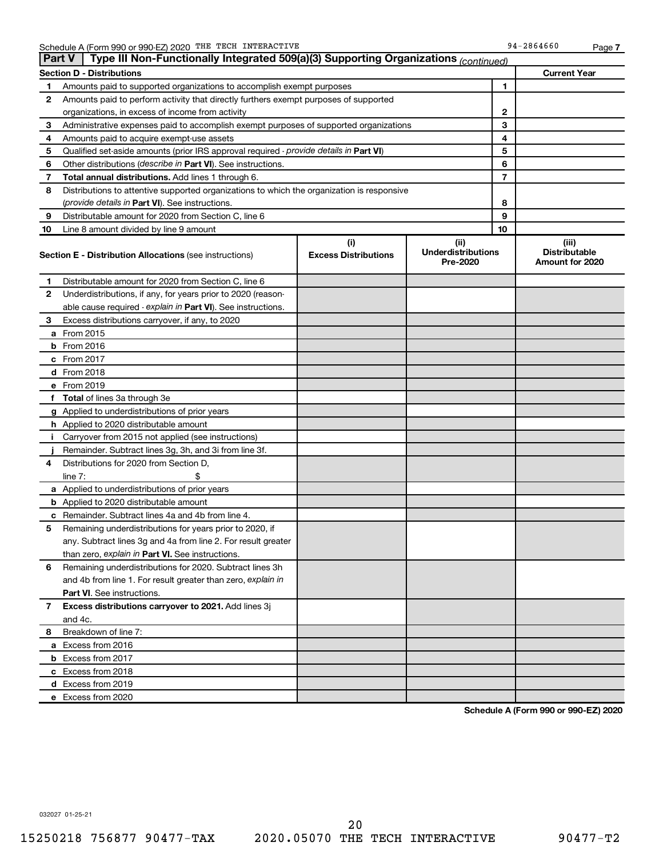|    | Type III Non-Functionally Integrated 509(a)(3) Supporting Organizations (continued)<br><b>Part V</b> |                                    |                                               |                                                  |  |  |
|----|------------------------------------------------------------------------------------------------------|------------------------------------|-----------------------------------------------|--------------------------------------------------|--|--|
|    | <b>Section D - Distributions</b>                                                                     |                                    |                                               | <b>Current Year</b>                              |  |  |
| 1  | Amounts paid to supported organizations to accomplish exempt purposes                                |                                    | 1                                             |                                                  |  |  |
| 2  | Amounts paid to perform activity that directly furthers exempt purposes of supported                 |                                    |                                               |                                                  |  |  |
|    | organizations, in excess of income from activity                                                     | 2                                  |                                               |                                                  |  |  |
| 3  | Administrative expenses paid to accomplish exempt purposes of supported organizations                |                                    | 3                                             |                                                  |  |  |
| 4  | Amounts paid to acquire exempt-use assets                                                            |                                    | 4                                             |                                                  |  |  |
| 5  | Qualified set-aside amounts (prior IRS approval required - provide details in Part VI)               |                                    | 5                                             |                                                  |  |  |
| 6  | Other distributions (describe in Part VI). See instructions.                                         |                                    | 6                                             |                                                  |  |  |
| 7  | Total annual distributions. Add lines 1 through 6.                                                   |                                    | 7                                             |                                                  |  |  |
| 8  | Distributions to attentive supported organizations to which the organization is responsive           |                                    |                                               |                                                  |  |  |
|    | (provide details in Part VI). See instructions.                                                      |                                    | 8                                             |                                                  |  |  |
| 9  | Distributable amount for 2020 from Section C, line 6                                                 |                                    | 9                                             |                                                  |  |  |
| 10 | Line 8 amount divided by line 9 amount                                                               |                                    | 10                                            |                                                  |  |  |
|    | <b>Section E - Distribution Allocations (see instructions)</b>                                       | (i)<br><b>Excess Distributions</b> | (ii)<br><b>Underdistributions</b><br>Pre-2020 | (iii)<br><b>Distributable</b><br>Amount for 2020 |  |  |
| 1  | Distributable amount for 2020 from Section C, line 6                                                 |                                    |                                               |                                                  |  |  |
| 2  | Underdistributions, if any, for years prior to 2020 (reason-                                         |                                    |                                               |                                                  |  |  |
|    | able cause required - explain in Part VI). See instructions.                                         |                                    |                                               |                                                  |  |  |
| 3  | Excess distributions carryover, if any, to 2020                                                      |                                    |                                               |                                                  |  |  |
|    | a From 2015                                                                                          |                                    |                                               |                                                  |  |  |
|    | $b$ From 2016                                                                                        |                                    |                                               |                                                  |  |  |
|    | c From 2017                                                                                          |                                    |                                               |                                                  |  |  |
|    | d From 2018                                                                                          |                                    |                                               |                                                  |  |  |
|    | e From 2019                                                                                          |                                    |                                               |                                                  |  |  |
|    | f Total of lines 3a through 3e                                                                       |                                    |                                               |                                                  |  |  |
|    | g Applied to underdistributions of prior years                                                       |                                    |                                               |                                                  |  |  |
|    | h Applied to 2020 distributable amount                                                               |                                    |                                               |                                                  |  |  |
|    | Carryover from 2015 not applied (see instructions)                                                   |                                    |                                               |                                                  |  |  |
|    | Remainder. Subtract lines 3g, 3h, and 3i from line 3f.                                               |                                    |                                               |                                                  |  |  |
| 4  | Distributions for 2020 from Section D,                                                               |                                    |                                               |                                                  |  |  |
|    | line $7:$                                                                                            |                                    |                                               |                                                  |  |  |
|    | a Applied to underdistributions of prior years                                                       |                                    |                                               |                                                  |  |  |
|    | <b>b</b> Applied to 2020 distributable amount                                                        |                                    |                                               |                                                  |  |  |
|    | <b>c</b> Remainder. Subtract lines 4a and 4b from line 4.                                            |                                    |                                               |                                                  |  |  |
| 5  | Remaining underdistributions for years prior to 2020, if                                             |                                    |                                               |                                                  |  |  |
|    | any. Subtract lines 3g and 4a from line 2. For result greater                                        |                                    |                                               |                                                  |  |  |
|    | than zero, explain in Part VI. See instructions.                                                     |                                    |                                               |                                                  |  |  |
| 6  | Remaining underdistributions for 2020. Subtract lines 3h                                             |                                    |                                               |                                                  |  |  |
|    | and 4b from line 1. For result greater than zero, explain in                                         |                                    |                                               |                                                  |  |  |
|    | <b>Part VI.</b> See instructions.                                                                    |                                    |                                               |                                                  |  |  |
| 7  | Excess distributions carryover to 2021. Add lines 3j                                                 |                                    |                                               |                                                  |  |  |
|    | and 4c.                                                                                              |                                    |                                               |                                                  |  |  |
| 8  | Breakdown of line 7:                                                                                 |                                    |                                               |                                                  |  |  |
|    | a Excess from 2016                                                                                   |                                    |                                               |                                                  |  |  |
|    | <b>b</b> Excess from 2017                                                                            |                                    |                                               |                                                  |  |  |
|    | c Excess from 2018                                                                                   |                                    |                                               |                                                  |  |  |
|    | d Excess from 2019                                                                                   |                                    |                                               |                                                  |  |  |
|    | e Excess from 2020                                                                                   |                                    |                                               |                                                  |  |  |

**Schedule A (Form 990 or 990-EZ) 2020**

032027 01-25-21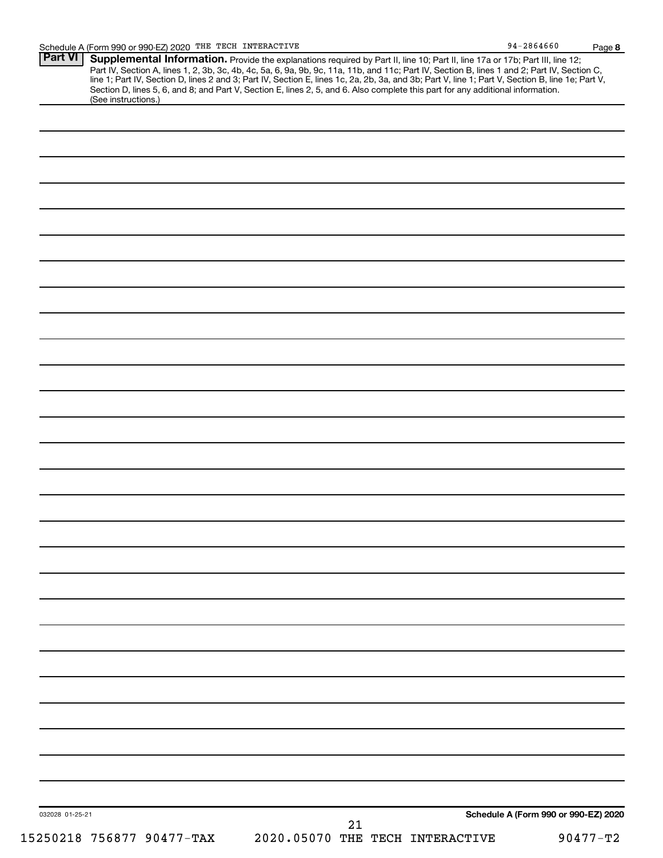|                 | (See instructions.) | Section D, lines 5, 6, and 8; and Part V, Section E, lines 2, 5, and 6. Also complete this part for any additional information. |  |  |                                      |  |
|-----------------|---------------------|---------------------------------------------------------------------------------------------------------------------------------|--|--|--------------------------------------|--|
|                 |                     |                                                                                                                                 |  |  |                                      |  |
|                 |                     |                                                                                                                                 |  |  |                                      |  |
|                 |                     |                                                                                                                                 |  |  |                                      |  |
|                 |                     |                                                                                                                                 |  |  |                                      |  |
|                 |                     |                                                                                                                                 |  |  |                                      |  |
|                 |                     |                                                                                                                                 |  |  |                                      |  |
|                 |                     |                                                                                                                                 |  |  |                                      |  |
|                 |                     |                                                                                                                                 |  |  |                                      |  |
|                 |                     |                                                                                                                                 |  |  |                                      |  |
|                 |                     |                                                                                                                                 |  |  |                                      |  |
|                 |                     |                                                                                                                                 |  |  |                                      |  |
|                 |                     |                                                                                                                                 |  |  |                                      |  |
|                 |                     |                                                                                                                                 |  |  |                                      |  |
|                 |                     |                                                                                                                                 |  |  |                                      |  |
|                 |                     |                                                                                                                                 |  |  |                                      |  |
|                 |                     |                                                                                                                                 |  |  |                                      |  |
|                 |                     |                                                                                                                                 |  |  |                                      |  |
|                 |                     |                                                                                                                                 |  |  |                                      |  |
|                 |                     |                                                                                                                                 |  |  |                                      |  |
|                 |                     |                                                                                                                                 |  |  |                                      |  |
|                 |                     |                                                                                                                                 |  |  |                                      |  |
|                 |                     |                                                                                                                                 |  |  |                                      |  |
|                 |                     |                                                                                                                                 |  |  |                                      |  |
|                 |                     |                                                                                                                                 |  |  |                                      |  |
|                 |                     |                                                                                                                                 |  |  |                                      |  |
|                 |                     |                                                                                                                                 |  |  |                                      |  |
|                 |                     |                                                                                                                                 |  |  |                                      |  |
|                 |                     |                                                                                                                                 |  |  |                                      |  |
|                 |                     |                                                                                                                                 |  |  |                                      |  |
|                 |                     |                                                                                                                                 |  |  |                                      |  |
|                 |                     |                                                                                                                                 |  |  |                                      |  |
|                 |                     |                                                                                                                                 |  |  |                                      |  |
|                 |                     |                                                                                                                                 |  |  |                                      |  |
| 032028 01-25-21 |                     |                                                                                                                                 |  |  | Schedule A (Form 990 or 990-EZ) 2020 |  |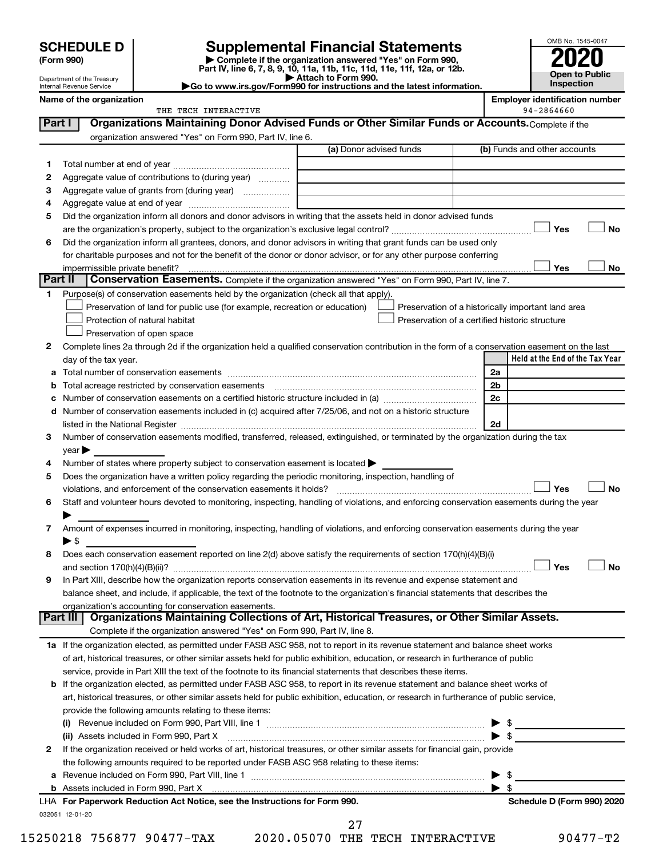Department of the Treasury Internal Revenue Service

| (Form 990) |  |
|------------|--|
|------------|--|

**Part II** 

# **SCHEDULE D Supplemental Financial Statements**<br> **Form 990 2020**<br> **Part IV** line 6.7.8.9.10, 11a, 11b, 11d, 11d, 11d, 11d, 11d, 12a, 0r, 12b

**(Form 990) | Complete if the organization answered "Yes" on Form 990, Part IV, line 6, 7, 8, 9, 10, 11a, 11b, 11c, 11d, 11e, 11f, 12a, or 12b.**

**| Attach to Form 990. |Go to www.irs.gov/Form990 for instructions and the latest information.**



**Name of the organization Employer identification number**

| Organizations Maintaining Donor Advised Funds or Other Similar Funds or Accounts. Complete if the<br>Part I<br>organization answered "Yes" on Form 990, Part IV, line 6.<br>(a) Donor advised funds<br>(b) Funds and other accounts<br>1<br>$\mathbf{2}$<br>Aggregate value of contributions to (during year)<br>3<br>Aggregate value of grants from (during year) <i></i><br>4<br>Did the organization inform all donors and donor advisors in writing that the assets held in donor advised funds<br>5<br>Yes<br>No<br>Did the organization inform all grantees, donors, and donor advisors in writing that grant funds can be used only<br>6<br>for charitable purposes and not for the benefit of the donor or donor advisor, or for any other purpose conferring<br>Yes<br>No<br>impermissible private benefit?<br>Part II<br>Conservation Easements. Complete if the organization answered "Yes" on Form 990, Part IV, line 7.<br>1<br>Purpose(s) of conservation easements held by the organization (check all that apply).<br>Preservation of land for public use (for example, recreation or education)<br>Preservation of a historically important land area<br>Preservation of a certified historic structure<br>Protection of natural habitat<br>Preservation of open space<br>2<br>Complete lines 2a through 2d if the organization held a qualified conservation contribution in the form of a conservation easement on the last<br>Held at the End of the Tax Year<br>day of the tax year.<br>2a<br>2b<br><b>b</b> Total acreage restricted by conservation easements<br>2c<br>Number of conservation easements on a certified historic structure included in (a) manuminontum<br>с<br>Number of conservation easements included in (c) acquired after 7/25/06, and not on a historic structure<br>d<br>listed in the National Register [[11, 11] The Marian Contract of the National Property of the National Register [<br>2d<br>Number of conservation easements modified, transferred, released, extinguished, or terminated by the organization during the tax<br>з<br>$\mathsf{year}$<br>Number of states where property subject to conservation easement is located ><br>4<br>Does the organization have a written policy regarding the periodic monitoring, inspection, handling of<br>5<br>Yes<br><b>No</b><br>violations, and enforcement of the conservation easements it holds?<br>Staff and volunteer hours devoted to monitoring, inspecting, handling of violations, and enforcing conservation easements during the year<br>6<br>Amount of expenses incurred in monitoring, inspecting, handling of violations, and enforcing conservation easements during the year<br>7<br>- \$<br>Does each conservation easement reported on line 2(d) above satisfy the requirements of section 170(h)(4)(B)(i)<br>8<br>Yes<br>No<br>In Part XIII, describe how the organization reports conservation easements in its revenue and expense statement and<br>9<br>balance sheet, and include, if applicable, the text of the footnote to the organization's financial statements that describes the<br>organization's accounting for conservation easements.<br>Organizations Maintaining Collections of Art, Historical Treasures, or Other Similar Assets.<br>Part III<br>Complete if the organization answered "Yes" on Form 990, Part IV, line 8.<br>1a If the organization elected, as permitted under FASB ASC 958, not to report in its revenue statement and balance sheet works<br>of art, historical treasures, or other similar assets held for public exhibition, education, or research in furtherance of public<br>service, provide in Part XIII the text of the footnote to its financial statements that describes these items.<br><b>b</b> If the organization elected, as permitted under FASB ASC 958, to report in its revenue statement and balance sheet works of<br>art, historical treasures, or other similar assets held for public exhibition, education, or research in furtherance of public service,<br>provide the following amounts relating to these items:<br>$\blacktriangleright$ s<br>(ii) Assets included in Form 990, Part X<br>If the organization received or held works of art, historical treasures, or other similar assets for financial gain, provide<br>2<br>the following amounts required to be reported under FASB ASC 958 relating to these items:<br>\$<br>$\blacktriangleright$ \$ | THE TECH INTERACTIVE | 94-2864660 |
|------------------------------------------------------------------------------------------------------------------------------------------------------------------------------------------------------------------------------------------------------------------------------------------------------------------------------------------------------------------------------------------------------------------------------------------------------------------------------------------------------------------------------------------------------------------------------------------------------------------------------------------------------------------------------------------------------------------------------------------------------------------------------------------------------------------------------------------------------------------------------------------------------------------------------------------------------------------------------------------------------------------------------------------------------------------------------------------------------------------------------------------------------------------------------------------------------------------------------------------------------------------------------------------------------------------------------------------------------------------------------------------------------------------------------------------------------------------------------------------------------------------------------------------------------------------------------------------------------------------------------------------------------------------------------------------------------------------------------------------------------------------------------------------------------------------------------------------------------------------------------------------------------------------------------------------------------------------------------------------------------------------------------------------------------------------------------------------------------------------------------------------------------------------------------------------------------------------------------------------------------------------------------------------------------------------------------------------------------------------------------------------------------------------------------------------------------------------------------------------------------------------------------------------------------------------------------------------------------------------------------------------------------------------------------------------------------------------------------------------------------------------------------------------------------------------------------------------------------------------------------------------------------------------------------------------------------------------------------------------------------------------------------------------------------------------------------------------------------------------------------------------------------------------------------------------------------------------------------------------------------------------------------------------------------------------------------------------------------------------------------------------------------------------------------------------------------------------------------------------------------------------------------------------------------------------------------------------------------------------------------------------------------------------------------------------------------------------------------------------------------------------------------------------------------------------------------------------------------------------------------------------------------------------------------------------------------------------------------------------------------------------------------------------------------------------------------------------------------------------------------------------------------------------------------------------------------------------------------------------------------------------------------------------------------------------------------------------------------------------------------------------------------------------------------------------------------------|----------------------|------------|
|                                                                                                                                                                                                                                                                                                                                                                                                                                                                                                                                                                                                                                                                                                                                                                                                                                                                                                                                                                                                                                                                                                                                                                                                                                                                                                                                                                                                                                                                                                                                                                                                                                                                                                                                                                                                                                                                                                                                                                                                                                                                                                                                                                                                                                                                                                                                                                                                                                                                                                                                                                                                                                                                                                                                                                                                                                                                                                                                                                                                                                                                                                                                                                                                                                                                                                                                                                                                                                                                                                                                                                                                                                                                                                                                                                                                                                                                                                                                                                                                                                                                                                                                                                                                                                                                                                                                                                                                                                                            |                      |            |
|                                                                                                                                                                                                                                                                                                                                                                                                                                                                                                                                                                                                                                                                                                                                                                                                                                                                                                                                                                                                                                                                                                                                                                                                                                                                                                                                                                                                                                                                                                                                                                                                                                                                                                                                                                                                                                                                                                                                                                                                                                                                                                                                                                                                                                                                                                                                                                                                                                                                                                                                                                                                                                                                                                                                                                                                                                                                                                                                                                                                                                                                                                                                                                                                                                                                                                                                                                                                                                                                                                                                                                                                                                                                                                                                                                                                                                                                                                                                                                                                                                                                                                                                                                                                                                                                                                                                                                                                                                                            |                      |            |
|                                                                                                                                                                                                                                                                                                                                                                                                                                                                                                                                                                                                                                                                                                                                                                                                                                                                                                                                                                                                                                                                                                                                                                                                                                                                                                                                                                                                                                                                                                                                                                                                                                                                                                                                                                                                                                                                                                                                                                                                                                                                                                                                                                                                                                                                                                                                                                                                                                                                                                                                                                                                                                                                                                                                                                                                                                                                                                                                                                                                                                                                                                                                                                                                                                                                                                                                                                                                                                                                                                                                                                                                                                                                                                                                                                                                                                                                                                                                                                                                                                                                                                                                                                                                                                                                                                                                                                                                                                                            |                      |            |
|                                                                                                                                                                                                                                                                                                                                                                                                                                                                                                                                                                                                                                                                                                                                                                                                                                                                                                                                                                                                                                                                                                                                                                                                                                                                                                                                                                                                                                                                                                                                                                                                                                                                                                                                                                                                                                                                                                                                                                                                                                                                                                                                                                                                                                                                                                                                                                                                                                                                                                                                                                                                                                                                                                                                                                                                                                                                                                                                                                                                                                                                                                                                                                                                                                                                                                                                                                                                                                                                                                                                                                                                                                                                                                                                                                                                                                                                                                                                                                                                                                                                                                                                                                                                                                                                                                                                                                                                                                                            |                      |            |
|                                                                                                                                                                                                                                                                                                                                                                                                                                                                                                                                                                                                                                                                                                                                                                                                                                                                                                                                                                                                                                                                                                                                                                                                                                                                                                                                                                                                                                                                                                                                                                                                                                                                                                                                                                                                                                                                                                                                                                                                                                                                                                                                                                                                                                                                                                                                                                                                                                                                                                                                                                                                                                                                                                                                                                                                                                                                                                                                                                                                                                                                                                                                                                                                                                                                                                                                                                                                                                                                                                                                                                                                                                                                                                                                                                                                                                                                                                                                                                                                                                                                                                                                                                                                                                                                                                                                                                                                                                                            |                      |            |
|                                                                                                                                                                                                                                                                                                                                                                                                                                                                                                                                                                                                                                                                                                                                                                                                                                                                                                                                                                                                                                                                                                                                                                                                                                                                                                                                                                                                                                                                                                                                                                                                                                                                                                                                                                                                                                                                                                                                                                                                                                                                                                                                                                                                                                                                                                                                                                                                                                                                                                                                                                                                                                                                                                                                                                                                                                                                                                                                                                                                                                                                                                                                                                                                                                                                                                                                                                                                                                                                                                                                                                                                                                                                                                                                                                                                                                                                                                                                                                                                                                                                                                                                                                                                                                                                                                                                                                                                                                                            |                      |            |
|                                                                                                                                                                                                                                                                                                                                                                                                                                                                                                                                                                                                                                                                                                                                                                                                                                                                                                                                                                                                                                                                                                                                                                                                                                                                                                                                                                                                                                                                                                                                                                                                                                                                                                                                                                                                                                                                                                                                                                                                                                                                                                                                                                                                                                                                                                                                                                                                                                                                                                                                                                                                                                                                                                                                                                                                                                                                                                                                                                                                                                                                                                                                                                                                                                                                                                                                                                                                                                                                                                                                                                                                                                                                                                                                                                                                                                                                                                                                                                                                                                                                                                                                                                                                                                                                                                                                                                                                                                                            |                      |            |
|                                                                                                                                                                                                                                                                                                                                                                                                                                                                                                                                                                                                                                                                                                                                                                                                                                                                                                                                                                                                                                                                                                                                                                                                                                                                                                                                                                                                                                                                                                                                                                                                                                                                                                                                                                                                                                                                                                                                                                                                                                                                                                                                                                                                                                                                                                                                                                                                                                                                                                                                                                                                                                                                                                                                                                                                                                                                                                                                                                                                                                                                                                                                                                                                                                                                                                                                                                                                                                                                                                                                                                                                                                                                                                                                                                                                                                                                                                                                                                                                                                                                                                                                                                                                                                                                                                                                                                                                                                                            |                      |            |
|                                                                                                                                                                                                                                                                                                                                                                                                                                                                                                                                                                                                                                                                                                                                                                                                                                                                                                                                                                                                                                                                                                                                                                                                                                                                                                                                                                                                                                                                                                                                                                                                                                                                                                                                                                                                                                                                                                                                                                                                                                                                                                                                                                                                                                                                                                                                                                                                                                                                                                                                                                                                                                                                                                                                                                                                                                                                                                                                                                                                                                                                                                                                                                                                                                                                                                                                                                                                                                                                                                                                                                                                                                                                                                                                                                                                                                                                                                                                                                                                                                                                                                                                                                                                                                                                                                                                                                                                                                                            |                      |            |
|                                                                                                                                                                                                                                                                                                                                                                                                                                                                                                                                                                                                                                                                                                                                                                                                                                                                                                                                                                                                                                                                                                                                                                                                                                                                                                                                                                                                                                                                                                                                                                                                                                                                                                                                                                                                                                                                                                                                                                                                                                                                                                                                                                                                                                                                                                                                                                                                                                                                                                                                                                                                                                                                                                                                                                                                                                                                                                                                                                                                                                                                                                                                                                                                                                                                                                                                                                                                                                                                                                                                                                                                                                                                                                                                                                                                                                                                                                                                                                                                                                                                                                                                                                                                                                                                                                                                                                                                                                                            |                      |            |
|                                                                                                                                                                                                                                                                                                                                                                                                                                                                                                                                                                                                                                                                                                                                                                                                                                                                                                                                                                                                                                                                                                                                                                                                                                                                                                                                                                                                                                                                                                                                                                                                                                                                                                                                                                                                                                                                                                                                                                                                                                                                                                                                                                                                                                                                                                                                                                                                                                                                                                                                                                                                                                                                                                                                                                                                                                                                                                                                                                                                                                                                                                                                                                                                                                                                                                                                                                                                                                                                                                                                                                                                                                                                                                                                                                                                                                                                                                                                                                                                                                                                                                                                                                                                                                                                                                                                                                                                                                                            |                      |            |
|                                                                                                                                                                                                                                                                                                                                                                                                                                                                                                                                                                                                                                                                                                                                                                                                                                                                                                                                                                                                                                                                                                                                                                                                                                                                                                                                                                                                                                                                                                                                                                                                                                                                                                                                                                                                                                                                                                                                                                                                                                                                                                                                                                                                                                                                                                                                                                                                                                                                                                                                                                                                                                                                                                                                                                                                                                                                                                                                                                                                                                                                                                                                                                                                                                                                                                                                                                                                                                                                                                                                                                                                                                                                                                                                                                                                                                                                                                                                                                                                                                                                                                                                                                                                                                                                                                                                                                                                                                                            |                      |            |
|                                                                                                                                                                                                                                                                                                                                                                                                                                                                                                                                                                                                                                                                                                                                                                                                                                                                                                                                                                                                                                                                                                                                                                                                                                                                                                                                                                                                                                                                                                                                                                                                                                                                                                                                                                                                                                                                                                                                                                                                                                                                                                                                                                                                                                                                                                                                                                                                                                                                                                                                                                                                                                                                                                                                                                                                                                                                                                                                                                                                                                                                                                                                                                                                                                                                                                                                                                                                                                                                                                                                                                                                                                                                                                                                                                                                                                                                                                                                                                                                                                                                                                                                                                                                                                                                                                                                                                                                                                                            |                      |            |
|                                                                                                                                                                                                                                                                                                                                                                                                                                                                                                                                                                                                                                                                                                                                                                                                                                                                                                                                                                                                                                                                                                                                                                                                                                                                                                                                                                                                                                                                                                                                                                                                                                                                                                                                                                                                                                                                                                                                                                                                                                                                                                                                                                                                                                                                                                                                                                                                                                                                                                                                                                                                                                                                                                                                                                                                                                                                                                                                                                                                                                                                                                                                                                                                                                                                                                                                                                                                                                                                                                                                                                                                                                                                                                                                                                                                                                                                                                                                                                                                                                                                                                                                                                                                                                                                                                                                                                                                                                                            |                      |            |
|                                                                                                                                                                                                                                                                                                                                                                                                                                                                                                                                                                                                                                                                                                                                                                                                                                                                                                                                                                                                                                                                                                                                                                                                                                                                                                                                                                                                                                                                                                                                                                                                                                                                                                                                                                                                                                                                                                                                                                                                                                                                                                                                                                                                                                                                                                                                                                                                                                                                                                                                                                                                                                                                                                                                                                                                                                                                                                                                                                                                                                                                                                                                                                                                                                                                                                                                                                                                                                                                                                                                                                                                                                                                                                                                                                                                                                                                                                                                                                                                                                                                                                                                                                                                                                                                                                                                                                                                                                                            |                      |            |
|                                                                                                                                                                                                                                                                                                                                                                                                                                                                                                                                                                                                                                                                                                                                                                                                                                                                                                                                                                                                                                                                                                                                                                                                                                                                                                                                                                                                                                                                                                                                                                                                                                                                                                                                                                                                                                                                                                                                                                                                                                                                                                                                                                                                                                                                                                                                                                                                                                                                                                                                                                                                                                                                                                                                                                                                                                                                                                                                                                                                                                                                                                                                                                                                                                                                                                                                                                                                                                                                                                                                                                                                                                                                                                                                                                                                                                                                                                                                                                                                                                                                                                                                                                                                                                                                                                                                                                                                                                                            |                      |            |
|                                                                                                                                                                                                                                                                                                                                                                                                                                                                                                                                                                                                                                                                                                                                                                                                                                                                                                                                                                                                                                                                                                                                                                                                                                                                                                                                                                                                                                                                                                                                                                                                                                                                                                                                                                                                                                                                                                                                                                                                                                                                                                                                                                                                                                                                                                                                                                                                                                                                                                                                                                                                                                                                                                                                                                                                                                                                                                                                                                                                                                                                                                                                                                                                                                                                                                                                                                                                                                                                                                                                                                                                                                                                                                                                                                                                                                                                                                                                                                                                                                                                                                                                                                                                                                                                                                                                                                                                                                                            |                      |            |
|                                                                                                                                                                                                                                                                                                                                                                                                                                                                                                                                                                                                                                                                                                                                                                                                                                                                                                                                                                                                                                                                                                                                                                                                                                                                                                                                                                                                                                                                                                                                                                                                                                                                                                                                                                                                                                                                                                                                                                                                                                                                                                                                                                                                                                                                                                                                                                                                                                                                                                                                                                                                                                                                                                                                                                                                                                                                                                                                                                                                                                                                                                                                                                                                                                                                                                                                                                                                                                                                                                                                                                                                                                                                                                                                                                                                                                                                                                                                                                                                                                                                                                                                                                                                                                                                                                                                                                                                                                                            |                      |            |
|                                                                                                                                                                                                                                                                                                                                                                                                                                                                                                                                                                                                                                                                                                                                                                                                                                                                                                                                                                                                                                                                                                                                                                                                                                                                                                                                                                                                                                                                                                                                                                                                                                                                                                                                                                                                                                                                                                                                                                                                                                                                                                                                                                                                                                                                                                                                                                                                                                                                                                                                                                                                                                                                                                                                                                                                                                                                                                                                                                                                                                                                                                                                                                                                                                                                                                                                                                                                                                                                                                                                                                                                                                                                                                                                                                                                                                                                                                                                                                                                                                                                                                                                                                                                                                                                                                                                                                                                                                                            |                      |            |
|                                                                                                                                                                                                                                                                                                                                                                                                                                                                                                                                                                                                                                                                                                                                                                                                                                                                                                                                                                                                                                                                                                                                                                                                                                                                                                                                                                                                                                                                                                                                                                                                                                                                                                                                                                                                                                                                                                                                                                                                                                                                                                                                                                                                                                                                                                                                                                                                                                                                                                                                                                                                                                                                                                                                                                                                                                                                                                                                                                                                                                                                                                                                                                                                                                                                                                                                                                                                                                                                                                                                                                                                                                                                                                                                                                                                                                                                                                                                                                                                                                                                                                                                                                                                                                                                                                                                                                                                                                                            |                      |            |
|                                                                                                                                                                                                                                                                                                                                                                                                                                                                                                                                                                                                                                                                                                                                                                                                                                                                                                                                                                                                                                                                                                                                                                                                                                                                                                                                                                                                                                                                                                                                                                                                                                                                                                                                                                                                                                                                                                                                                                                                                                                                                                                                                                                                                                                                                                                                                                                                                                                                                                                                                                                                                                                                                                                                                                                                                                                                                                                                                                                                                                                                                                                                                                                                                                                                                                                                                                                                                                                                                                                                                                                                                                                                                                                                                                                                                                                                                                                                                                                                                                                                                                                                                                                                                                                                                                                                                                                                                                                            |                      |            |
|                                                                                                                                                                                                                                                                                                                                                                                                                                                                                                                                                                                                                                                                                                                                                                                                                                                                                                                                                                                                                                                                                                                                                                                                                                                                                                                                                                                                                                                                                                                                                                                                                                                                                                                                                                                                                                                                                                                                                                                                                                                                                                                                                                                                                                                                                                                                                                                                                                                                                                                                                                                                                                                                                                                                                                                                                                                                                                                                                                                                                                                                                                                                                                                                                                                                                                                                                                                                                                                                                                                                                                                                                                                                                                                                                                                                                                                                                                                                                                                                                                                                                                                                                                                                                                                                                                                                                                                                                                                            |                      |            |
|                                                                                                                                                                                                                                                                                                                                                                                                                                                                                                                                                                                                                                                                                                                                                                                                                                                                                                                                                                                                                                                                                                                                                                                                                                                                                                                                                                                                                                                                                                                                                                                                                                                                                                                                                                                                                                                                                                                                                                                                                                                                                                                                                                                                                                                                                                                                                                                                                                                                                                                                                                                                                                                                                                                                                                                                                                                                                                                                                                                                                                                                                                                                                                                                                                                                                                                                                                                                                                                                                                                                                                                                                                                                                                                                                                                                                                                                                                                                                                                                                                                                                                                                                                                                                                                                                                                                                                                                                                                            |                      |            |
|                                                                                                                                                                                                                                                                                                                                                                                                                                                                                                                                                                                                                                                                                                                                                                                                                                                                                                                                                                                                                                                                                                                                                                                                                                                                                                                                                                                                                                                                                                                                                                                                                                                                                                                                                                                                                                                                                                                                                                                                                                                                                                                                                                                                                                                                                                                                                                                                                                                                                                                                                                                                                                                                                                                                                                                                                                                                                                                                                                                                                                                                                                                                                                                                                                                                                                                                                                                                                                                                                                                                                                                                                                                                                                                                                                                                                                                                                                                                                                                                                                                                                                                                                                                                                                                                                                                                                                                                                                                            |                      |            |
|                                                                                                                                                                                                                                                                                                                                                                                                                                                                                                                                                                                                                                                                                                                                                                                                                                                                                                                                                                                                                                                                                                                                                                                                                                                                                                                                                                                                                                                                                                                                                                                                                                                                                                                                                                                                                                                                                                                                                                                                                                                                                                                                                                                                                                                                                                                                                                                                                                                                                                                                                                                                                                                                                                                                                                                                                                                                                                                                                                                                                                                                                                                                                                                                                                                                                                                                                                                                                                                                                                                                                                                                                                                                                                                                                                                                                                                                                                                                                                                                                                                                                                                                                                                                                                                                                                                                                                                                                                                            |                      |            |
|                                                                                                                                                                                                                                                                                                                                                                                                                                                                                                                                                                                                                                                                                                                                                                                                                                                                                                                                                                                                                                                                                                                                                                                                                                                                                                                                                                                                                                                                                                                                                                                                                                                                                                                                                                                                                                                                                                                                                                                                                                                                                                                                                                                                                                                                                                                                                                                                                                                                                                                                                                                                                                                                                                                                                                                                                                                                                                                                                                                                                                                                                                                                                                                                                                                                                                                                                                                                                                                                                                                                                                                                                                                                                                                                                                                                                                                                                                                                                                                                                                                                                                                                                                                                                                                                                                                                                                                                                                                            |                      |            |
|                                                                                                                                                                                                                                                                                                                                                                                                                                                                                                                                                                                                                                                                                                                                                                                                                                                                                                                                                                                                                                                                                                                                                                                                                                                                                                                                                                                                                                                                                                                                                                                                                                                                                                                                                                                                                                                                                                                                                                                                                                                                                                                                                                                                                                                                                                                                                                                                                                                                                                                                                                                                                                                                                                                                                                                                                                                                                                                                                                                                                                                                                                                                                                                                                                                                                                                                                                                                                                                                                                                                                                                                                                                                                                                                                                                                                                                                                                                                                                                                                                                                                                                                                                                                                                                                                                                                                                                                                                                            |                      |            |
|                                                                                                                                                                                                                                                                                                                                                                                                                                                                                                                                                                                                                                                                                                                                                                                                                                                                                                                                                                                                                                                                                                                                                                                                                                                                                                                                                                                                                                                                                                                                                                                                                                                                                                                                                                                                                                                                                                                                                                                                                                                                                                                                                                                                                                                                                                                                                                                                                                                                                                                                                                                                                                                                                                                                                                                                                                                                                                                                                                                                                                                                                                                                                                                                                                                                                                                                                                                                                                                                                                                                                                                                                                                                                                                                                                                                                                                                                                                                                                                                                                                                                                                                                                                                                                                                                                                                                                                                                                                            |                      |            |
|                                                                                                                                                                                                                                                                                                                                                                                                                                                                                                                                                                                                                                                                                                                                                                                                                                                                                                                                                                                                                                                                                                                                                                                                                                                                                                                                                                                                                                                                                                                                                                                                                                                                                                                                                                                                                                                                                                                                                                                                                                                                                                                                                                                                                                                                                                                                                                                                                                                                                                                                                                                                                                                                                                                                                                                                                                                                                                                                                                                                                                                                                                                                                                                                                                                                                                                                                                                                                                                                                                                                                                                                                                                                                                                                                                                                                                                                                                                                                                                                                                                                                                                                                                                                                                                                                                                                                                                                                                                            |                      |            |
|                                                                                                                                                                                                                                                                                                                                                                                                                                                                                                                                                                                                                                                                                                                                                                                                                                                                                                                                                                                                                                                                                                                                                                                                                                                                                                                                                                                                                                                                                                                                                                                                                                                                                                                                                                                                                                                                                                                                                                                                                                                                                                                                                                                                                                                                                                                                                                                                                                                                                                                                                                                                                                                                                                                                                                                                                                                                                                                                                                                                                                                                                                                                                                                                                                                                                                                                                                                                                                                                                                                                                                                                                                                                                                                                                                                                                                                                                                                                                                                                                                                                                                                                                                                                                                                                                                                                                                                                                                                            |                      |            |
|                                                                                                                                                                                                                                                                                                                                                                                                                                                                                                                                                                                                                                                                                                                                                                                                                                                                                                                                                                                                                                                                                                                                                                                                                                                                                                                                                                                                                                                                                                                                                                                                                                                                                                                                                                                                                                                                                                                                                                                                                                                                                                                                                                                                                                                                                                                                                                                                                                                                                                                                                                                                                                                                                                                                                                                                                                                                                                                                                                                                                                                                                                                                                                                                                                                                                                                                                                                                                                                                                                                                                                                                                                                                                                                                                                                                                                                                                                                                                                                                                                                                                                                                                                                                                                                                                                                                                                                                                                                            |                      |            |
|                                                                                                                                                                                                                                                                                                                                                                                                                                                                                                                                                                                                                                                                                                                                                                                                                                                                                                                                                                                                                                                                                                                                                                                                                                                                                                                                                                                                                                                                                                                                                                                                                                                                                                                                                                                                                                                                                                                                                                                                                                                                                                                                                                                                                                                                                                                                                                                                                                                                                                                                                                                                                                                                                                                                                                                                                                                                                                                                                                                                                                                                                                                                                                                                                                                                                                                                                                                                                                                                                                                                                                                                                                                                                                                                                                                                                                                                                                                                                                                                                                                                                                                                                                                                                                                                                                                                                                                                                                                            |                      |            |
|                                                                                                                                                                                                                                                                                                                                                                                                                                                                                                                                                                                                                                                                                                                                                                                                                                                                                                                                                                                                                                                                                                                                                                                                                                                                                                                                                                                                                                                                                                                                                                                                                                                                                                                                                                                                                                                                                                                                                                                                                                                                                                                                                                                                                                                                                                                                                                                                                                                                                                                                                                                                                                                                                                                                                                                                                                                                                                                                                                                                                                                                                                                                                                                                                                                                                                                                                                                                                                                                                                                                                                                                                                                                                                                                                                                                                                                                                                                                                                                                                                                                                                                                                                                                                                                                                                                                                                                                                                                            |                      |            |
|                                                                                                                                                                                                                                                                                                                                                                                                                                                                                                                                                                                                                                                                                                                                                                                                                                                                                                                                                                                                                                                                                                                                                                                                                                                                                                                                                                                                                                                                                                                                                                                                                                                                                                                                                                                                                                                                                                                                                                                                                                                                                                                                                                                                                                                                                                                                                                                                                                                                                                                                                                                                                                                                                                                                                                                                                                                                                                                                                                                                                                                                                                                                                                                                                                                                                                                                                                                                                                                                                                                                                                                                                                                                                                                                                                                                                                                                                                                                                                                                                                                                                                                                                                                                                                                                                                                                                                                                                                                            |                      |            |
|                                                                                                                                                                                                                                                                                                                                                                                                                                                                                                                                                                                                                                                                                                                                                                                                                                                                                                                                                                                                                                                                                                                                                                                                                                                                                                                                                                                                                                                                                                                                                                                                                                                                                                                                                                                                                                                                                                                                                                                                                                                                                                                                                                                                                                                                                                                                                                                                                                                                                                                                                                                                                                                                                                                                                                                                                                                                                                                                                                                                                                                                                                                                                                                                                                                                                                                                                                                                                                                                                                                                                                                                                                                                                                                                                                                                                                                                                                                                                                                                                                                                                                                                                                                                                                                                                                                                                                                                                                                            |                      |            |
|                                                                                                                                                                                                                                                                                                                                                                                                                                                                                                                                                                                                                                                                                                                                                                                                                                                                                                                                                                                                                                                                                                                                                                                                                                                                                                                                                                                                                                                                                                                                                                                                                                                                                                                                                                                                                                                                                                                                                                                                                                                                                                                                                                                                                                                                                                                                                                                                                                                                                                                                                                                                                                                                                                                                                                                                                                                                                                                                                                                                                                                                                                                                                                                                                                                                                                                                                                                                                                                                                                                                                                                                                                                                                                                                                                                                                                                                                                                                                                                                                                                                                                                                                                                                                                                                                                                                                                                                                                                            |                      |            |
|                                                                                                                                                                                                                                                                                                                                                                                                                                                                                                                                                                                                                                                                                                                                                                                                                                                                                                                                                                                                                                                                                                                                                                                                                                                                                                                                                                                                                                                                                                                                                                                                                                                                                                                                                                                                                                                                                                                                                                                                                                                                                                                                                                                                                                                                                                                                                                                                                                                                                                                                                                                                                                                                                                                                                                                                                                                                                                                                                                                                                                                                                                                                                                                                                                                                                                                                                                                                                                                                                                                                                                                                                                                                                                                                                                                                                                                                                                                                                                                                                                                                                                                                                                                                                                                                                                                                                                                                                                                            |                      |            |
|                                                                                                                                                                                                                                                                                                                                                                                                                                                                                                                                                                                                                                                                                                                                                                                                                                                                                                                                                                                                                                                                                                                                                                                                                                                                                                                                                                                                                                                                                                                                                                                                                                                                                                                                                                                                                                                                                                                                                                                                                                                                                                                                                                                                                                                                                                                                                                                                                                                                                                                                                                                                                                                                                                                                                                                                                                                                                                                                                                                                                                                                                                                                                                                                                                                                                                                                                                                                                                                                                                                                                                                                                                                                                                                                                                                                                                                                                                                                                                                                                                                                                                                                                                                                                                                                                                                                                                                                                                                            |                      |            |
|                                                                                                                                                                                                                                                                                                                                                                                                                                                                                                                                                                                                                                                                                                                                                                                                                                                                                                                                                                                                                                                                                                                                                                                                                                                                                                                                                                                                                                                                                                                                                                                                                                                                                                                                                                                                                                                                                                                                                                                                                                                                                                                                                                                                                                                                                                                                                                                                                                                                                                                                                                                                                                                                                                                                                                                                                                                                                                                                                                                                                                                                                                                                                                                                                                                                                                                                                                                                                                                                                                                                                                                                                                                                                                                                                                                                                                                                                                                                                                                                                                                                                                                                                                                                                                                                                                                                                                                                                                                            |                      |            |
|                                                                                                                                                                                                                                                                                                                                                                                                                                                                                                                                                                                                                                                                                                                                                                                                                                                                                                                                                                                                                                                                                                                                                                                                                                                                                                                                                                                                                                                                                                                                                                                                                                                                                                                                                                                                                                                                                                                                                                                                                                                                                                                                                                                                                                                                                                                                                                                                                                                                                                                                                                                                                                                                                                                                                                                                                                                                                                                                                                                                                                                                                                                                                                                                                                                                                                                                                                                                                                                                                                                                                                                                                                                                                                                                                                                                                                                                                                                                                                                                                                                                                                                                                                                                                                                                                                                                                                                                                                                            |                      |            |
|                                                                                                                                                                                                                                                                                                                                                                                                                                                                                                                                                                                                                                                                                                                                                                                                                                                                                                                                                                                                                                                                                                                                                                                                                                                                                                                                                                                                                                                                                                                                                                                                                                                                                                                                                                                                                                                                                                                                                                                                                                                                                                                                                                                                                                                                                                                                                                                                                                                                                                                                                                                                                                                                                                                                                                                                                                                                                                                                                                                                                                                                                                                                                                                                                                                                                                                                                                                                                                                                                                                                                                                                                                                                                                                                                                                                                                                                                                                                                                                                                                                                                                                                                                                                                                                                                                                                                                                                                                                            |                      |            |
|                                                                                                                                                                                                                                                                                                                                                                                                                                                                                                                                                                                                                                                                                                                                                                                                                                                                                                                                                                                                                                                                                                                                                                                                                                                                                                                                                                                                                                                                                                                                                                                                                                                                                                                                                                                                                                                                                                                                                                                                                                                                                                                                                                                                                                                                                                                                                                                                                                                                                                                                                                                                                                                                                                                                                                                                                                                                                                                                                                                                                                                                                                                                                                                                                                                                                                                                                                                                                                                                                                                                                                                                                                                                                                                                                                                                                                                                                                                                                                                                                                                                                                                                                                                                                                                                                                                                                                                                                                                            |                      |            |
|                                                                                                                                                                                                                                                                                                                                                                                                                                                                                                                                                                                                                                                                                                                                                                                                                                                                                                                                                                                                                                                                                                                                                                                                                                                                                                                                                                                                                                                                                                                                                                                                                                                                                                                                                                                                                                                                                                                                                                                                                                                                                                                                                                                                                                                                                                                                                                                                                                                                                                                                                                                                                                                                                                                                                                                                                                                                                                                                                                                                                                                                                                                                                                                                                                                                                                                                                                                                                                                                                                                                                                                                                                                                                                                                                                                                                                                                                                                                                                                                                                                                                                                                                                                                                                                                                                                                                                                                                                                            |                      |            |
|                                                                                                                                                                                                                                                                                                                                                                                                                                                                                                                                                                                                                                                                                                                                                                                                                                                                                                                                                                                                                                                                                                                                                                                                                                                                                                                                                                                                                                                                                                                                                                                                                                                                                                                                                                                                                                                                                                                                                                                                                                                                                                                                                                                                                                                                                                                                                                                                                                                                                                                                                                                                                                                                                                                                                                                                                                                                                                                                                                                                                                                                                                                                                                                                                                                                                                                                                                                                                                                                                                                                                                                                                                                                                                                                                                                                                                                                                                                                                                                                                                                                                                                                                                                                                                                                                                                                                                                                                                                            |                      |            |
|                                                                                                                                                                                                                                                                                                                                                                                                                                                                                                                                                                                                                                                                                                                                                                                                                                                                                                                                                                                                                                                                                                                                                                                                                                                                                                                                                                                                                                                                                                                                                                                                                                                                                                                                                                                                                                                                                                                                                                                                                                                                                                                                                                                                                                                                                                                                                                                                                                                                                                                                                                                                                                                                                                                                                                                                                                                                                                                                                                                                                                                                                                                                                                                                                                                                                                                                                                                                                                                                                                                                                                                                                                                                                                                                                                                                                                                                                                                                                                                                                                                                                                                                                                                                                                                                                                                                                                                                                                                            |                      |            |
|                                                                                                                                                                                                                                                                                                                                                                                                                                                                                                                                                                                                                                                                                                                                                                                                                                                                                                                                                                                                                                                                                                                                                                                                                                                                                                                                                                                                                                                                                                                                                                                                                                                                                                                                                                                                                                                                                                                                                                                                                                                                                                                                                                                                                                                                                                                                                                                                                                                                                                                                                                                                                                                                                                                                                                                                                                                                                                                                                                                                                                                                                                                                                                                                                                                                                                                                                                                                                                                                                                                                                                                                                                                                                                                                                                                                                                                                                                                                                                                                                                                                                                                                                                                                                                                                                                                                                                                                                                                            |                      |            |
|                                                                                                                                                                                                                                                                                                                                                                                                                                                                                                                                                                                                                                                                                                                                                                                                                                                                                                                                                                                                                                                                                                                                                                                                                                                                                                                                                                                                                                                                                                                                                                                                                                                                                                                                                                                                                                                                                                                                                                                                                                                                                                                                                                                                                                                                                                                                                                                                                                                                                                                                                                                                                                                                                                                                                                                                                                                                                                                                                                                                                                                                                                                                                                                                                                                                                                                                                                                                                                                                                                                                                                                                                                                                                                                                                                                                                                                                                                                                                                                                                                                                                                                                                                                                                                                                                                                                                                                                                                                            |                      |            |
|                                                                                                                                                                                                                                                                                                                                                                                                                                                                                                                                                                                                                                                                                                                                                                                                                                                                                                                                                                                                                                                                                                                                                                                                                                                                                                                                                                                                                                                                                                                                                                                                                                                                                                                                                                                                                                                                                                                                                                                                                                                                                                                                                                                                                                                                                                                                                                                                                                                                                                                                                                                                                                                                                                                                                                                                                                                                                                                                                                                                                                                                                                                                                                                                                                                                                                                                                                                                                                                                                                                                                                                                                                                                                                                                                                                                                                                                                                                                                                                                                                                                                                                                                                                                                                                                                                                                                                                                                                                            |                      |            |
|                                                                                                                                                                                                                                                                                                                                                                                                                                                                                                                                                                                                                                                                                                                                                                                                                                                                                                                                                                                                                                                                                                                                                                                                                                                                                                                                                                                                                                                                                                                                                                                                                                                                                                                                                                                                                                                                                                                                                                                                                                                                                                                                                                                                                                                                                                                                                                                                                                                                                                                                                                                                                                                                                                                                                                                                                                                                                                                                                                                                                                                                                                                                                                                                                                                                                                                                                                                                                                                                                                                                                                                                                                                                                                                                                                                                                                                                                                                                                                                                                                                                                                                                                                                                                                                                                                                                                                                                                                                            |                      |            |
|                                                                                                                                                                                                                                                                                                                                                                                                                                                                                                                                                                                                                                                                                                                                                                                                                                                                                                                                                                                                                                                                                                                                                                                                                                                                                                                                                                                                                                                                                                                                                                                                                                                                                                                                                                                                                                                                                                                                                                                                                                                                                                                                                                                                                                                                                                                                                                                                                                                                                                                                                                                                                                                                                                                                                                                                                                                                                                                                                                                                                                                                                                                                                                                                                                                                                                                                                                                                                                                                                                                                                                                                                                                                                                                                                                                                                                                                                                                                                                                                                                                                                                                                                                                                                                                                                                                                                                                                                                                            |                      |            |
|                                                                                                                                                                                                                                                                                                                                                                                                                                                                                                                                                                                                                                                                                                                                                                                                                                                                                                                                                                                                                                                                                                                                                                                                                                                                                                                                                                                                                                                                                                                                                                                                                                                                                                                                                                                                                                                                                                                                                                                                                                                                                                                                                                                                                                                                                                                                                                                                                                                                                                                                                                                                                                                                                                                                                                                                                                                                                                                                                                                                                                                                                                                                                                                                                                                                                                                                                                                                                                                                                                                                                                                                                                                                                                                                                                                                                                                                                                                                                                                                                                                                                                                                                                                                                                                                                                                                                                                                                                                            |                      |            |

032051 12-01-20 **For Paperwork Reduction Act Notice, see the Instructions for Form 990. Schedule D (Form 990) 2020** LHA

| Schedule D (Form 990) 2020 |  |  |
|----------------------------|--|--|
|----------------------------|--|--|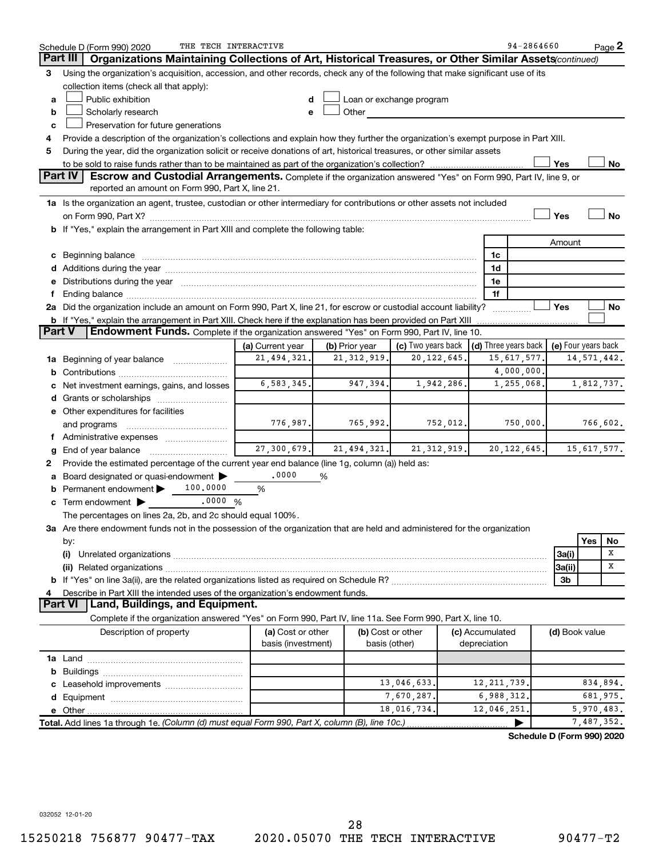|               | 94-2864660<br>THE TECH INTERACTIVE<br>Schedule D (Form 990) 2020<br>Page 2                                                                                                                                                     |                    |                   |                          |                 |                                      |                     |               |           |
|---------------|--------------------------------------------------------------------------------------------------------------------------------------------------------------------------------------------------------------------------------|--------------------|-------------------|--------------------------|-----------------|--------------------------------------|---------------------|---------------|-----------|
|               | Part III<br>Organizations Maintaining Collections of Art, Historical Treasures, or Other Similar Assets (continued)                                                                                                            |                    |                   |                          |                 |                                      |                     |               |           |
| 3             | Using the organization's acquisition, accession, and other records, check any of the following that make significant use of its                                                                                                |                    |                   |                          |                 |                                      |                     |               |           |
|               | collection items (check all that apply):                                                                                                                                                                                       |                    |                   |                          |                 |                                      |                     |               |           |
| a             | Public exhibition                                                                                                                                                                                                              | d                  |                   | Loan or exchange program |                 |                                      |                     |               |           |
| b             | Scholarly research                                                                                                                                                                                                             |                    | Other             |                          |                 |                                      |                     |               |           |
| c             | Preservation for future generations                                                                                                                                                                                            |                    |                   |                          |                 |                                      |                     |               |           |
| 4             | Provide a description of the organization's collections and explain how they further the organization's exempt purpose in Part XIII.                                                                                           |                    |                   |                          |                 |                                      |                     |               |           |
| 5             | During the year, did the organization solicit or receive donations of art, historical treasures, or other similar assets                                                                                                       |                    |                   |                          |                 |                                      |                     |               |           |
|               |                                                                                                                                                                                                                                |                    |                   |                          |                 |                                      | Yes                 |               | No        |
|               | <b>Part IV</b><br>Escrow and Custodial Arrangements. Complete if the organization answered "Yes" on Form 990, Part IV, line 9, or<br>reported an amount on Form 990, Part X, line 21.                                          |                    |                   |                          |                 |                                      |                     |               |           |
|               | 1a Is the organization an agent, trustee, custodian or other intermediary for contributions or other assets not included                                                                                                       |                    |                   |                          |                 |                                      |                     |               |           |
|               | on Form 990, Part X? [11] matter contracts and contracts and contracts are contracted and contracts are contracted and contract of the set of the set of the set of the set of the set of the set of the set of the set of the |                    |                   |                          |                 |                                      | Yes                 |               | <b>No</b> |
|               | <b>b</b> If "Yes," explain the arrangement in Part XIII and complete the following table:                                                                                                                                      |                    |                   |                          |                 |                                      |                     |               |           |
|               |                                                                                                                                                                                                                                |                    |                   |                          |                 |                                      | Amount              |               |           |
|               | c Beginning balance measurements and the contract of the contract of the contract of the contract of the contract of the contract of the contract of the contract of the contract of the contract of the contract of the contr |                    |                   |                          | 1c              |                                      |                     |               |           |
|               |                                                                                                                                                                                                                                |                    |                   |                          | 1d              |                                      |                     |               |           |
|               | e Distributions during the year manufactured and continuum and contact the year manufactured and contact the year manufactured and contact the year manufactured and contact the year manufactured and contact the year manufa |                    |                   |                          | 1e              |                                      |                     |               |           |
| f.            |                                                                                                                                                                                                                                |                    |                   |                          |                 | 1f                                   |                     |               |           |
|               | 2a Did the organization include an amount on Form 990, Part X, line 21, for escrow or custodial account liability?                                                                                                             |                    |                   |                          |                 |                                      | Yes                 |               | No        |
|               | <b>b</b> If "Yes," explain the arrangement in Part XIII. Check here if the explanation has been provided on Part XIII                                                                                                          |                    |                   |                          |                 |                                      |                     |               |           |
| <b>Part V</b> | <b>Endowment Funds.</b> Complete if the organization answered "Yes" on Form 990, Part IV, line 10.                                                                                                                             |                    |                   |                          |                 |                                      |                     |               |           |
|               |                                                                                                                                                                                                                                | (a) Current year   | (b) Prior year    | (c) Two years back       |                 | $\vert$ (d) Three years back $\vert$ | (e) Four years back |               |           |
| 1a            | Beginning of year balance <i>manumman</i>                                                                                                                                                                                      | 21, 494, 321.      | 21, 312, 919.     | 20, 122, 645             |                 | 15,617,577.                          |                     | 14, 571, 442. |           |
| b             |                                                                                                                                                                                                                                |                    |                   |                          |                 | 4,000,000.                           |                     |               |           |
|               | Net investment earnings, gains, and losses                                                                                                                                                                                     | 6,583,345.         | 947,394.          | 1,942,286.               |                 | 1,255,068.                           |                     | 1,812,737.    |           |
|               | d Grants or scholarships                                                                                                                                                                                                       |                    |                   |                          |                 |                                      |                     |               |           |
|               | e Other expenditures for facilities                                                                                                                                                                                            |                    |                   |                          |                 |                                      |                     |               |           |
|               | and programs                                                                                                                                                                                                                   | 776,987.           | 765,992.          | 752,012.                 |                 | 750,000.                             |                     |               | 766,602.  |
|               | f Administrative expenses                                                                                                                                                                                                      |                    |                   |                          |                 |                                      |                     |               |           |
| g             | End of year balance                                                                                                                                                                                                            | 27,300,679.        | 21, 494, 321.     | 21, 312, 919.            |                 | 20, 122, 645.                        |                     | 15, 617, 577. |           |
| 2             | Provide the estimated percentage of the current year end balance (line 1g, column (a)) held as:                                                                                                                                |                    |                   |                          |                 |                                      |                     |               |           |
|               | Board designated or quasi-endowment                                                                                                                                                                                            | .0000              | %                 |                          |                 |                                      |                     |               |           |
|               | 100,0000<br>Permanent endowment                                                                                                                                                                                                | %                  |                   |                          |                 |                                      |                     |               |           |
| С             | .0000%<br>Term endowment $\blacktriangleright$                                                                                                                                                                                 |                    |                   |                          |                 |                                      |                     |               |           |
|               | The percentages on lines 2a, 2b, and 2c should equal 100%.                                                                                                                                                                     |                    |                   |                          |                 |                                      |                     |               |           |
|               | 3a Are there endowment funds not in the possession of the organization that are held and administered for the organization                                                                                                     |                    |                   |                          |                 |                                      |                     |               |           |
|               | by:                                                                                                                                                                                                                            |                    |                   |                          |                 |                                      |                     | Yes           | No        |
|               | (i)                                                                                                                                                                                                                            |                    |                   |                          |                 |                                      | 3a(i)               |               | х<br>х    |
|               |                                                                                                                                                                                                                                |                    |                   |                          |                 |                                      | 3a(ii)              |               |           |
|               |                                                                                                                                                                                                                                |                    |                   |                          |                 |                                      | 3b                  |               |           |
|               | Describe in Part XIII the intended uses of the organization's endowment funds.<br>Land, Buildings, and Equipment.<br><b>Part VI</b>                                                                                            |                    |                   |                          |                 |                                      |                     |               |           |
|               | Complete if the organization answered "Yes" on Form 990, Part IV, line 11a. See Form 990, Part X, line 10.                                                                                                                     |                    |                   |                          |                 |                                      |                     |               |           |
|               | Description of property                                                                                                                                                                                                        | (a) Cost or other  | (b) Cost or other |                          | (c) Accumulated |                                      | (d) Book value      |               |           |
|               |                                                                                                                                                                                                                                | basis (investment) |                   | basis (other)            | depreciation    |                                      |                     |               |           |
|               |                                                                                                                                                                                                                                |                    |                   |                          |                 |                                      |                     |               |           |
| b             |                                                                                                                                                                                                                                |                    |                   |                          |                 |                                      |                     |               |           |
|               |                                                                                                                                                                                                                                |                    |                   | 13,046,633.              |                 | 12, 211, 739.                        |                     |               | 834,894.  |
|               |                                                                                                                                                                                                                                |                    |                   | 7,670,287.               |                 | 6,988,312.                           |                     |               | 681,975.  |
|               | 18,016,734.<br>12,046,251<br>5,970,483.<br><b>e</b> Other                                                                                                                                                                      |                    |                   |                          |                 |                                      |                     |               |           |
|               | Total. Add lines 1a through 1e. (Column (d) must equal Form 990, Part X, column (B), line 10c.)                                                                                                                                |                    |                   |                          |                 |                                      |                     | 7,487,352.    |           |
|               |                                                                                                                                                                                                                                |                    |                   |                          |                 | Schedule D (Form 990) 2020           |                     |               |           |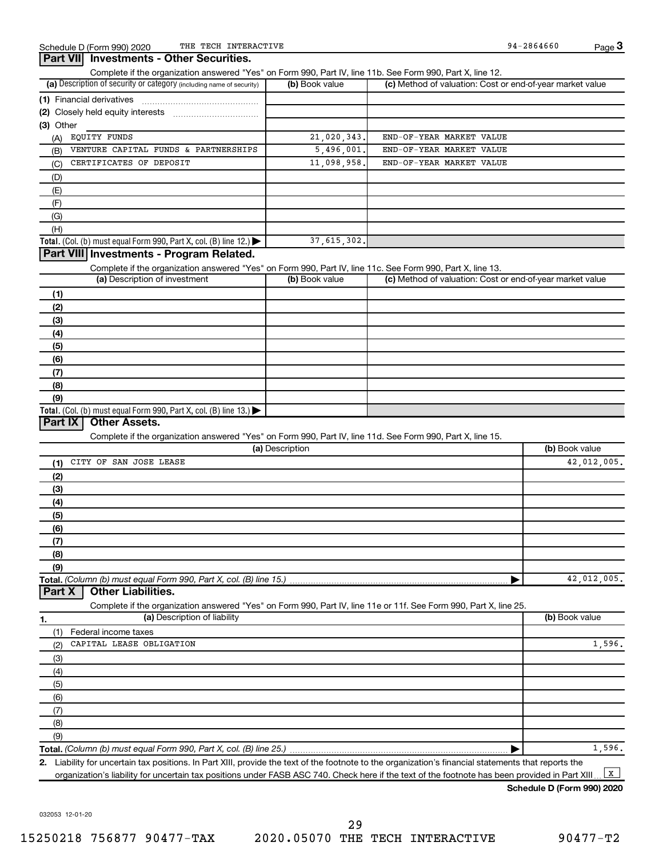Complete if the organization answered "Yes" on Form 990, Part IV, line 11b. See Form 990, Part X, line 12.

| (a) Description of security or category (including name of security)       | (b) Book value | (c) Method of valuation: Cost or end-of-year market value |  |  |  |  |
|----------------------------------------------------------------------------|----------------|-----------------------------------------------------------|--|--|--|--|
| (1) Financial derivatives                                                  |                |                                                           |  |  |  |  |
| (2) Closely held equity interests                                          |                |                                                           |  |  |  |  |
| (3) Other                                                                  |                |                                                           |  |  |  |  |
| EQUITY FUNDS<br>(A)                                                        | 21,020,343.    | END-OF-YEAR MARKET VALUE                                  |  |  |  |  |
| VENTURE CAPITAL FUNDS & PARTNERSHIPS<br>(B)                                | 5,496,001.     | END-OF-YEAR MARKET VALUE                                  |  |  |  |  |
| CERTIFICATES OF DEPOSIT<br>(C)                                             | 11,098,958.    | END-OF-YEAR MARKET VALUE                                  |  |  |  |  |
| (D)                                                                        |                |                                                           |  |  |  |  |
| (E)                                                                        |                |                                                           |  |  |  |  |
| (F)                                                                        |                |                                                           |  |  |  |  |
| (G)                                                                        |                |                                                           |  |  |  |  |
| (H)                                                                        |                |                                                           |  |  |  |  |
| <b>Total.</b> (Col. (b) must equal Form 990, Part X, col. (B) line $12$ .) | 37,615,302.    |                                                           |  |  |  |  |

#### **Part VIII Investments - Program Related.**

Complete if the organization answered "Yes" on Form 990, Part IV, line 11c. See Form 990, Part X, line 13.

| (a) Description of investment                                                           | (b) Book value | (c) Method of valuation: Cost or end-of-year market value |
|-----------------------------------------------------------------------------------------|----------------|-----------------------------------------------------------|
| (1)                                                                                     |                |                                                           |
| (2)                                                                                     |                |                                                           |
| (3)                                                                                     |                |                                                           |
| (4)                                                                                     |                |                                                           |
| (5)                                                                                     |                |                                                           |
| (6)                                                                                     |                |                                                           |
| (7)                                                                                     |                |                                                           |
| (8)                                                                                     |                |                                                           |
| (9)                                                                                     |                |                                                           |
| Total. (Col. (b) must equal Form 990, Part X, col. (B) line $13.$ $\blacktriangleright$ |                |                                                           |

#### **Part IX Other Assets.**

Complete if the organization answered "Yes" on Form 990, Part IV, line 11d. See Form 990, Part X, line 15.

|               | (a) Description                                                                                                   | (b) Book value |
|---------------|-------------------------------------------------------------------------------------------------------------------|----------------|
| (1)           | CITY OF<br>SAN JOSE LEASE                                                                                         | 42,012,005.    |
| (2)           |                                                                                                                   |                |
| (3)           |                                                                                                                   |                |
| (4)           |                                                                                                                   |                |
| (5)           |                                                                                                                   |                |
| (6)           |                                                                                                                   |                |
| (7)           |                                                                                                                   |                |
| (8)           |                                                                                                                   |                |
| (9)           |                                                                                                                   |                |
|               |                                                                                                                   | 42,012,005.    |
| <b>Part X</b> | <b>Other Liabilities.</b>                                                                                         |                |
|               | Complete if the organization answered "Yes" on Form 990, Part IV, line 11e or 11f. See Form 990, Part X, line 25. |                |
| 1.            | (a) Description of liability                                                                                      | (b) Book value |
| (1)           | Federal income taxes                                                                                              |                |
| (2)           | CAPITAL LEASE OBLIGATION                                                                                          | 1,596.         |

| (3) |      |
|-----|------|
| (4) |      |
| (5) |      |
| (6) |      |
| (7) |      |
| (8) |      |
| (9) |      |
|     | 596. |

**Total.**  *(Column (b) must equal Form 990, Part X, col. (B) line 25.)*

**2.** Liability for uncertain tax positions. In Part XIII, provide the text of the footnote to the organization's financial statements that reports the organization's liability for uncertain tax positions under FASB ASC 740. Check here if the text of the footnote has been provided in Part XIII ...  $\boxed{\texttt{X}}$ 

**Schedule D (Form 990) 2020**

032053 12-01-20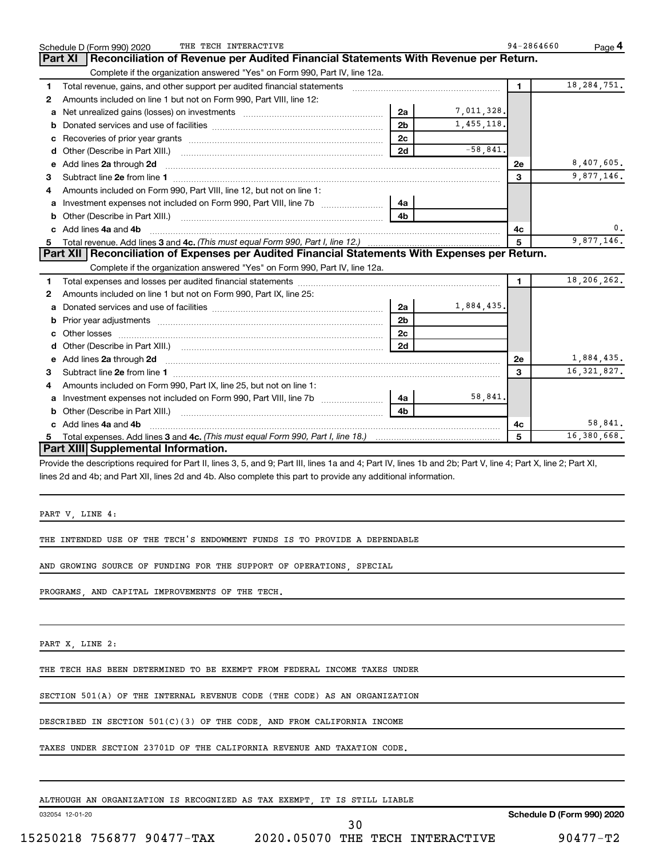|    | THE TECH INTERACTIVE<br>Schedule D (Form 990) 2020                                                                                                                                                                                   |                |             | $94 - 2864660$ | Page 4        |
|----|--------------------------------------------------------------------------------------------------------------------------------------------------------------------------------------------------------------------------------------|----------------|-------------|----------------|---------------|
|    | Reconciliation of Revenue per Audited Financial Statements With Revenue per Return.<br>Part XI                                                                                                                                       |                |             |                |               |
|    | Complete if the organization answered "Yes" on Form 990, Part IV, line 12a.                                                                                                                                                          |                |             |                |               |
| 1  | Total revenue, gains, and other support per audited financial statements                                                                                                                                                             |                |             | $\mathbf{1}$   | 18, 284, 751. |
| 2  | Amounts included on line 1 but not on Form 990, Part VIII, line 12:                                                                                                                                                                  |                |             |                |               |
| a  | Net unrealized gains (losses) on investments [111] [12] matter and the unrealized gains (losses) on investments                                                                                                                      | 2a             | 7,011,328.  |                |               |
| b  |                                                                                                                                                                                                                                      | 2 <sub>b</sub> | 1,455,118.  |                |               |
| с  |                                                                                                                                                                                                                                      | 2 <sub>c</sub> |             |                |               |
| d  |                                                                                                                                                                                                                                      | 2d             | $-58,841$ . |                |               |
| е  | Add lines 2a through 2d <b>minimum contained a contract of the contract of the contract of the contract of the contract of the contract of the contract of the contract of the contract of the contract of the contract of the c</b> |                |             | 2e             | 8,407,605.    |
| 3  |                                                                                                                                                                                                                                      |                |             | 3              | 9,877,146.    |
| 4  | Amounts included on Form 990, Part VIII, line 12, but not on line 1:                                                                                                                                                                 |                |             |                |               |
| a  | Investment expenses not included on Form 990, Part VIII, line 7b [100] [100] [100] [100] [100] [100] [100] [10                                                                                                                       | 4a             |             |                |               |
| b  |                                                                                                                                                                                                                                      |                |             |                |               |
| c  | Add lines 4a and 4b                                                                                                                                                                                                                  |                |             | 4с             |               |
| 5. |                                                                                                                                                                                                                                      |                |             | 5              | 9,877,146.    |
|    | Part XII   Reconciliation of Expenses per Audited Financial Statements With Expenses per Return.                                                                                                                                     |                |             |                |               |
|    | Complete if the organization answered "Yes" on Form 990, Part IV, line 12a.                                                                                                                                                          |                |             |                |               |
| 1  |                                                                                                                                                                                                                                      |                |             | 1.             | 18,206,262.   |
| 2  | Amounts included on line 1 but not on Form 990, Part IX, line 25:                                                                                                                                                                    |                |             |                |               |
| a  |                                                                                                                                                                                                                                      | 2a l           | 1,884,435.  |                |               |
|    |                                                                                                                                                                                                                                      | 2 <sub>b</sub> |             |                |               |
| c  |                                                                                                                                                                                                                                      | 2 <sub>c</sub> |             |                |               |
|    |                                                                                                                                                                                                                                      | 2d             |             |                |               |
|    |                                                                                                                                                                                                                                      |                |             | <b>2e</b>      | 1,884,435.    |
| 3  |                                                                                                                                                                                                                                      |                |             | 3              | 16, 321, 827. |
| 4  | Amounts included on Form 990, Part IX, line 25, but not on line 1:                                                                                                                                                                   |                |             |                |               |
| a  | Investment expenses not included on Form 990, Part VIII, line 7b                                                                                                                                                                     | -4a l          | 58,841.     |                |               |
| b  |                                                                                                                                                                                                                                      | 4h             |             |                |               |
| c  | Add lines 4a and 4b                                                                                                                                                                                                                  |                |             | 4с             | 58,841.       |
|    |                                                                                                                                                                                                                                      |                |             | 5              | 16,380,668.   |
|    | Part XIII Supplemental Information.                                                                                                                                                                                                  |                |             |                |               |

Provide the descriptions required for Part II, lines 3, 5, and 9; Part III, lines 1a and 4; Part IV, lines 1b and 2b; Part V, line 4; Part X, line 2; Part XI, lines 2d and 4b; and Part XII, lines 2d and 4b. Also complete this part to provide any additional information.

PART V, LINE 4:

THE INTENDED USE OF THE TECH'S ENDOWMENT FUNDS IS TO PROVIDE A DEPENDABLE

AND GROWING SOURCE OF FUNDING FOR THE SUPPORT OF OPERATIONS, SPECIAL

PROGRAMS, AND CAPITAL IMPROVEMENTS OF THE TECH.

PART X, LINE 2:

THE TECH HAS BEEN DETERMINED TO BE EXEMPT FROM FEDERAL INCOME TAXES UNDER

SECTION 501(A) OF THE INTERNAL REVENUE CODE (THE CODE) AS AN ORGANIZATION

DESCRIBED IN SECTION 501(C)(3) OF THE CODE, AND FROM CALIFORNIA INCOME

TAXES UNDER SECTION 23701D OF THE CALIFORNIA REVENUE AND TAXATION CODE.

ALTHOUGH AN ORGANIZATION IS RECOGNIZED AS TAX EXEMPT, IT IS STILL LIABLE

032054 12-01-20

**Schedule D (Form 990) 2020**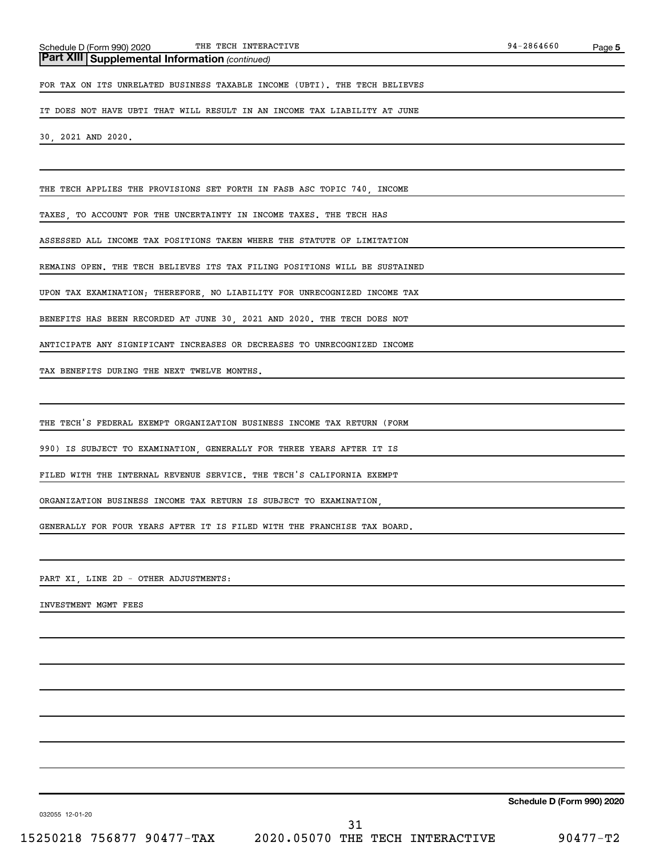#### *(continued)* **Part XIII Supplemental Information**

FOR TAX ON ITS UNRELATED BUSINESS TAXABLE INCOME (UBTI). THE TECH BELIEVES

IT DOES NOT HAVE UBTI THAT WILL RESULT IN AN INCOME TAX LIABILITY AT JUNE

30, 2021 AND 2020.

THE TECH APPLIES THE PROVISIONS SET FORTH IN FASB ASC TOPIC 740, INCOME

TAXES, TO ACCOUNT FOR THE UNCERTAINTY IN INCOME TAXES. THE TECH HAS

ASSESSED ALL INCOME TAX POSITIONS TAKEN WHERE THE STATUTE OF LIMITATION

REMAINS OPEN. THE TECH BELIEVES ITS TAX FILING POSITIONS WILL BE SUSTAINED

UPON TAX EXAMINATION; THEREFORE, NO LIABILITY FOR UNRECOGNIZED INCOME TAX

BENEFITS HAS BEEN RECORDED AT JUNE 30, 2021 AND 2020. THE TECH DOES NOT

ANTICIPATE ANY SIGNIFICANT INCREASES OR DECREASES TO UNRECOGNIZED INCOME

TAX BENEFITS DURING THE NEXT TWELVE MONTHS.

THE TECH'S FEDERAL EXEMPT ORGANIZATION BUSINESS INCOME TAX RETURN (FORM

990) IS SUBJECT TO EXAMINATION, GENERALLY FOR THREE YEARS AFTER IT IS

FILED WITH THE INTERNAL REVENUE SERVICE. THE TECH'S CALIFORNIA EXEMPT

ORGANIZATION BUSINESS INCOME TAX RETURN IS SUBJECT TO EXAMINATION,

GENERALLY FOR FOUR YEARS AFTER IT IS FILED WITH THE FRANCHISE TAX BOARD.

PART XI, LINE 2D - OTHER ADJUSTMENTS:

INVESTMENT MGMT FEES

**Schedule D (Form 990) 2020**

032055 12-01-20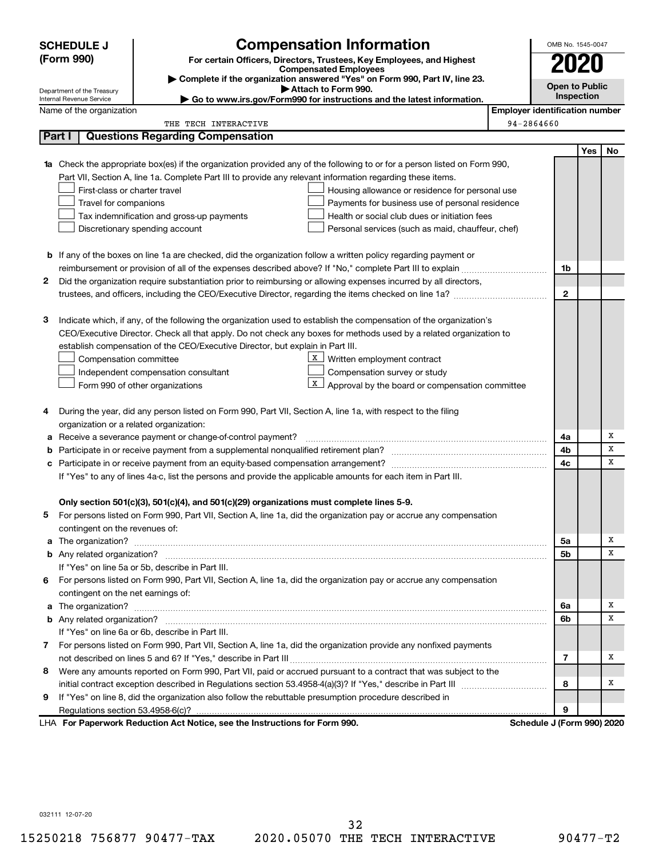|    | <b>SCHEDULE J</b>                       | <b>Compensation Information</b>                                                                                                  |                                       | OMB No. 1545-0047          |     |    |
|----|-----------------------------------------|----------------------------------------------------------------------------------------------------------------------------------|---------------------------------------|----------------------------|-----|----|
|    | (Form 990)                              | For certain Officers, Directors, Trustees, Key Employees, and Highest                                                            |                                       | 2020                       |     |    |
|    |                                         | <b>Compensated Employees</b>                                                                                                     |                                       |                            |     |    |
|    | Department of the Treasury              | Complete if the organization answered "Yes" on Form 990, Part IV, line 23.<br>Attach to Form 990.                                |                                       | <b>Open to Public</b>      |     |    |
|    | <b>Internal Revenue Service</b>         | Go to www.irs.gov/Form990 for instructions and the latest information.                                                           |                                       | Inspection                 |     |    |
|    | Name of the organization                |                                                                                                                                  | <b>Employer identification number</b> |                            |     |    |
|    |                                         | THE TECH INTERACTIVE                                                                                                             | 94-2864660                            |                            |     |    |
|    | Part I                                  | <b>Questions Regarding Compensation</b>                                                                                          |                                       |                            |     |    |
|    |                                         |                                                                                                                                  |                                       |                            | Yes | No |
|    |                                         | <b>1a</b> Check the appropriate box(es) if the organization provided any of the following to or for a person listed on Form 990, |                                       |                            |     |    |
|    |                                         | Part VII, Section A, line 1a. Complete Part III to provide any relevant information regarding these items.                       |                                       |                            |     |    |
|    | First-class or charter travel           | Housing allowance or residence for personal use                                                                                  |                                       |                            |     |    |
|    | Travel for companions                   | Payments for business use of personal residence                                                                                  |                                       |                            |     |    |
|    |                                         | Health or social club dues or initiation fees<br>Tax indemnification and gross-up payments                                       |                                       |                            |     |    |
|    |                                         | Discretionary spending account<br>Personal services (such as maid, chauffeur, chef)                                              |                                       |                            |     |    |
|    |                                         |                                                                                                                                  |                                       |                            |     |    |
|    |                                         | <b>b</b> If any of the boxes on line 1a are checked, did the organization follow a written policy regarding payment or           |                                       |                            |     |    |
|    |                                         |                                                                                                                                  |                                       | 1b                         |     |    |
| 2  |                                         | Did the organization require substantiation prior to reimbursing or allowing expenses incurred by all directors,                 |                                       |                            |     |    |
|    |                                         |                                                                                                                                  |                                       | $\mathbf{2}$               |     |    |
|    |                                         |                                                                                                                                  |                                       |                            |     |    |
| з  |                                         | Indicate which, if any, of the following the organization used to establish the compensation of the organization's               |                                       |                            |     |    |
|    |                                         | CEO/Executive Director. Check all that apply. Do not check any boxes for methods used by a related organization to               |                                       |                            |     |    |
|    |                                         | establish compensation of the CEO/Executive Director, but explain in Part III.                                                   |                                       |                            |     |    |
|    | Compensation committee                  | X  <br>Written employment contract                                                                                               |                                       |                            |     |    |
|    |                                         | Compensation survey or study<br>Independent compensation consultant                                                              |                                       |                            |     |    |
|    |                                         | X  <br>Approval by the board or compensation committee<br>Form 990 of other organizations                                        |                                       |                            |     |    |
| 4  |                                         | During the year, did any person listed on Form 990, Part VII, Section A, line 1a, with respect to the filing                     |                                       |                            |     |    |
|    | organization or a related organization: |                                                                                                                                  |                                       |                            |     |    |
| а  |                                         | Receive a severance payment or change-of-control payment?                                                                        |                                       | 4a                         |     | х  |
| b  |                                         |                                                                                                                                  |                                       | 4b                         |     | x  |
| c  |                                         |                                                                                                                                  |                                       | 4c                         |     | X  |
|    |                                         | If "Yes" to any of lines 4a-c, list the persons and provide the applicable amounts for each item in Part III.                    |                                       |                            |     |    |
|    |                                         |                                                                                                                                  |                                       |                            |     |    |
|    |                                         | Only section 501(c)(3), 501(c)(4), and 501(c)(29) organizations must complete lines 5-9.                                         |                                       |                            |     |    |
|    |                                         | For persons listed on Form 990, Part VII, Section A, line 1a, did the organization pay or accrue any compensation                |                                       |                            |     |    |
|    | contingent on the revenues of:          |                                                                                                                                  |                                       |                            |     |    |
|    |                                         |                                                                                                                                  |                                       | 5а                         |     | х  |
|    |                                         |                                                                                                                                  |                                       | 5b                         |     | x  |
|    |                                         | If "Yes" on line 5a or 5b, describe in Part III.                                                                                 |                                       |                            |     |    |
| 6. |                                         | For persons listed on Form 990, Part VII, Section A, line 1a, did the organization pay or accrue any compensation                |                                       |                            |     |    |
|    | contingent on the net earnings of:      |                                                                                                                                  |                                       |                            |     |    |
|    |                                         |                                                                                                                                  |                                       | 6a                         |     | х  |
|    |                                         |                                                                                                                                  |                                       | 6b                         |     | x  |
|    |                                         | If "Yes" on line 6a or 6b, describe in Part III.                                                                                 |                                       |                            |     |    |
|    |                                         | 7 For persons listed on Form 990, Part VII, Section A, line 1a, did the organization provide any nonfixed payments               |                                       |                            |     |    |
|    |                                         |                                                                                                                                  |                                       | 7                          |     | X  |
| 8  |                                         | Were any amounts reported on Form 990, Part VII, paid or accrued pursuant to a contract that was subject to the                  |                                       |                            |     |    |
|    |                                         |                                                                                                                                  |                                       | 8                          |     | х  |
| 9  |                                         | If "Yes" on line 8, did the organization also follow the rebuttable presumption procedure described in                           |                                       |                            |     |    |
|    |                                         |                                                                                                                                  |                                       | 9                          |     |    |
|    |                                         | LHA For Paperwork Reduction Act Notice, see the Instructions for Form 990.                                                       |                                       | Schedule J (Form 990) 2020 |     |    |

032111 12-07-20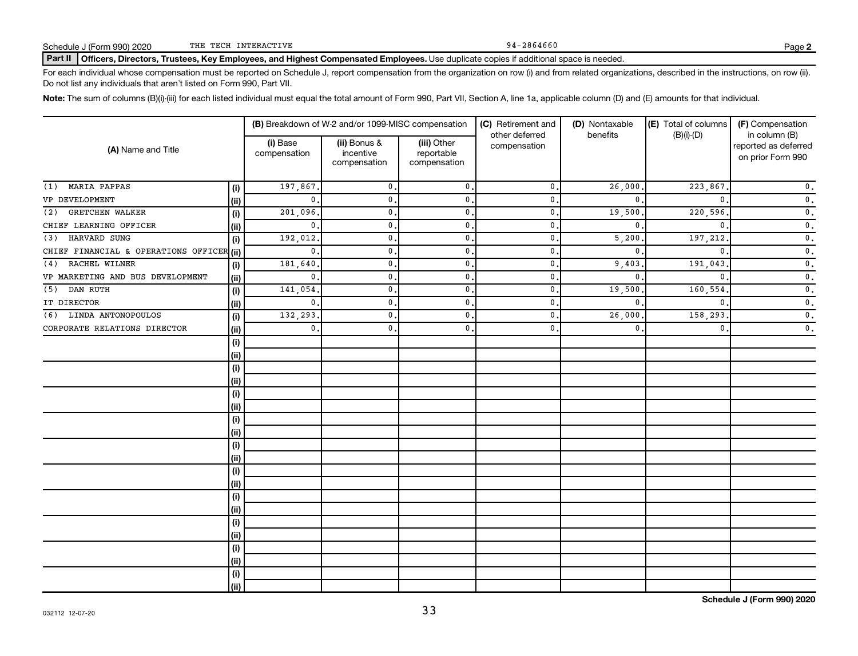#### Part II | Officers, Directors, Trustees, Key Employees, and Highest Compensated Employees. Use duplicate copies if additional space is needed.

For each individual whose compensation must be reported on Schedule J, report compensation from the organization on row (i) and from related organizations, described in the instructions, on row (ii). Do not list any individuals that aren't listed on Form 990, Part VII.

Note: The sum of columns (B)(i)-(iii) for each listed individual must equal the total amount of Form 990, Part VII, Section A, line 1a, applicable column (D) and (E) amounts for that individual.

|                                           |      |                          | (B) Breakdown of W-2 and/or 1099-MISC compensation |                                           | (C) Retirement and<br>other deferred | (D) Nontaxable<br>benefits | (E) Total of columns | (F) Compensation<br>in column (B)         |
|-------------------------------------------|------|--------------------------|----------------------------------------------------|-------------------------------------------|--------------------------------------|----------------------------|----------------------|-------------------------------------------|
| (A) Name and Title                        |      | (i) Base<br>compensation | (ii) Bonus &<br>incentive<br>compensation          | (iii) Other<br>reportable<br>compensation | compensation                         |                            | $(B)(i)$ - $(D)$     | reported as deferred<br>on prior Form 990 |
| MARIA PAPPAS<br>(1)                       | (i)  | 197,867                  | $\mathbf{0}$ .                                     | 0.                                        | $\mathbf{0}$                         | 26,000                     | 223,867              | $\mathbf 0$ .                             |
| VP DEVELOPMENT                            | (ii) | $\mathbf{0}$             | $\mathbf{0}$                                       | 0.                                        | $\mathbf 0$                          | $\Omega$                   | $\Omega$             | $\mathbf 0$ .                             |
| <b>GRETCHEN WALKER</b><br>(2)             | (i)  | 201,096                  | $\mathbf{0}$ .                                     | 0.                                        | $\mathbf{0}$                         | 19,500                     | 220,596              | $\mathbf 0$ .                             |
| CHIEF LEARNING OFFICER                    | (i)  | $\mathbf{0}$             | $\mathbf{0}$ .                                     | 0.                                        | $\mathbf{0}$                         | $\mathbf 0$                | $\Omega$             | $\mathbf 0$ .                             |
| HARVARD SUNG<br>(3)                       | (i)  | 192,012                  | $\mathbf{0}$ .                                     | 0.                                        | $\mathbf{0}$                         | 5,200                      | 197,212              | $\mathbf 0$ .                             |
| CHIEF FINANCIAL & OPERATIONS OFFICER (ii) |      | $\mathbf 0$              | $\mathbf{0}$                                       | $\mathbf{0}$ .                            | $\mathbf{0}$                         | $\mathbf{0}$               | $\Omega$             | $\mathbf 0$ .                             |
| RACHEL WILNER<br>(4)                      | (i)  | 181,640                  | $\mathbf{0}$                                       | $\mathbf 0$ .                             | $\mathbf 0$                          | 9,403                      | 191,043              | $\mathbf 0$ .                             |
| VP MARKETING AND BUS DEVELOPMENT          | (i)  | $\mathbf 0$              | $\mathbf{0}$                                       | $\mathbf{0}$ .                            | $\mathbf 0$                          | $\mathbf 0$                | $\Omega$             | $\mathbf 0$ .                             |
| DAN RUTH<br>(5)                           | (i)  | 141,054                  | $\mathbf{0}$                                       | $\mathbf{0}$ .                            | $\mathbf 0$                          | 19,500                     | 160,554              | $\mathbf 0$ .                             |
| IT DIRECTOR                               | (i)  | $\mathbf{0}$             | $\mathbf{0}$ .                                     | $\mathbf{0}$ .                            | $\mathbf{0}$                         | $\mathbf{0}$ .             | $\mathbf{0}$         | $\mathbf 0$ .                             |
| LINDA ANTONOPOULOS<br>(6)                 | (i)  | 132,293                  | $\mathbf{0}$ .                                     | $\mathbf 0$ .                             | $\mathbf{0}$                         | 26,000                     | 158,293              | $\mathbf 0$ .                             |
| CORPORATE RELATIONS DIRECTOR              | (ii) | $\mathbf{0}$ .           | $\mathbf{0}$ .                                     | 0.                                        | $\mathbf{0}$                         | $\mathbf{0}$ .             | $\mathbf{0}$         | $\mathbf 0$ .                             |
|                                           | (i)  |                          |                                                    |                                           |                                      |                            |                      |                                           |
|                                           | (i)  |                          |                                                    |                                           |                                      |                            |                      |                                           |
|                                           | (i)  |                          |                                                    |                                           |                                      |                            |                      |                                           |
|                                           | (i)  |                          |                                                    |                                           |                                      |                            |                      |                                           |
|                                           | (i)  |                          |                                                    |                                           |                                      |                            |                      |                                           |
|                                           | (i)  |                          |                                                    |                                           |                                      |                            |                      |                                           |
|                                           | (i)  |                          |                                                    |                                           |                                      |                            |                      |                                           |
|                                           | (i)  |                          |                                                    |                                           |                                      |                            |                      |                                           |
|                                           | (i)  |                          |                                                    |                                           |                                      |                            |                      |                                           |
|                                           | (i)  |                          |                                                    |                                           |                                      |                            |                      |                                           |
|                                           | (i)  |                          |                                                    |                                           |                                      |                            |                      |                                           |
|                                           | (i)  |                          |                                                    |                                           |                                      |                            |                      |                                           |
|                                           | (i)  |                          |                                                    |                                           |                                      |                            |                      |                                           |
|                                           | (ii) |                          |                                                    |                                           |                                      |                            |                      |                                           |
|                                           | (i)  |                          |                                                    |                                           |                                      |                            |                      |                                           |
|                                           | (ii) |                          |                                                    |                                           |                                      |                            |                      |                                           |
|                                           | (i)  |                          |                                                    |                                           |                                      |                            |                      |                                           |
|                                           | (ii) |                          |                                                    |                                           |                                      |                            |                      |                                           |
|                                           | (i)  |                          |                                                    |                                           |                                      |                            |                      |                                           |
|                                           | (ii) |                          |                                                    |                                           |                                      |                            |                      |                                           |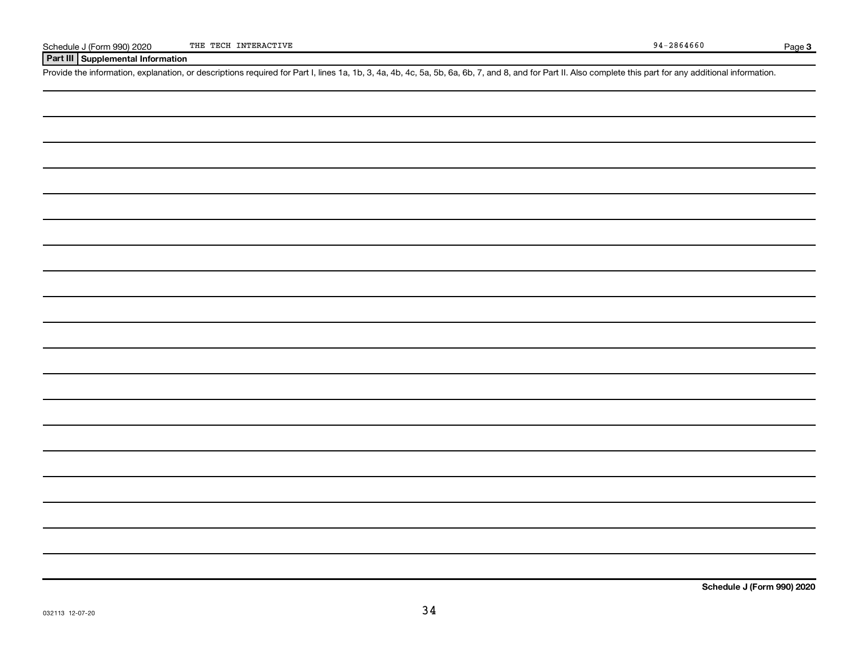#### **Part III Supplemental Information**

Provide the information, explanation, or descriptions required for Part I, lines 1a, 1b, 3, 4a, 4b, 4c, 5a, 5b, 6a, 6b, 7, and 8, and for Part II. Also complete this part for any additional information.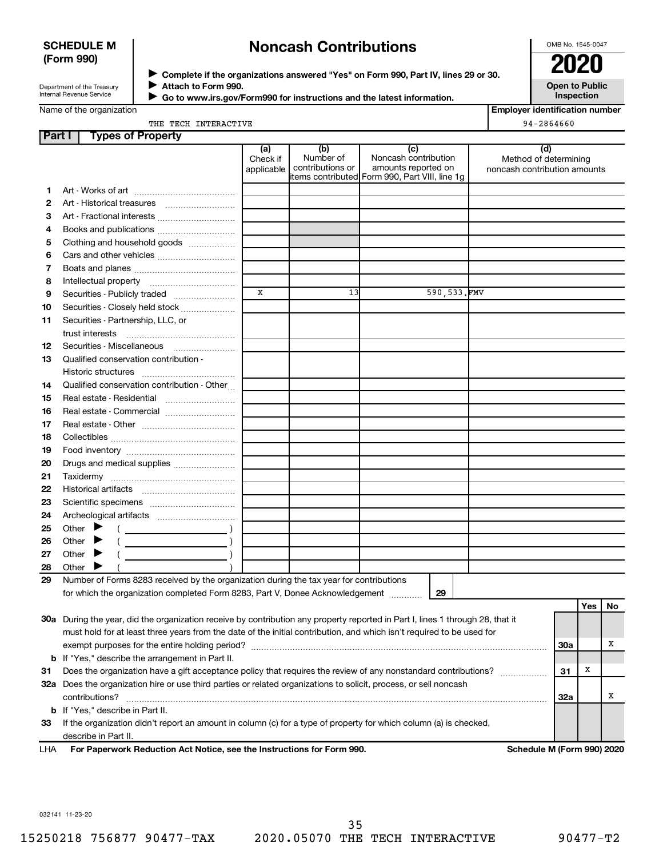#### **SCHEDULE M (Form 990)**

## **Noncash Contributions**

OMB No. 1545-0047

Department of the Treasury Internal Revenue Service

◆ Complete if the organizations answered "Yes" on Form 990, Part IV, lines 29 or 30.<br>● Complete if the organizations answered "Yes" on Form 990, Part IV, lines 29 or 30. **Attach to Form 990.**  $\blacktriangleright$ 

 **Go to www.irs.gov/Form990 for instructions and the latest information.**

**Open to Public Inspection**

Name of the organization **Part I Types of Property**

| THE | TECH | INTERACTIVE | 00 <sup>c</sup><br>$44 -$<br>2864660 |
|-----|------|-------------|--------------------------------------|
|     |      |             |                                      |

 $\blacktriangleright$ 

**Employer identification number**

| rail i | Types of Froperty                                                                                                                                                                                                                                                                                                                                                                  |                               |                                      |                                                    |                                                              |     |     |    |
|--------|------------------------------------------------------------------------------------------------------------------------------------------------------------------------------------------------------------------------------------------------------------------------------------------------------------------------------------------------------------------------------------|-------------------------------|--------------------------------------|----------------------------------------------------|--------------------------------------------------------------|-----|-----|----|
|        |                                                                                                                                                                                                                                                                                                                                                                                    | (a)<br>Check if<br>applicable | (b)<br>Number of<br>contributions or | (c)<br>Noncash contribution<br>amounts reported on | (d)<br>Method of determining<br>noncash contribution amounts |     |     |    |
|        |                                                                                                                                                                                                                                                                                                                                                                                    |                               |                                      | items contributed Form 990, Part VIII, line 1g     |                                                              |     |     |    |
| 1.     |                                                                                                                                                                                                                                                                                                                                                                                    |                               |                                      |                                                    |                                                              |     |     |    |
| 2      |                                                                                                                                                                                                                                                                                                                                                                                    |                               |                                      |                                                    |                                                              |     |     |    |
| 3      |                                                                                                                                                                                                                                                                                                                                                                                    |                               |                                      |                                                    |                                                              |     |     |    |
| 4      |                                                                                                                                                                                                                                                                                                                                                                                    |                               |                                      |                                                    |                                                              |     |     |    |
| 5      | Clothing and household goods                                                                                                                                                                                                                                                                                                                                                       |                               |                                      |                                                    |                                                              |     |     |    |
| 6      |                                                                                                                                                                                                                                                                                                                                                                                    |                               |                                      |                                                    |                                                              |     |     |    |
| 7      |                                                                                                                                                                                                                                                                                                                                                                                    |                               |                                      |                                                    |                                                              |     |     |    |
| 8      |                                                                                                                                                                                                                                                                                                                                                                                    |                               |                                      |                                                    |                                                              |     |     |    |
| 9      | Securities - Publicly traded                                                                                                                                                                                                                                                                                                                                                       | $\mathbf x$                   | 13                                   | 590,533.FMV                                        |                                                              |     |     |    |
| 10     | Securities - Closely held stock                                                                                                                                                                                                                                                                                                                                                    |                               |                                      |                                                    |                                                              |     |     |    |
| 11     | Securities - Partnership, LLC, or                                                                                                                                                                                                                                                                                                                                                  |                               |                                      |                                                    |                                                              |     |     |    |
|        |                                                                                                                                                                                                                                                                                                                                                                                    |                               |                                      |                                                    |                                                              |     |     |    |
| 12     | Securities - Miscellaneous                                                                                                                                                                                                                                                                                                                                                         |                               |                                      |                                                    |                                                              |     |     |    |
| 13     | Qualified conservation contribution -                                                                                                                                                                                                                                                                                                                                              |                               |                                      |                                                    |                                                              |     |     |    |
|        |                                                                                                                                                                                                                                                                                                                                                                                    |                               |                                      |                                                    |                                                              |     |     |    |
| 14     | Qualified conservation contribution - Other                                                                                                                                                                                                                                                                                                                                        |                               |                                      |                                                    |                                                              |     |     |    |
| 15     | Real estate - Residential                                                                                                                                                                                                                                                                                                                                                          |                               |                                      |                                                    |                                                              |     |     |    |
| 16     | Real estate - Commercial                                                                                                                                                                                                                                                                                                                                                           |                               |                                      |                                                    |                                                              |     |     |    |
| 17     |                                                                                                                                                                                                                                                                                                                                                                                    |                               |                                      |                                                    |                                                              |     |     |    |
| 18     |                                                                                                                                                                                                                                                                                                                                                                                    |                               |                                      |                                                    |                                                              |     |     |    |
| 19     |                                                                                                                                                                                                                                                                                                                                                                                    |                               |                                      |                                                    |                                                              |     |     |    |
| 20     |                                                                                                                                                                                                                                                                                                                                                                                    |                               |                                      |                                                    |                                                              |     |     |    |
| 21     |                                                                                                                                                                                                                                                                                                                                                                                    |                               |                                      |                                                    |                                                              |     |     |    |
| 22     |                                                                                                                                                                                                                                                                                                                                                                                    |                               |                                      |                                                    |                                                              |     |     |    |
| 23     |                                                                                                                                                                                                                                                                                                                                                                                    |                               |                                      |                                                    |                                                              |     |     |    |
| 24     |                                                                                                                                                                                                                                                                                                                                                                                    |                               |                                      |                                                    |                                                              |     |     |    |
| 25     | Other $\blacktriangleright$<br>$\left(\begin{array}{ccc}\n&\quad&\quad&\quad\end{array}\right)$                                                                                                                                                                                                                                                                                    |                               |                                      |                                                    |                                                              |     |     |    |
| 26     | $\begin{picture}(150,10) \put(0,0){\line(1,0){10}} \put(15,0){\line(1,0){10}} \put(15,0){\line(1,0){10}} \put(15,0){\line(1,0){10}} \put(15,0){\line(1,0){10}} \put(15,0){\line(1,0){10}} \put(15,0){\line(1,0){10}} \put(15,0){\line(1,0){10}} \put(15,0){\line(1,0){10}} \put(15,0){\line(1,0){10}} \put(15,0){\line(1,0){10}} \put(15,0){\line($<br>Other $\blacktriangleright$ |                               |                                      |                                                    |                                                              |     |     |    |
| 27     | Other $\blacktriangleright$<br><u> The Communication of the Communication</u>                                                                                                                                                                                                                                                                                                      |                               |                                      |                                                    |                                                              |     |     |    |
| 28     | Other                                                                                                                                                                                                                                                                                                                                                                              |                               |                                      |                                                    |                                                              |     |     |    |
| 29     | Number of Forms 8283 received by the organization during the tax year for contributions                                                                                                                                                                                                                                                                                            |                               |                                      |                                                    |                                                              |     |     |    |
|        | for which the organization completed Form 8283, Part V, Donee Acknowledgement                                                                                                                                                                                                                                                                                                      |                               |                                      | 29                                                 |                                                              |     |     |    |
|        |                                                                                                                                                                                                                                                                                                                                                                                    |                               |                                      |                                                    |                                                              |     | Yes | No |
|        | 30a During the year, did the organization receive by contribution any property reported in Part I, lines 1 through 28, that it                                                                                                                                                                                                                                                     |                               |                                      |                                                    |                                                              |     |     |    |
|        | must hold for at least three years from the date of the initial contribution, and which isn't required to be used for                                                                                                                                                                                                                                                              |                               |                                      |                                                    |                                                              |     |     |    |
|        |                                                                                                                                                                                                                                                                                                                                                                                    |                               |                                      |                                                    |                                                              | 30a |     | х  |
|        | <b>b</b> If "Yes," describe the arrangement in Part II.                                                                                                                                                                                                                                                                                                                            |                               |                                      |                                                    |                                                              |     |     |    |
| 31     | Does the organization have a gift acceptance policy that requires the review of any nonstandard contributions?                                                                                                                                                                                                                                                                     |                               |                                      |                                                    |                                                              | 31  | х   |    |
|        | 32a Does the organization hire or use third parties or related organizations to solicit, process, or sell noncash                                                                                                                                                                                                                                                                  |                               |                                      |                                                    |                                                              |     |     |    |
|        |                                                                                                                                                                                                                                                                                                                                                                                    |                               |                                      |                                                    |                                                              | 32a |     | х  |
|        | <b>b</b> If "Yes," describe in Part II.                                                                                                                                                                                                                                                                                                                                            |                               |                                      |                                                    |                                                              |     |     |    |
| 33     | If the organization didn't report an amount in column (c) for a type of property for which column (a) is checked,                                                                                                                                                                                                                                                                  |                               |                                      |                                                    |                                                              |     |     |    |

describe in Part II.

**For Paperwork Reduction Act Notice, see the Instructions for Form 990. Schedule M (Form 990) 2020** LHA

032141 11-23-20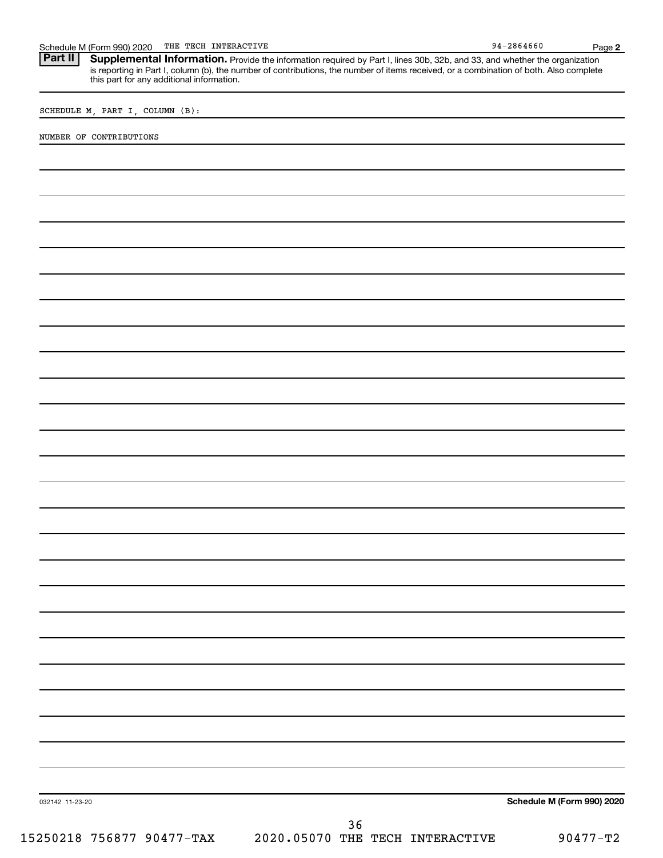|  | Schedule M (Form 990) 2020 | THE | TECH | INTERACTIVE | ч4. | 2864660 | Page |
|--|----------------------------|-----|------|-------------|-----|---------|------|
|--|----------------------------|-----|------|-------------|-----|---------|------|

Provide the information required by Part I, lines 30b, 32b, and 33, and whether the organization is reporting in Part I, column (b), the number of contributions, the number of items received, or a combination of both. Also complete this part for any additional information. **Part II Supplemental Information.** 

SCHEDULE M, PART I, COLUMN (B):

NUMBER OF CONTRIBUTIONS

**Schedule M (Form 990) 2020**

032142 11-23-20

**2**

 $94 - 2864660$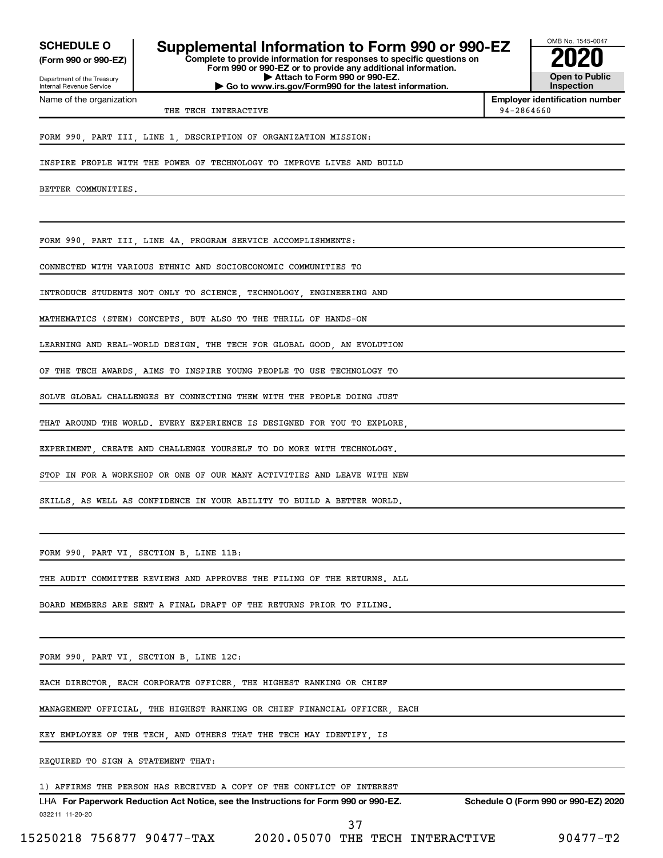**(Form 990 or 990-EZ)**

Department of the Treasury Internal Revenue Service Name of the organization

## **SCHEDULE O Supplemental Information to Form 990 or 990-EZ 2020**

**Complete to provide information for responses to specific questions on Form 990 or 990-EZ or to provide any additional information. | Attach to Form 990 or 990-EZ. | Go to www.irs.gov/Form990 for the latest information.**



**Employer identification number**

THE TECH INTERACTIVE **1200** 2864660

#### FORM 990, PART III, LINE 1, DESCRIPTION OF ORGANIZATION MISSION:

INSPIRE PEOPLE WITH THE POWER OF TECHNOLOGY TO IMPROVE LIVES AND BUILD

BETTER COMMUNITIES.

FORM 990, PART III, LINE 4A, PROGRAM SERVICE ACCOMPLISHMENTS:

CONNECTED WITH VARIOUS ETHNIC AND SOCIOECONOMIC COMMUNITIES TO

INTRODUCE STUDENTS NOT ONLY TO SCIENCE, TECHNOLOGY, ENGINEERING AND

MATHEMATICS (STEM) CONCEPTS, BUT ALSO TO THE THRILL OF HANDS-ON

LEARNING AND REAL-WORLD DESIGN. THE TECH FOR GLOBAL GOOD, AN EVOLUTION

OF THE TECH AWARDS, AIMS TO INSPIRE YOUNG PEOPLE TO USE TECHNOLOGY TO

SOLVE GLOBAL CHALLENGES BY CONNECTING THEM WITH THE PEOPLE DOING JUST

THAT AROUND THE WORLD. EVERY EXPERIENCE IS DESIGNED FOR YOU TO EXPLORE,

EXPERIMENT, CREATE AND CHALLENGE YOURSELF TO DO MORE WITH TECHNOLOGY.

STOP IN FOR A WORKSHOP OR ONE OF OUR MANY ACTIVITIES AND LEAVE WITH NEW

SKILLS, AS WELL AS CONFIDENCE IN YOUR ABILITY TO BUILD A BETTER WORLD.

FORM 990, PART VI, SECTION B, LINE 11B:

THE AUDIT COMMITTEE REVIEWS AND APPROVES THE FILING OF THE RETURNS. ALL

BOARD MEMBERS ARE SENT A FINAL DRAFT OF THE RETURNS PRIOR TO FILING.

FORM 990, PART VI, SECTION B, LINE 12C:

EACH DIRECTOR, EACH CORPORATE OFFICER, THE HIGHEST RANKING OR CHIEF

MANAGEMENT OFFICIAL, THE HIGHEST RANKING OR CHIEF FINANCIAL OFFICER, EACH

KEY EMPLOYEE OF THE TECH, AND OTHERS THAT THE TECH MAY IDENTIFY, IS

REQUIRED TO SIGN A STATEMENT THAT:

1) AFFIRMS THE PERSON HAS RECEIVED A COPY OF THE CONFLICT OF INTEREST

032211 11-20-20 **For Paperwork Reduction Act Notice, see the Instructions for Form 990 or 990-EZ. Schedule O (Form 990 or 990-EZ) 2020** LHA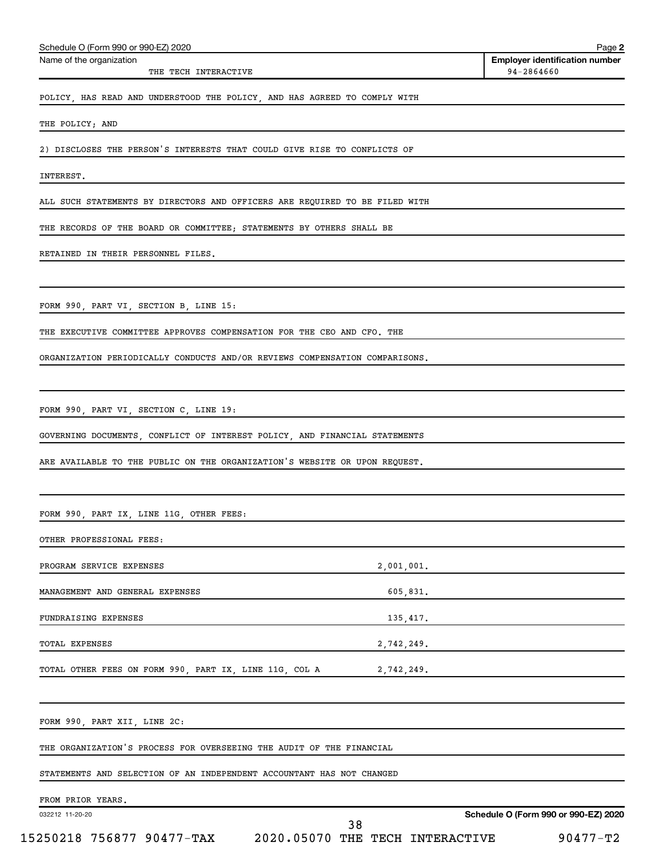| Name of the organization<br>THE TECH INTERACTIVE                                                                                                      | <b>Employer identification number</b><br>94-2864660 |
|-------------------------------------------------------------------------------------------------------------------------------------------------------|-----------------------------------------------------|
| POLICY, HAS READ AND UNDERSTOOD THE POLICY, AND HAS AGREED TO COMPLY WITH                                                                             |                                                     |
| THE POLICY; AND                                                                                                                                       |                                                     |
| 2) DISCLOSES THE PERSON'S INTERESTS THAT COULD GIVE RISE TO CONFLICTS OF                                                                              |                                                     |
| INTEREST.                                                                                                                                             |                                                     |
| ALL SUCH STATEMENTS BY DIRECTORS AND OFFICERS ARE REQUIRED TO BE FILED WITH                                                                           |                                                     |
| THE RECORDS OF THE BOARD OR COMMITTEE; STATEMENTS BY OTHERS SHALL BE                                                                                  |                                                     |
| RETAINED IN THEIR PERSONNEL FILES.                                                                                                                    |                                                     |
|                                                                                                                                                       |                                                     |
| FORM 990, PART VI, SECTION B, LINE 15:                                                                                                                |                                                     |
| THE EXECUTIVE COMMITTEE APPROVES COMPENSATION FOR THE CEO AND CFO. THE                                                                                |                                                     |
| ORGANIZATION PERIODICALLY CONDUCTS AND/OR REVIEWS COMPENSATION COMPARISONS.                                                                           |                                                     |
|                                                                                                                                                       |                                                     |
| FORM 990, PART VI, SECTION C, LINE 19:                                                                                                                |                                                     |
| GOVERNING DOCUMENTS, CONFLICT OF INTEREST POLICY, AND FINANCIAL STATEMENTS                                                                            |                                                     |
| ARE AVAILABLE TO THE PUBLIC ON THE ORGANIZATION'S WEBSITE OR UPON REQUEST.                                                                            |                                                     |
|                                                                                                                                                       |                                                     |
| FORM 990, PART IX, LINE 11G, OTHER FEES:                                                                                                              |                                                     |
| OTHER PROFESSIONAL FEES:                                                                                                                              |                                                     |
| PROGRAM SERVICE EXPENSES                                                                                                                              | 2,001,001.                                          |
| MANAGEMENT AND GENERAL EXPENSES                                                                                                                       | 605, 831.                                           |
| FUNDRAISING EXPENSES                                                                                                                                  | 135,417.                                            |
| TOTAL EXPENSES<br>$2,742,249$ .                                                                                                                       |                                                     |
| TOTAL OTHER FEES ON FORM 990, PART IX, LINE 11G, COL A 2,742,249.                                                                                     |                                                     |
|                                                                                                                                                       |                                                     |
| FORM 990, PART XII, LINE 2C:<br><u> 1989 - Johann Harry Harry Harry Harry Harry Harry Harry Harry Harry Harry Harry Harry Harry Harry Harry Harry</u> |                                                     |
| THE ORGANIZATION'S PROCESS FOR OVERSEEING THE AUDIT OF THE FINANCIAL                                                                                  |                                                     |
| STATEMENTS AND SELECTION OF AN INDEPENDENT ACCOUNTANT HAS NOT CHANGED                                                                                 |                                                     |
| FROM PRIOR YEARS.                                                                                                                                     |                                                     |
|                                                                                                                                                       | Schedule O (Form 990 or 990-EZ) 2020                |

Schedule O (Form 990 or 990-EZ) 2020